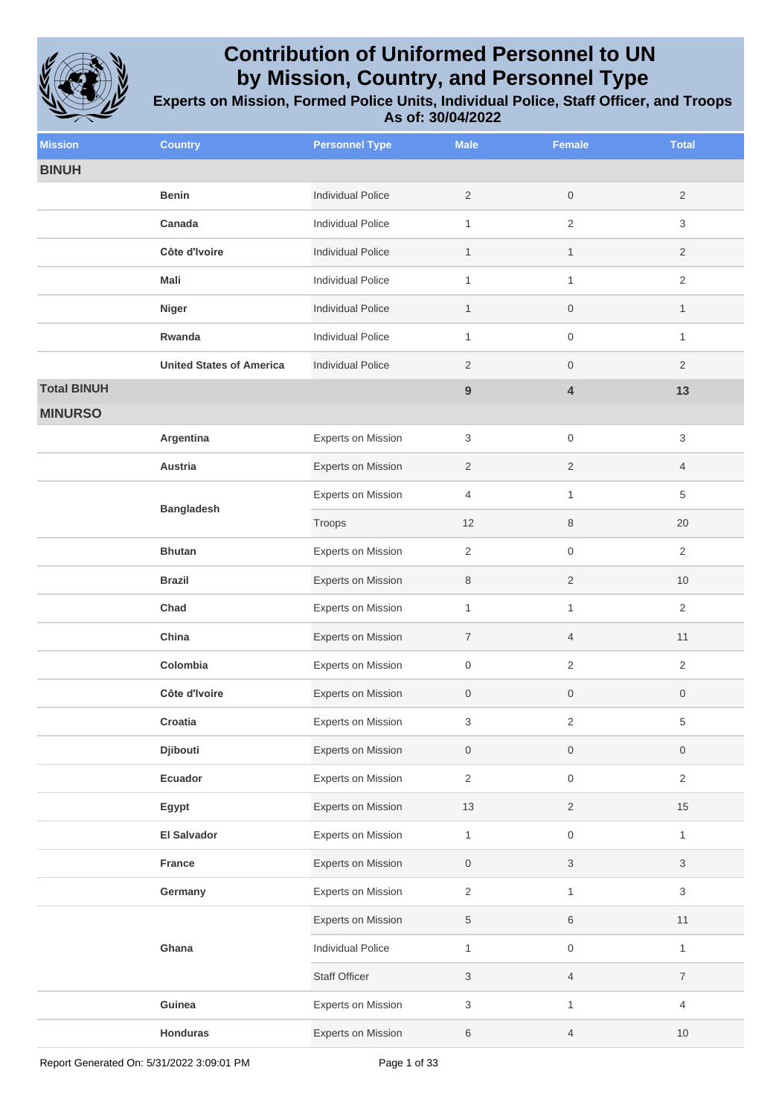

| <b>Mission</b>     | <b>Country</b>                  | <b>Personnel Type</b>     | <b>Male</b>               | <b>Female</b>           | <b>Total</b>              |
|--------------------|---------------------------------|---------------------------|---------------------------|-------------------------|---------------------------|
| <b>BINUH</b>       |                                 |                           |                           |                         |                           |
|                    | <b>Benin</b>                    | <b>Individual Police</b>  | $\overline{2}$            | $\boldsymbol{0}$        | $\overline{2}$            |
|                    | Canada                          | <b>Individual Police</b>  | 1                         | $\sqrt{2}$              | 3                         |
|                    | Côte d'Ivoire                   | <b>Individual Police</b>  | $\mathbf{1}$              | $\mathbf{1}$            | $\overline{c}$            |
|                    | Mali                            | Individual Police         | $\mathbf{1}$              | $\mathbf{1}$            | $\sqrt{2}$                |
|                    | <b>Niger</b>                    | <b>Individual Police</b>  | $\mathbf{1}$              | $\boldsymbol{0}$        | $\mathbf{1}$              |
|                    | Rwanda                          | <b>Individual Police</b>  | $\mathbf{1}$              | $\boldsymbol{0}$        | 1                         |
|                    | <b>United States of America</b> | <b>Individual Police</b>  | 2                         | $\boldsymbol{0}$        | $\overline{2}$            |
| <b>Total BINUH</b> |                                 |                           | $9$                       | $\overline{\mathbf{4}}$ | 13                        |
| <b>MINURSO</b>     |                                 |                           |                           |                         |                           |
|                    | Argentina                       | <b>Experts on Mission</b> | 3                         | $\mathsf{O}\xspace$     | 3                         |
|                    | Austria                         | <b>Experts on Mission</b> | $\overline{2}$            | $\overline{c}$          | 4                         |
|                    | <b>Bangladesh</b>               | Experts on Mission        | 4                         | $\mathbf{1}$            | 5                         |
|                    |                                 | Troops                    | 12                        | 8                       | 20                        |
|                    | <b>Bhutan</b>                   | <b>Experts on Mission</b> | $\overline{2}$            | $\boldsymbol{0}$        | 2                         |
|                    | <b>Brazil</b>                   | Experts on Mission        | $\,8\,$                   | $\sqrt{2}$              | 10                        |
|                    | Chad                            | <b>Experts on Mission</b> | 1                         | $\mathbf{1}$            | $\overline{2}$            |
|                    | China                           | Experts on Mission        | $\overline{7}$            | $\overline{4}$          | 11                        |
|                    | Colombia                        | <b>Experts on Mission</b> | $\mathsf{O}\xspace$       | $\sqrt{2}$              | $\sqrt{2}$                |
|                    | Côte d'Ivoire                   | <b>Experts on Mission</b> | $\mathbf 0$               | $\boldsymbol{0}$        | 0                         |
|                    | Croatia                         | Experts on Mission        | 3                         | $\sqrt{2}$              | 5                         |
|                    | Djibouti                        | <b>Experts on Mission</b> | $\mathbf 0$               | $\mathsf{O}\xspace$     | $\mathsf{O}\xspace$       |
|                    | Ecuador                         | <b>Experts on Mission</b> | $\overline{2}$            | $\mathsf{O}\xspace$     | $\overline{2}$            |
|                    | Egypt                           | Experts on Mission        | 13                        | $\overline{2}$          | 15                        |
|                    | <b>El Salvador</b>              | <b>Experts on Mission</b> | $\mathbf{1}$              | $\mathsf{O}\xspace$     | $\mathbf{1}$              |
|                    | France                          | <b>Experts on Mission</b> | $\boldsymbol{0}$          | $\sqrt{3}$              | 3                         |
|                    | Germany                         | Experts on Mission        | $\overline{2}$            | $\mathbf{1}$            | $\ensuremath{\mathsf{3}}$ |
|                    |                                 | Experts on Mission        | $\,$ 5 $\,$               | $\,6$                   | $11$                      |
|                    | Ghana                           | <b>Individual Police</b>  | $\mathbf{1}$              | $\mathsf{O}\xspace$     | $\mathbf{1}$              |
|                    |                                 | <b>Staff Officer</b>      | $\ensuremath{\mathsf{3}}$ | $\overline{4}$          | $\overline{7}$            |
|                    | Guinea                          | Experts on Mission        | $\sqrt{3}$                | $\mathbf{1}$            | 4                         |
|                    | Honduras                        | Experts on Mission        | $\,6\,$                   | $\overline{4}$          | $10$                      |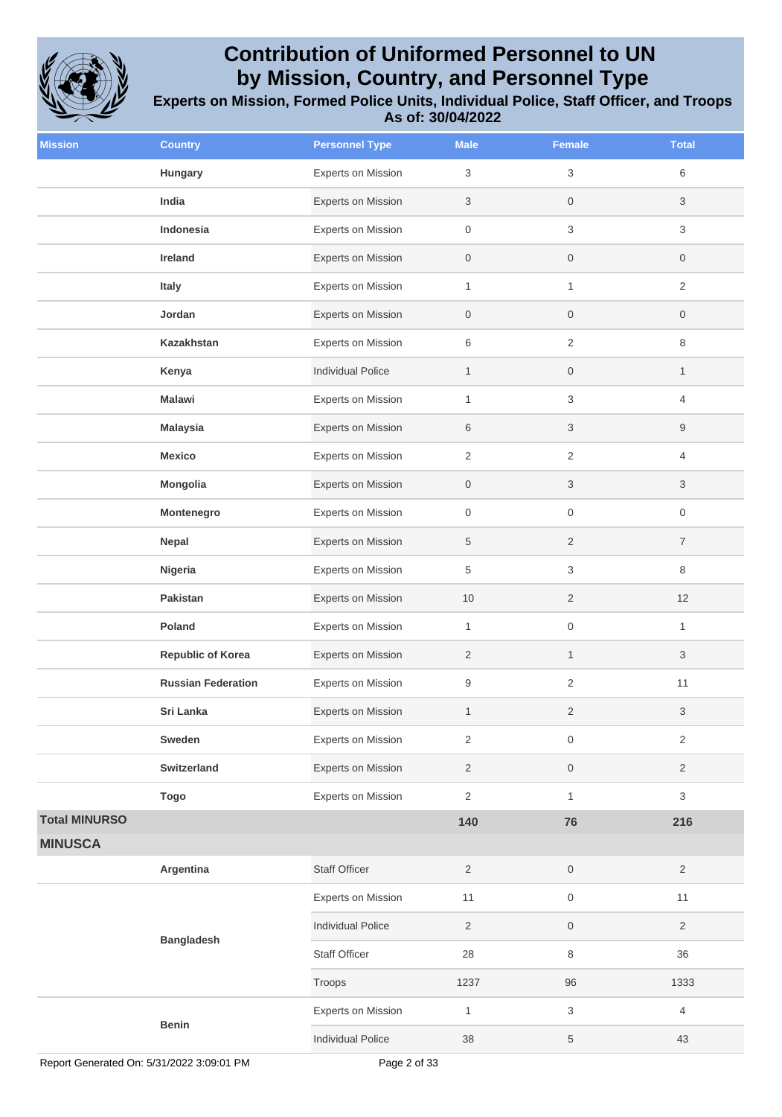

| <b>Mission</b>       | <b>Country</b>            | <b>Personnel Type</b>     | <b>Male</b>         | <b>Female</b>       | <b>Total</b>     |
|----------------------|---------------------------|---------------------------|---------------------|---------------------|------------------|
|                      | Hungary                   | <b>Experts on Mission</b> | 3                   | 3                   | 6                |
|                      | India                     | Experts on Mission        | 3                   | $\mathsf{O}\xspace$ | 3                |
|                      | Indonesia                 | Experts on Mission        | 0                   | 3                   | 3                |
|                      | Ireland                   | Experts on Mission        | $\mathsf{O}\xspace$ | $\mathsf{O}\xspace$ | 0                |
|                      | Italy                     | Experts on Mission        | $\mathbf{1}$        | $\mathbf{1}$        | 2                |
|                      | Jordan                    | Experts on Mission        | $\boldsymbol{0}$    | $\boldsymbol{0}$    | 0                |
|                      | <b>Kazakhstan</b>         | Experts on Mission        | 6                   | $\mathbf{2}$        | 8                |
|                      | Kenya                     | <b>Individual Police</b>  | $\mathbf{1}$        | $\boldsymbol{0}$    | $\mathbf{1}$     |
|                      | <b>Malawi</b>             | Experts on Mission        | $\mathbf{1}$        | 3                   | 4                |
|                      | <b>Malaysia</b>           | Experts on Mission        | 6                   | 3                   | 9                |
|                      | <b>Mexico</b>             | Experts on Mission        | $\overline{2}$      | $\overline{2}$      | 4                |
|                      | Mongolia                  | Experts on Mission        | $\mathsf{O}\xspace$ | 3                   | 3                |
|                      | Montenegro                | Experts on Mission        | 0                   | 0                   | $\boldsymbol{0}$ |
|                      | Nepal                     | Experts on Mission        | 5                   | $\sqrt{2}$          | $\boldsymbol{7}$ |
|                      | Nigeria                   | Experts on Mission        | 5                   | 3                   | 8                |
|                      | Pakistan                  | Experts on Mission        | 10                  | $\overline{2}$      | 12               |
|                      | Poland                    | <b>Experts on Mission</b> | $\mathbf{1}$        | $\mathsf{O}\xspace$ | $\mathbf{1}$     |
|                      | <b>Republic of Korea</b>  | <b>Experts on Mission</b> | $\overline{2}$      | $\mathbf{1}$        | 3                |
|                      | <b>Russian Federation</b> | Experts on Mission        | 9                   | $\sqrt{2}$          | 11               |
|                      | Sri Lanka                 | <b>Experts on Mission</b> | $\mathbf{1}$        | $\overline{c}$      | 3                |
|                      | Sweden                    | <b>Experts on Mission</b> | $\overline{2}$      | $\mathsf{O}\xspace$ | $\overline{2}$   |
|                      | Switzerland               | Experts on Mission        | $\overline{2}$      | $\mathsf{O}\xspace$ | $\overline{2}$   |
|                      | <b>Togo</b>               | Experts on Mission        | $\overline{2}$      | $\mathbf{1}$        | 3                |
| <b>Total MINURSO</b> |                           |                           | 140                 | 76                  | 216              |
| <b>MINUSCA</b>       |                           |                           |                     |                     |                  |
|                      | Argentina                 | Staff Officer             | $\overline{2}$      | $\,0\,$             | $\overline{2}$   |
|                      |                           | Experts on Mission        | 11                  | $\mathsf{O}\xspace$ | 11               |
|                      | <b>Bangladesh</b>         | <b>Individual Police</b>  | $\overline{2}$      | $\mathsf{O}\xspace$ | $\overline{2}$   |
|                      |                           | Staff Officer             | 28                  | 8                   | 36               |
|                      |                           | Troops                    | 1237                | 96                  | 1333             |
|                      |                           | Experts on Mission        | $\mathbf{1}$        | $\,$ 3 $\,$         | 4                |
|                      | <b>Benin</b>              | <b>Individual Police</b>  | 38                  | 5                   | 43               |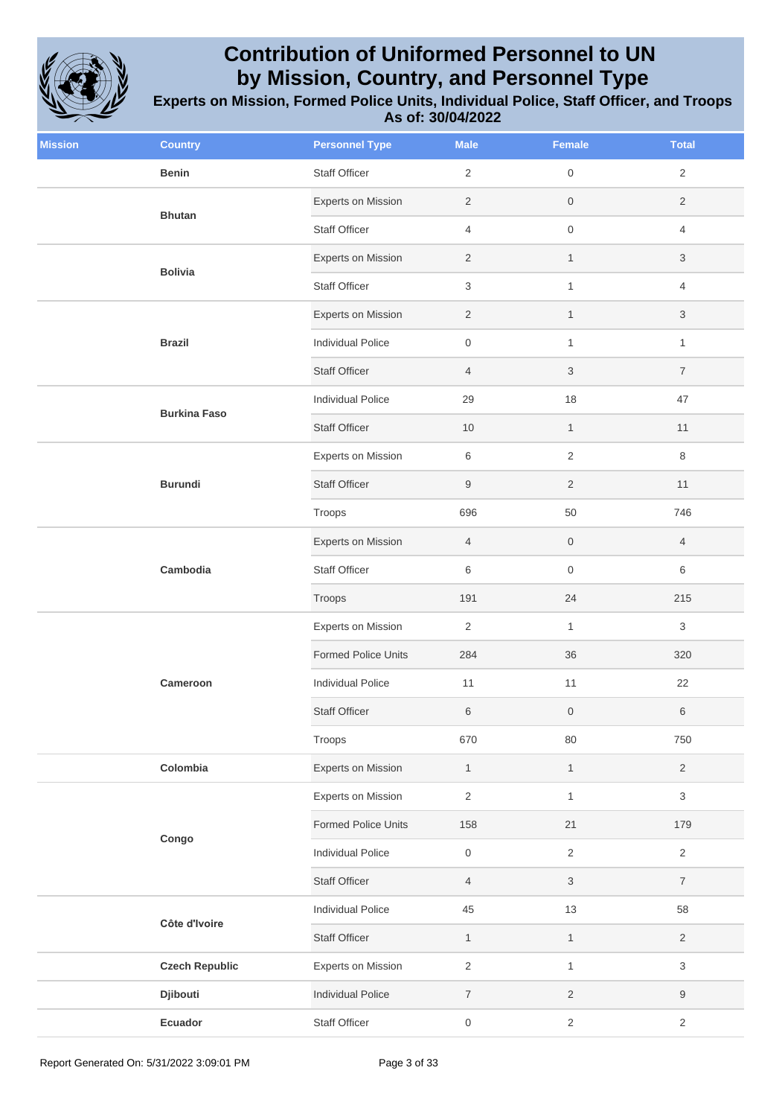

| <b>Mission</b> | <b>Country</b>        | <b>Personnel Type</b>      | <b>Male</b>         | Female              | <b>Total</b>              |
|----------------|-----------------------|----------------------------|---------------------|---------------------|---------------------------|
|                | <b>Benin</b>          | Staff Officer              | $\overline{2}$      | $\mathsf{O}\xspace$ | $\overline{2}$            |
|                | <b>Bhutan</b>         | Experts on Mission         | $\overline{2}$      | $\mathsf{O}$        | $\overline{2}$            |
|                |                       | <b>Staff Officer</b>       | 4                   | $\mathsf{O}\xspace$ | 4                         |
|                | <b>Bolivia</b>        | Experts on Mission         | $\overline{2}$      | $\mathbf{1}$        | $\sqrt{3}$                |
|                |                       | Staff Officer              | 3                   | $\mathbf{1}$        | 4                         |
|                |                       | Experts on Mission         | $\mathbf{2}$        | $\mathbf{1}$        | 3                         |
|                | <b>Brazil</b>         | <b>Individual Police</b>   | $\mathsf{O}\xspace$ | $\mathbf{1}$        | $\mathbf{1}$              |
|                |                       | <b>Staff Officer</b>       | $\overline{4}$      | $\sqrt{3}$          | $\overline{7}$            |
|                | <b>Burkina Faso</b>   | <b>Individual Police</b>   | 29                  | 18                  | 47                        |
|                |                       | <b>Staff Officer</b>       | 10                  | $\mathbf{1}$        | 11                        |
|                |                       | Experts on Mission         | 6                   | $\overline{2}$      | 8                         |
|                | <b>Burundi</b>        | <b>Staff Officer</b>       | 9                   | $\sqrt{2}$          | 11                        |
|                |                       | Troops                     | 696                 | 50                  | 746                       |
|                | Cambodia              | Experts on Mission         | $\overline{4}$      | $\mathsf{O}\xspace$ | $\overline{4}$            |
|                |                       | <b>Staff Officer</b>       | 6                   | $\mathsf{O}\xspace$ | $\,6\,$                   |
|                |                       | Troops                     | 191                 | 24                  | 215                       |
|                |                       | Experts on Mission         | $\overline{2}$      | $\mathbf{1}$        | 3                         |
|                |                       | <b>Formed Police Units</b> | 284                 | 36                  | 320                       |
|                | Cameroon              | <b>Individual Police</b>   | 11                  | 11                  | 22                        |
|                |                       | <b>Staff Officer</b>       | 6                   | $\,0\,$             | 6                         |
|                |                       | Troops                     | 670                 | 80                  | 750                       |
|                | Colombia              | Experts on Mission         | $\mathbf{1}$        | $\mathbf{1}$        | $\overline{2}$            |
|                |                       | <b>Experts on Mission</b>  | $\overline{2}$      | $\mathbf{1}$        | $\ensuremath{\mathsf{3}}$ |
|                | Congo                 | <b>Formed Police Units</b> | 158                 | 21                  | 179                       |
|                |                       | <b>Individual Police</b>   | $\mathsf{O}\xspace$ | $\sqrt{2}$          | $\overline{2}$            |
|                |                       | <b>Staff Officer</b>       | $\overline{4}$      | $\sqrt{3}$          | $\overline{7}$            |
|                | Côte d'Ivoire         | Individual Police          | 45                  | $13$                | 58                        |
|                |                       | Staff Officer              | $\mathbf{1}$        | $\mathbf{1}$        | $\overline{2}$            |
|                | <b>Czech Republic</b> | Experts on Mission         | $\overline{2}$      | $\mathbf{1}$        | $\ensuremath{\mathsf{3}}$ |
|                | Djibouti              | <b>Individual Police</b>   | $\boldsymbol{7}$    | $\overline{2}$      | $\boldsymbol{9}$          |
|                | Ecuador               | <b>Staff Officer</b>       | 0                   | $\sqrt{2}$          | $\sqrt{2}$                |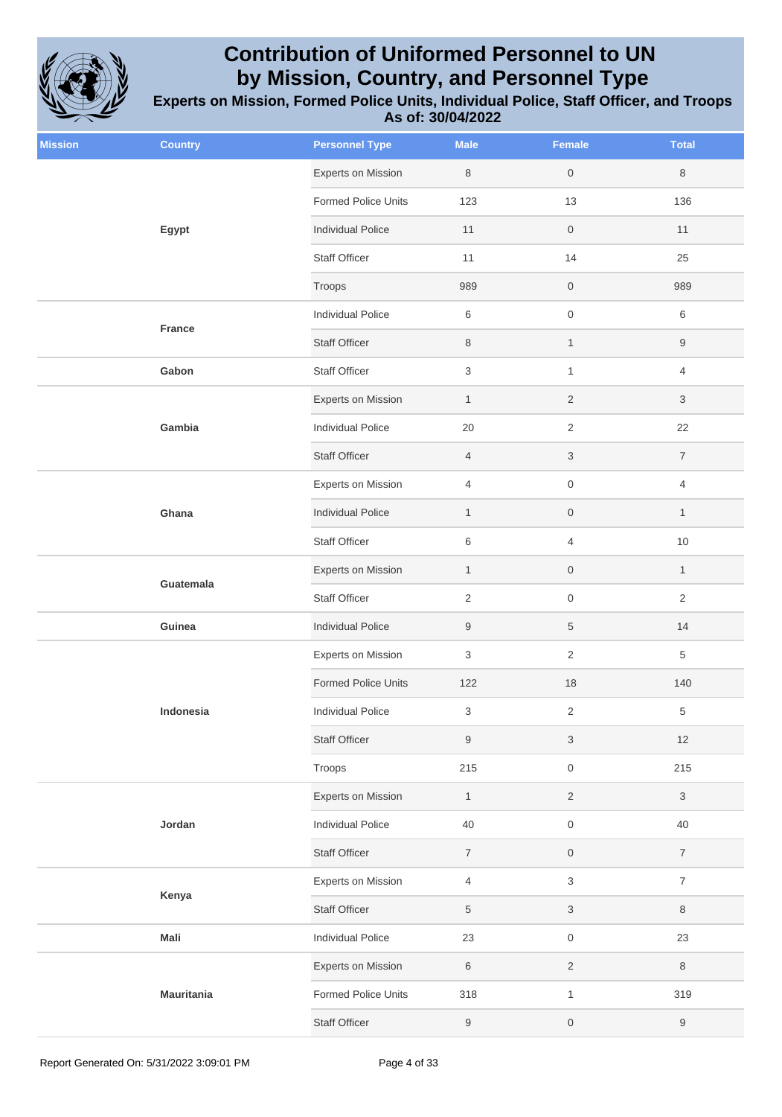

| <b>Mission</b> | <b>Country</b>    | <b>Personnel Type</b>      | <b>Male</b>               | <b>Female</b>             | <b>Total</b>     |
|----------------|-------------------|----------------------------|---------------------------|---------------------------|------------------|
|                |                   | Experts on Mission         | $\,8\,$                   | $\mathsf{O}\xspace$       | 8                |
|                | Egypt             | <b>Formed Police Units</b> | 123                       | 13                        | 136              |
|                |                   | <b>Individual Police</b>   | 11                        | $\,0\,$                   | 11               |
|                |                   | <b>Staff Officer</b>       | 11                        | 14                        | 25               |
|                |                   | Troops                     | 989                       | $\,0\,$                   | 989              |
|                | <b>France</b>     | Individual Police          | 6                         | $\mathsf{O}\xspace$       | 6                |
|                |                   | <b>Staff Officer</b>       | $\,8\,$                   | $\mathbf{1}$              | $\boldsymbol{9}$ |
|                | Gabon             | <b>Staff Officer</b>       | $\ensuremath{\mathsf{3}}$ | $\mathbf{1}$              | 4                |
|                |                   | <b>Experts on Mission</b>  | $\mathbf{1}$              | $\sqrt{2}$                | 3                |
|                | Gambia            | <b>Individual Police</b>   | 20                        | $\sqrt{2}$                | 22               |
|                |                   | <b>Staff Officer</b>       | $\overline{4}$            | $\ensuremath{\mathsf{3}}$ | $\overline{7}$   |
|                |                   | Experts on Mission         | $\overline{4}$            | $\mathsf{O}\xspace$       | 4                |
|                | Ghana             | <b>Individual Police</b>   | $\mathbf{1}$              | $\,0\,$                   | $\mathbf{1}$     |
|                |                   | <b>Staff Officer</b>       | $\,6$                     | $\overline{4}$            | $10$             |
|                | Guatemala         | Experts on Mission         | $\mathbf{1}$              | $\,0\,$                   | $\mathbf{1}$     |
|                |                   | <b>Staff Officer</b>       | $\sqrt{2}$                | $\mathsf{O}$              | $\overline{2}$   |
|                | Guinea            | <b>Individual Police</b>   | $\boldsymbol{9}$          | $\,$ 5 $\,$               | 14               |
|                |                   | <b>Experts on Mission</b>  | 3                         | $\sqrt{2}$                | 5                |
|                |                   | Formed Police Units        | 122                       | 18                        | 140              |
|                | Indonesia         | <b>Individual Police</b>   | $\ensuremath{\mathsf{3}}$ | $\sqrt{2}$                | $\,$ 5 $\,$      |
|                |                   | <b>Staff Officer</b>       | 9                         | $\ensuremath{\mathsf{3}}$ | 12               |
|                |                   | Troops                     | 215                       | $\,0\,$                   | 215              |
|                |                   | <b>Experts on Mission</b>  | $\mathbf{1}$              | $\sqrt{2}$                | $\sqrt{3}$       |
|                | Jordan            | <b>Individual Police</b>   | 40                        | $\,0\,$                   | $40\,$           |
|                |                   | <b>Staff Officer</b>       | $\overline{7}$            | $\,0\,$                   | $\overline{7}$   |
|                |                   | <b>Experts on Mission</b>  | 4                         | $\ensuremath{\mathsf{3}}$ | $\overline{7}$   |
|                | Kenya             | Staff Officer              | $\,$ 5 $\,$               | $\ensuremath{\mathsf{3}}$ | $\,8\,$          |
|                | Mali              | Individual Police          | 23                        | $\,0\,$                   | 23               |
|                |                   | Experts on Mission         | $\,$ 6 $\,$               | $\sqrt{2}$                | $\,8\,$          |
|                | <b>Mauritania</b> | Formed Police Units        | 318                       | $\mathbf{1}$              | 319              |
|                |                   | <b>Staff Officer</b>       | $9\,$                     | $\mathsf{O}\xspace$       | $\boldsymbol{9}$ |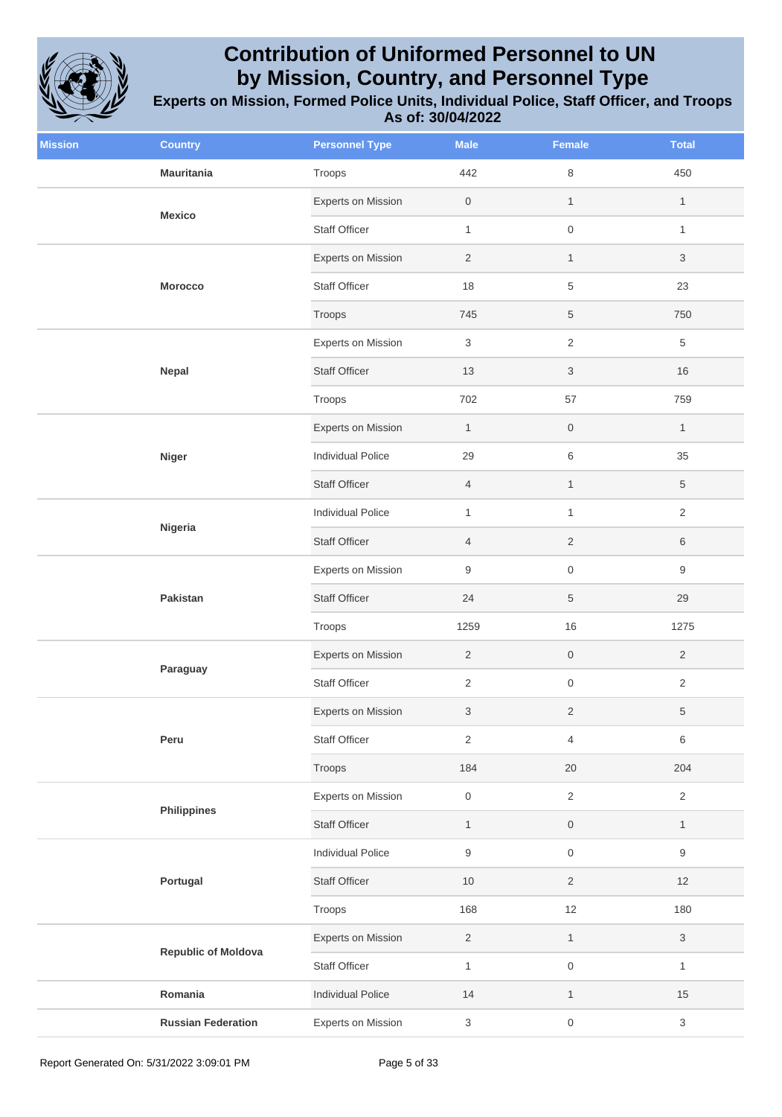

| <b>Mission</b> | <b>Country</b>             | <b>Personnel Type</b>     | <b>Male</b>               | <b>Female</b>             | <b>Total</b>              |
|----------------|----------------------------|---------------------------|---------------------------|---------------------------|---------------------------|
|                | <b>Mauritania</b>          | Troops                    | 442                       | $\,8\,$                   | 450                       |
|                | <b>Mexico</b>              | Experts on Mission        | $\mathsf{O}\xspace$       | $\mathbf{1}$              | $\mathbf{1}$              |
|                |                            | <b>Staff Officer</b>      | $\mathbf{1}$              | $\mathsf{O}\xspace$       | $\mathbf{1}$              |
|                | Morocco                    | Experts on Mission        | $\overline{2}$            | $\mathbf{1}$              | 3                         |
|                |                            | <b>Staff Officer</b>      | 18                        | 5                         | 23                        |
|                |                            | Troops                    | 745                       | $\,$ 5 $\,$               | 750                       |
|                |                            | Experts on Mission        | 3                         | $\sqrt{2}$                | 5                         |
|                | Nepal                      | <b>Staff Officer</b>      | 13                        | $\ensuremath{\mathsf{3}}$ | 16                        |
|                |                            | Troops                    | 702                       | 57                        | 759                       |
|                |                            | Experts on Mission        | $\mathbf{1}$              | $\,0\,$                   | $\mathbf{1}$              |
|                | <b>Niger</b>               | Individual Police         | 29                        | $\,6$                     | 35                        |
|                |                            | <b>Staff Officer</b>      | $\overline{4}$            | $\mathbf{1}$              | 5                         |
|                | Nigeria                    | <b>Individual Police</b>  | $\mathbf{1}$              | $\mathbf{1}$              | $\overline{2}$            |
|                |                            | <b>Staff Officer</b>      | $\overline{4}$            | $\sqrt{2}$                | 6                         |
|                | Pakistan                   | <b>Experts on Mission</b> | $\boldsymbol{9}$          | $\,0\,$                   | 9                         |
|                |                            | <b>Staff Officer</b>      | 24                        | $\,$ 5 $\,$               | 29                        |
|                |                            | Troops                    | 1259                      | 16                        | 1275                      |
|                |                            | Experts on Mission        | $\sqrt{2}$                | $\mathsf{O}\xspace$       | $\overline{2}$            |
|                | Paraguay                   | Staff Officer             | $\mathbf{2}$              | $\mathsf{O}\xspace$       | $\overline{2}$            |
|                |                            | Experts on Mission        | 3                         | $\overline{2}$            | 5                         |
|                | Peru                       | Staff Officer             | $\sqrt{2}$                | $\overline{4}$            | 6                         |
|                |                            | Troops                    | 184                       | 20                        | 204                       |
|                | <b>Philippines</b>         | Experts on Mission        | $\mathsf{O}\xspace$       | $\overline{2}$            | $\overline{2}$            |
|                |                            | <b>Staff Officer</b>      | $\mathbf{1}$              | $\mathsf{O}\xspace$       | $\mathbf{1}$              |
|                |                            | <b>Individual Police</b>  | $\hbox{9}$                | $\mathsf{O}\xspace$       | $\boldsymbol{9}$          |
|                | Portugal                   | <b>Staff Officer</b>      | $10$                      | $\overline{2}$            | 12                        |
|                |                            | Troops                    | 168                       | 12                        | 180                       |
|                |                            | Experts on Mission        | $\sqrt{2}$                | $\mathbf{1}$              | 3                         |
|                | <b>Republic of Moldova</b> | Staff Officer             | $\mathbf{1}$              | $\,0\,$                   | $\mathbf{1}$              |
|                | Romania                    | <b>Individual Police</b>  | 14                        | $\mathbf{1}$              | 15                        |
|                | <b>Russian Federation</b>  | Experts on Mission        | $\ensuremath{\mathsf{3}}$ | $\mathsf{O}\xspace$       | $\ensuremath{\mathsf{3}}$ |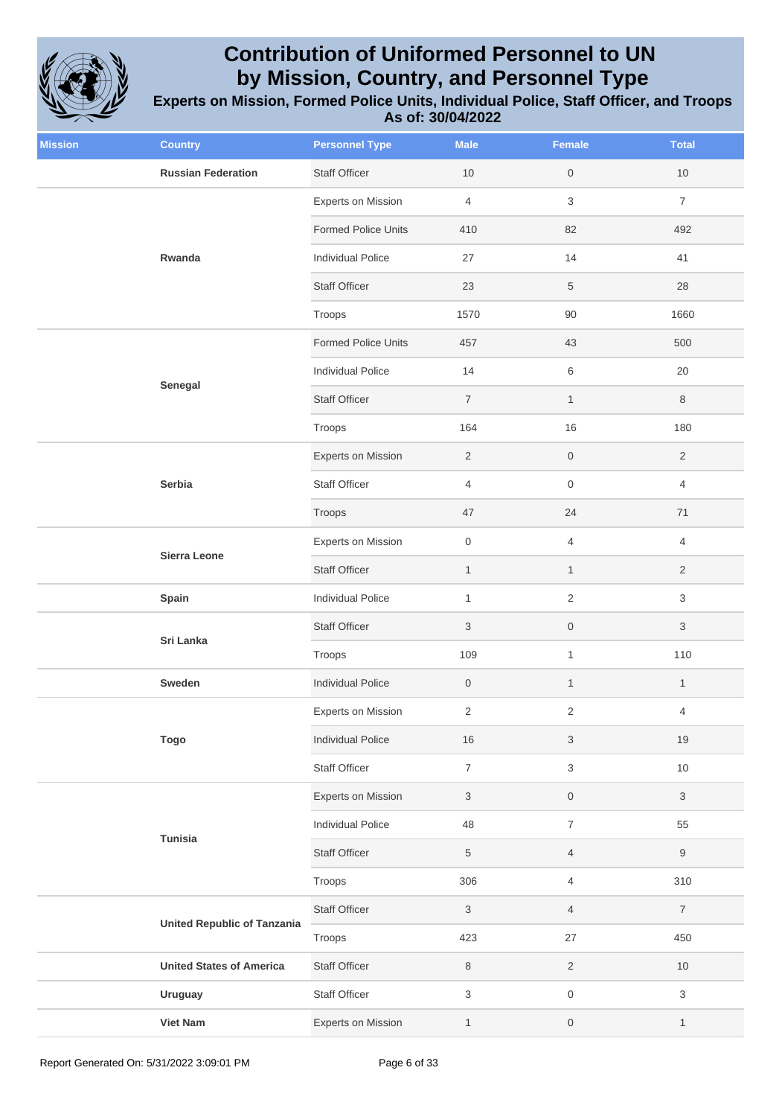

| <b>Mission</b> | <b>Country</b>                     | <b>Personnel Type</b>      | <b>Male</b>               | <b>Female</b>             | <b>Total</b>   |
|----------------|------------------------------------|----------------------------|---------------------------|---------------------------|----------------|
|                | <b>Russian Federation</b>          | <b>Staff Officer</b>       | 10                        | $\mathsf{O}\xspace$       | $10$           |
|                |                                    | Experts on Mission         | $\overline{4}$            | $\sqrt{3}$                | $\overline{7}$ |
|                |                                    | <b>Formed Police Units</b> | 410                       | 82                        | 492            |
|                | Rwanda                             | <b>Individual Police</b>   | 27                        | 14                        | 41             |
|                |                                    | <b>Staff Officer</b>       | 23                        | $\,$ 5 $\,$               | 28             |
|                |                                    | Troops                     | 1570                      | $90\,$                    | 1660           |
|                |                                    | <b>Formed Police Units</b> | 457                       | 43                        | 500            |
|                |                                    | <b>Individual Police</b>   | 14                        | $\,6\,$                   | 20             |
|                | Senegal                            | <b>Staff Officer</b>       | $\boldsymbol{7}$          | $\mathbf{1}$              | 8              |
|                |                                    | Troops                     | 164                       | 16                        | 180            |
|                |                                    | Experts on Mission         | $\overline{2}$            | $\mathsf{O}$              | $\overline{2}$ |
|                | Serbia                             | Staff Officer              | $\overline{4}$            | $\mathbf 0$               | $\overline{4}$ |
|                |                                    | Troops                     | 47                        | 24                        | 71             |
|                | Sierra Leone                       | Experts on Mission         | $\mathsf{O}\xspace$       | $\overline{4}$            | $\overline{4}$ |
|                |                                    | <b>Staff Officer</b>       | $\mathbf{1}$              | $\mathbf{1}$              | $\overline{2}$ |
|                | Spain                              | <b>Individual Police</b>   | $\mathbf{1}$              | $\sqrt{2}$                | 3              |
|                | Sri Lanka                          | <b>Staff Officer</b>       | $\ensuremath{\mathsf{3}}$ | $\mathsf{O}\xspace$       | 3              |
|                |                                    | Troops                     | 109                       | $\mathbf{1}$              | 110            |
|                | Sweden                             | <b>Individual Police</b>   | $\boldsymbol{0}$          | $\mathbf{1}$              | $\mathbf{1}$   |
|                |                                    | Experts on Mission         | $\overline{2}$            | $\sqrt{2}$                | 4              |
|                | <b>Togo</b>                        | <b>Individual Police</b>   | 16                        | $\ensuremath{\mathsf{3}}$ | 19             |
|                |                                    | Staff Officer              | $\overline{7}$            | $\mathbf 3$               | $10$           |
|                |                                    | Experts on Mission         | 3                         | $\,0\,$                   | 3              |
|                | <b>Tunisia</b>                     | <b>Individual Police</b>   | 48                        | $\overline{7}$            | 55             |
|                |                                    | <b>Staff Officer</b>       | $\,$ 5 $\,$               | $\overline{4}$            | 9              |
|                |                                    | Troops                     | 306                       | 4                         | 310            |
|                | <b>United Republic of Tanzania</b> | <b>Staff Officer</b>       | 3                         | $\overline{4}$            | $\overline{7}$ |
|                |                                    | Troops                     | 423                       | 27                        | 450            |
|                | <b>United States of America</b>    | <b>Staff Officer</b>       | 8                         | $\sqrt{2}$                | $10$           |
|                | <b>Uruguay</b>                     | Staff Officer              | $\mathfrak{S}$            | $\mathsf{O}\xspace$       | $\mathfrak{S}$ |
|                | <b>Viet Nam</b>                    | Experts on Mission         | $\mathbf{1}$              | $\boldsymbol{0}$          | $\mathbf{1}$   |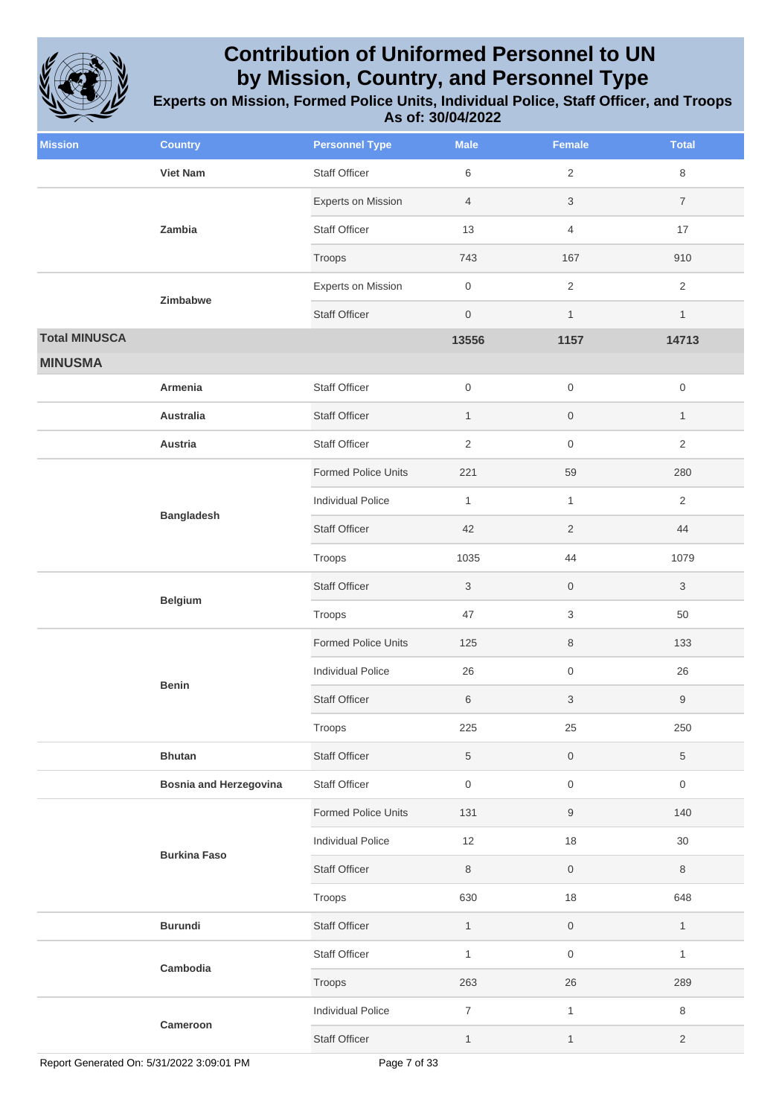

| <b>Mission</b>       | <b>Country</b>                | <b>Personnel Type</b>      | <b>Male</b>    | <b>Female</b>       | <b>Total</b>        |
|----------------------|-------------------------------|----------------------------|----------------|---------------------|---------------------|
|                      | <b>Viet Nam</b>               | <b>Staff Officer</b>       | 6              | $\overline{2}$      | 8                   |
|                      | Zambia                        | <b>Experts on Mission</b>  | $\overline{4}$ | $\sqrt{3}$          | $\overline{7}$      |
|                      |                               | <b>Staff Officer</b>       | 13             | $\overline{4}$      | 17                  |
|                      |                               | Troops                     | 743            | 167                 | 910                 |
|                      | Zimbabwe                      | <b>Experts on Mission</b>  | $\,0\,$        | $\sqrt{2}$          | $\overline{2}$      |
|                      |                               | <b>Staff Officer</b>       | $\mathbf 0$    | $\mathbf{1}$        | $\mathbf{1}$        |
| <b>Total MINUSCA</b> |                               |                            | 13556          | 1157                | 14713               |
| <b>MINUSMA</b>       |                               |                            |                |                     |                     |
|                      | Armenia                       | <b>Staff Officer</b>       | $\mathbf 0$    | $\mathsf{O}\xspace$ | $\mathsf{O}\xspace$ |
|                      | <b>Australia</b>              | <b>Staff Officer</b>       | $\mathbf{1}$   | $\mathsf{O}\xspace$ | $\mathbf{1}$        |
|                      | Austria                       | <b>Staff Officer</b>       | $\sqrt{2}$     | $\,0\,$             | $\overline{2}$      |
|                      |                               | <b>Formed Police Units</b> | 221            | 59                  | 280                 |
|                      | <b>Bangladesh</b>             | <b>Individual Police</b>   | $\mathbf{1}$   | $\mathbf{1}$        | $\overline{2}$      |
|                      |                               | <b>Staff Officer</b>       | 42             | $\overline{2}$      | 44                  |
|                      |                               | Troops                     | 1035           | 44                  | 1079                |
|                      | <b>Belgium</b>                | <b>Staff Officer</b>       | $\mathbf{3}$   | $\mathsf{O}\xspace$ | 3                   |
|                      |                               | Troops                     | 47             | $\sqrt{3}$          | 50                  |
|                      |                               | <b>Formed Police Units</b> | 125            | $\,8\,$             | 133                 |
|                      | <b>Benin</b>                  | <b>Individual Police</b>   | 26             | $\,0\,$             | 26                  |
|                      |                               | <b>Staff Officer</b>       | 6              | $\sqrt{3}$          | 9                   |
|                      |                               | Troops                     | 225            | 25                  | 250                 |
|                      | <b>Bhutan</b>                 | <b>Staff Officer</b>       | $\overline{5}$ | $\mathsf{O}\xspace$ | 5                   |
|                      | <b>Bosnia and Herzegovina</b> | <b>Staff Officer</b>       | $\,0\,$        | $\,0\,$             | $\mathsf{O}\xspace$ |
|                      |                               | Formed Police Units        | 131            | 9                   | 140                 |
|                      | <b>Burkina Faso</b>           | Individual Police          | 12             | $18\,$              | 30                  |
|                      |                               | <b>Staff Officer</b>       | $\,8\,$        | $\mathsf{O}\xspace$ | 8                   |
|                      |                               | Troops                     | 630            | 18                  | 648                 |
|                      | <b>Burundi</b>                | <b>Staff Officer</b>       | $\mathbf{1}$   | $\mathsf{O}\xspace$ | $\mathbf{1}$        |
|                      | Cambodia                      | Staff Officer              | $\mathbf{1}$   | $\mathsf{O}\xspace$ | $\mathbf{1}$        |
|                      |                               | Troops                     | 263            | $26\,$              | 289                 |
|                      |                               | Individual Police          | $\overline{7}$ | $\mathbf{1}$        | 8                   |
|                      | Cameroon                      | <b>Staff Officer</b>       | $\mathbf{1}$   | $\mathbf{1}$        | $\overline{2}$      |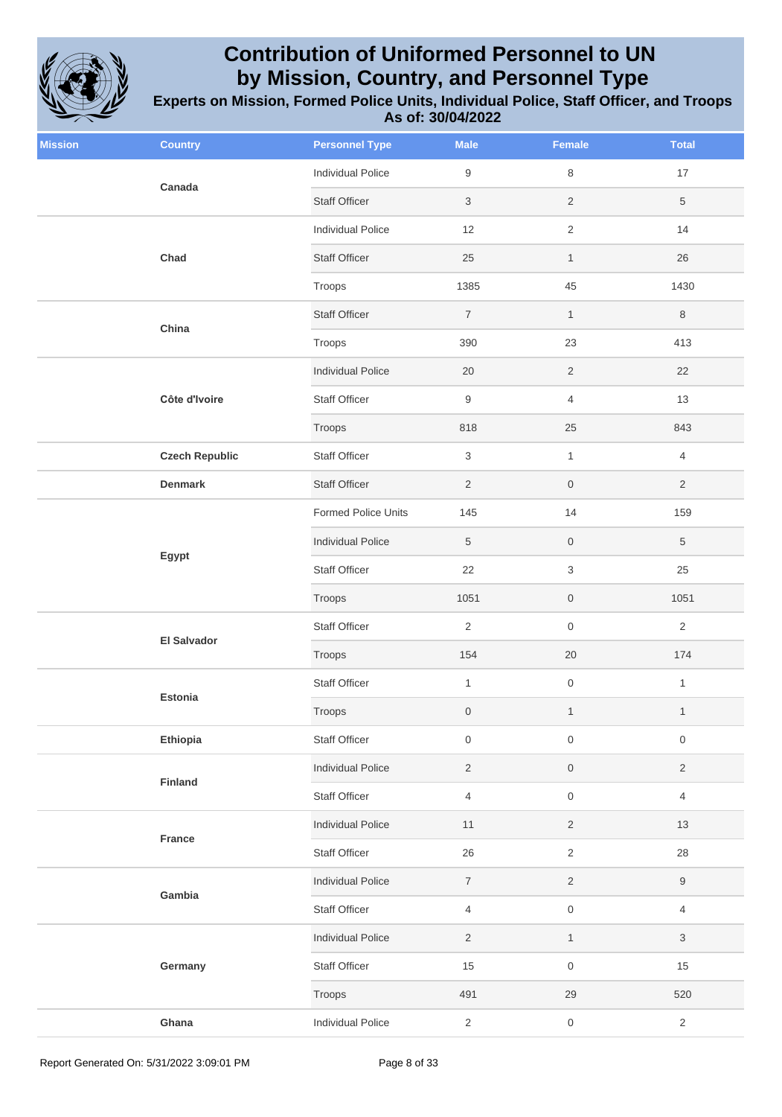

| <b>Mission</b> | <b>Country</b>        | <b>Personnel Type</b>      | <b>Male</b>      | Female              | <b>Total</b>     |
|----------------|-----------------------|----------------------------|------------------|---------------------|------------------|
|                | Canada                | <b>Individual Police</b>   | 9                | $\,8\,$             | $17$             |
|                |                       | <b>Staff Officer</b>       | 3                | $\sqrt{2}$          | $\sqrt{5}$       |
|                |                       | <b>Individual Police</b>   | 12               | $\overline{2}$      | 14               |
|                | Chad                  | <b>Staff Officer</b>       | 25               | $\mathbf{1}$        | 26               |
|                |                       | Troops                     | 1385             | 45                  | 1430             |
|                |                       | <b>Staff Officer</b>       | $\overline{7}$   | $\mathbf{1}$        | $\,8\,$          |
|                | China                 | Troops                     | 390              | 23                  | 413              |
|                |                       | <b>Individual Police</b>   | 20               | $\sqrt{2}$          | 22               |
|                | Côte d'Ivoire         | Staff Officer              | 9                | $\overline{4}$      | 13               |
|                |                       | Troops                     | 818              | 25                  | 843              |
|                | <b>Czech Republic</b> | Staff Officer              | 3                | $\mathbf{1}$        | $\overline{4}$   |
|                | <b>Denmark</b>        | <b>Staff Officer</b>       | $\overline{2}$   | $\boldsymbol{0}$    | $\overline{2}$   |
|                |                       | <b>Formed Police Units</b> | 145              | 14                  | 159              |
|                |                       | <b>Individual Police</b>   | 5                | $\mathsf{O}\xspace$ | $\overline{5}$   |
|                | Egypt                 | <b>Staff Officer</b>       | 22               | $\sqrt{3}$          | 25               |
|                |                       | Troops                     | 1051             | $\mathbf 0$         | 1051             |
|                |                       | Staff Officer              | $\overline{2}$   | $\mathsf{O}\xspace$ | $\sqrt{2}$       |
|                | <b>El Salvador</b>    | Troops                     | 154              | $20\,$              | 174              |
|                | Estonia               | <b>Staff Officer</b>       | $\mathbf{1}$     | $\mathsf{O}\xspace$ | $\mathbf{1}$     |
|                |                       | Troops                     | 0                | $\mathbf{1}$        | $\mathbf{1}$     |
|                | Ethiopia              | Staff Officer              | 0                | $\boldsymbol{0}$    | $\,0\,$          |
|                | Finland               | <b>Individual Police</b>   | $\overline{2}$   | $\,0\,$             | $\overline{2}$   |
|                |                       | Staff Officer              | 4                | $\mathsf{O}\xspace$ | 4                |
|                | France                | <b>Individual Police</b>   | 11               | $\sqrt{2}$          | $13$             |
|                |                       | Staff Officer              | 26               | $\sqrt{2}$          | 28               |
|                | Gambia                | <b>Individual Police</b>   | $\boldsymbol{7}$ | $\overline{2}$      | $\boldsymbol{9}$ |
|                |                       | Staff Officer              | $\overline{4}$   | $\mathsf{O}\xspace$ | $\overline{4}$   |
|                |                       | <b>Individual Police</b>   | $\overline{2}$   | $\mathbf{1}$        | $\sqrt{3}$       |
|                | Germany               | Staff Officer              | $15$             | $\mathsf{O}\xspace$ | 15               |
|                |                       | Troops                     | 491              | 29                  | 520              |
|                | Ghana                 | <b>Individual Police</b>   | $\sqrt{2}$       | $\,0\,$             | $\overline{2}$   |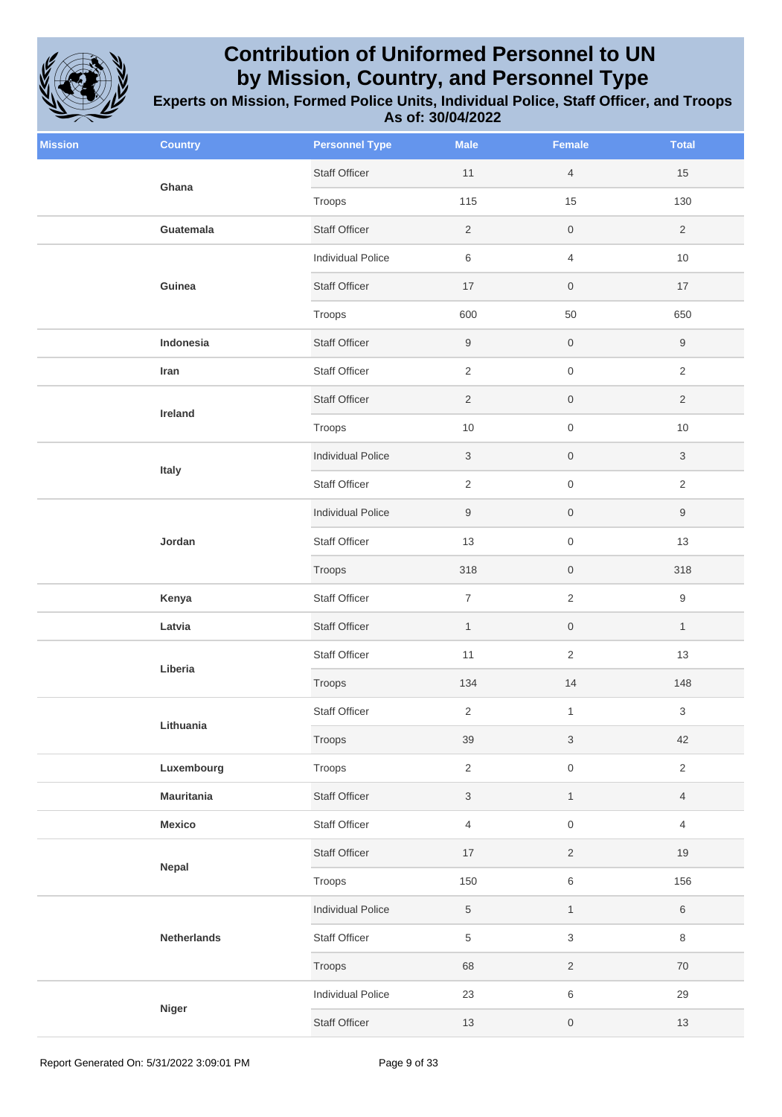

| <b>Mission</b> | <b>Country</b>     | <b>Personnel Type</b>    | <b>Male</b>      | Female              | <b>Total</b>              |
|----------------|--------------------|--------------------------|------------------|---------------------|---------------------------|
|                | Ghana              | <b>Staff Officer</b>     | 11               | $\overline{4}$      | 15                        |
|                |                    | Troops                   | 115              | 15                  | 130                       |
|                | Guatemala          | <b>Staff Officer</b>     | $\overline{2}$   | $\mathsf{O}\xspace$ | $\overline{2}$            |
|                |                    | <b>Individual Police</b> | 6                | $\overline{4}$      | $10$                      |
|                | Guinea             | <b>Staff Officer</b>     | 17               | $\mathsf{O}\xspace$ | 17                        |
|                |                    | Troops                   | 600              | 50                  | 650                       |
|                | Indonesia          | <b>Staff Officer</b>     | $\boldsymbol{9}$ | $\mathsf{O}\xspace$ | $\boldsymbol{9}$          |
|                | Iran               | Staff Officer            | $\overline{2}$   | $\mathsf{O}\xspace$ | $\overline{2}$            |
|                | Ireland            | <b>Staff Officer</b>     | $\overline{2}$   | $\mathsf{O}\xspace$ | $\overline{2}$            |
|                |                    | Troops                   | $10$             | $\mathsf{O}\xspace$ | $10$                      |
|                | Italy              | <b>Individual Police</b> | $\sqrt{3}$       | $\mathsf{O}\xspace$ | $\ensuremath{\mathsf{3}}$ |
|                |                    | <b>Staff Officer</b>     | $\overline{2}$   | $\mathsf{O}\xspace$ | $\overline{2}$            |
|                |                    | <b>Individual Police</b> | $\boldsymbol{9}$ | $\mathsf{O}\xspace$ | $\boldsymbol{9}$          |
|                | Jordan             | <b>Staff Officer</b>     | 13               | $\mathsf{O}\xspace$ | 13                        |
|                |                    | Troops                   | 318              | $\mathsf{O}\xspace$ | 318                       |
|                | Kenya              | <b>Staff Officer</b>     | $\overline{7}$   | $\sqrt{2}$          | $\boldsymbol{9}$          |
|                | Latvia             | <b>Staff Officer</b>     | $\mathbf{1}$     | $\mathsf{O}\xspace$ | $\mathbf{1}$              |
|                | Liberia            | <b>Staff Officer</b>     | 11               | $\overline{2}$      | 13                        |
|                |                    | Troops                   | 134              | $14$                | 148                       |
|                | Lithuania          | <b>Staff Officer</b>     | $\overline{2}$   | $\mathbf{1}$        | $\ensuremath{\mathsf{3}}$ |
|                |                    | Troops                   | 39               | $\sqrt{3}$          | 42                        |
|                | Luxembourg         | Troops                   | $\overline{2}$   | $\mathsf{O}\xspace$ | $\overline{2}$            |
|                | <b>Mauritania</b>  | Staff Officer            | $\mathbf{3}$     | $\mathbf{1}$        | 4                         |
|                | Mexico             | Staff Officer            | $\overline{4}$   | $\mathsf{O}\xspace$ | $\overline{4}$            |
|                | Nepal              | Staff Officer            | $17$             | $\overline{2}$      | $19$                      |
|                |                    | Troops                   | 150              | 6                   | 156                       |
|                |                    | <b>Individual Police</b> | $\sqrt{5}$       | $\mathbf{1}$        | $\,6\,$                   |
|                | <b>Netherlands</b> | Staff Officer            | 5                | $\sqrt{3}$          | 8                         |
|                |                    | Troops                   | 68               | $\overline{2}$      | $70\,$                    |
|                |                    | Individual Police        | 23               | $\,6\,$             | 29                        |
|                | <b>Niger</b>       | Staff Officer            | 13               | $\mathsf{O}\xspace$ | $13$                      |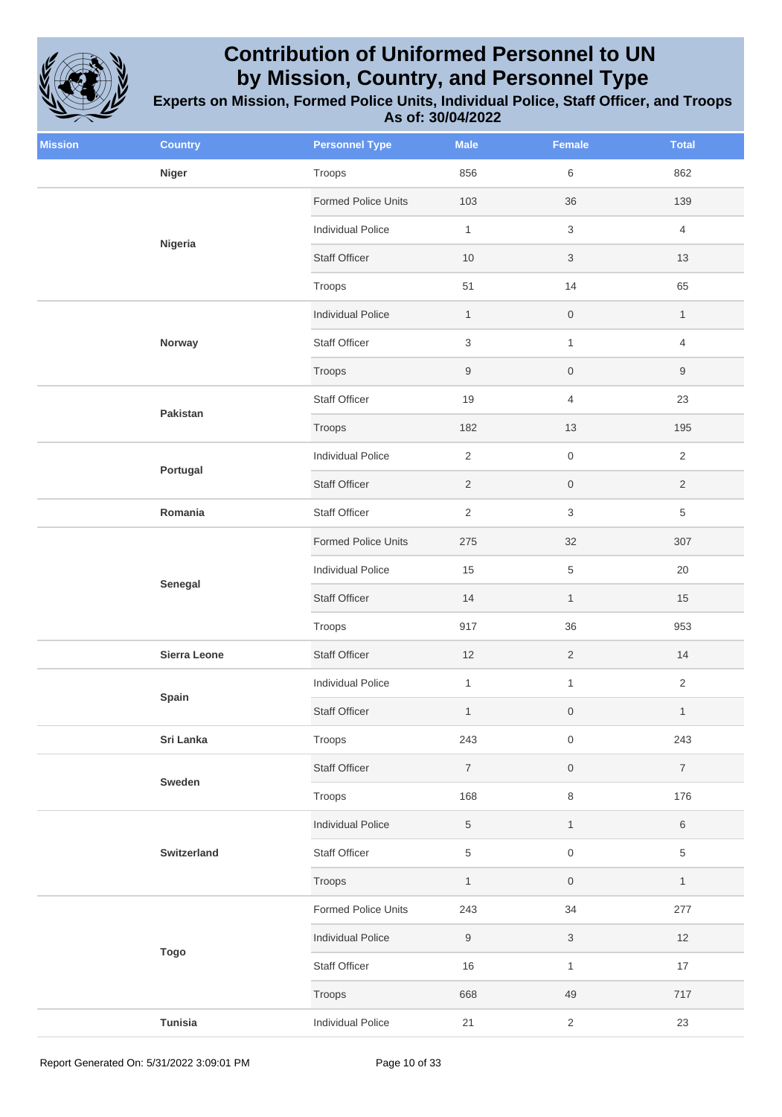

| <b>Mission</b> | <b>Country</b>      | <b>Personnel Type</b>      | <b>Male</b>      | Female                    | <b>Total</b>     |
|----------------|---------------------|----------------------------|------------------|---------------------------|------------------|
|                | <b>Niger</b>        | Troops                     | 856              | 6                         | 862              |
|                | Nigeria             | <b>Formed Police Units</b> | 103              | 36                        | 139              |
|                |                     | <b>Individual Police</b>   | $\mathbf{1}$     | $\ensuremath{\mathsf{3}}$ | $\overline{4}$   |
|                |                     | <b>Staff Officer</b>       | 10               | $\ensuremath{\mathsf{3}}$ | 13               |
|                |                     | Troops                     | 51               | 14                        | 65               |
|                |                     | <b>Individual Police</b>   | $\mathbf{1}$     | $\boldsymbol{0}$          | $\mathbf{1}$     |
|                | Norway              | Staff Officer              | 3                | $\mathbf{1}$              | $\overline{4}$   |
|                |                     | Troops                     | $\boldsymbol{9}$ | $\mathsf{O}\xspace$       | $\boldsymbol{9}$ |
|                |                     | <b>Staff Officer</b>       | 19               | $\overline{4}$            | 23               |
|                | Pakistan            | Troops                     | 182              | 13                        | 195              |
|                |                     | Individual Police          | $\overline{2}$   | $\mathbf 0$               | $\overline{2}$   |
| Portugal       |                     | <b>Staff Officer</b>       | $\sqrt{2}$       | $\mathsf{O}\xspace$       | $\overline{2}$   |
|                | Romania             | <b>Staff Officer</b>       | $\overline{2}$   | $\ensuremath{\mathsf{3}}$ | $\overline{5}$   |
|                | Senegal             | Formed Police Units        | 275              | $32\,$                    | 307              |
|                |                     | <b>Individual Police</b>   | 15               | $\,$ 5 $\,$               | 20               |
|                |                     | <b>Staff Officer</b>       | 14               | $\mathbf{1}$              | 15               |
|                |                     | Troops                     | 917              | 36                        | 953              |
|                | <b>Sierra Leone</b> | <b>Staff Officer</b>       | 12               | $\overline{c}$            | 14               |
|                | Spain               | <b>Individual Police</b>   | $\mathbf{1}$     | $\mathbf{1}$              | $\overline{2}$   |
|                |                     | <b>Staff Officer</b>       | $\mathbf{1}$     | $\mathsf{O}\xspace$       | $\mathbf{1}$     |
|                | Sri Lanka           | Troops                     | 243              | $\mathsf{O}\xspace$       | 243              |
|                | Sweden              | <b>Staff Officer</b>       | $\overline{7}$   | $\boldsymbol{0}$          | $\overline{7}$   |
|                |                     | Troops                     | 168              | $\,8\,$                   | 176              |
|                |                     | <b>Individual Police</b>   | 5                | $\mathbf{1}$              | $\,6\,$          |
|                | Switzerland         | <b>Staff Officer</b>       | 5                | $\mathsf{O}\xspace$       | $\,$ 5 $\,$      |
|                |                     | Troops                     | $\mathbf{1}$     | $\boldsymbol{0}$          | $\mathbf{1}$     |
|                |                     | Formed Police Units        | 243              | 34                        | 277              |
|                | <b>Togo</b>         | <b>Individual Police</b>   | $\boldsymbol{9}$ | $\mathfrak z$             | 12               |
|                |                     | Staff Officer              | 16               | $\mathbf{1}$              | 17               |
|                |                     | Troops                     | 668              | 49                        | 717              |
|                | <b>Tunisia</b>      | <b>Individual Police</b>   | 21               | $\overline{2}$            | 23               |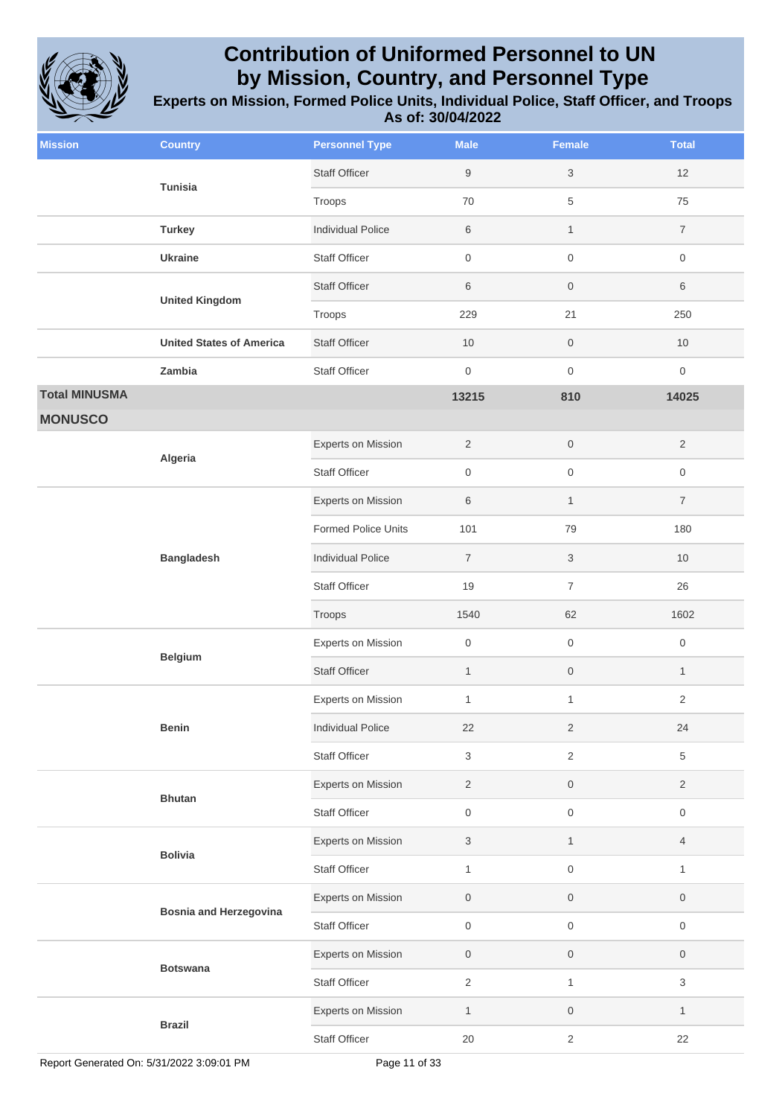

| <b>Mission</b>       | <b>Country</b>                                           | <b>Personnel Type</b>     | <b>Male</b>         | <b>Female</b>             | <b>Total</b>        |
|----------------------|----------------------------------------------------------|---------------------------|---------------------|---------------------------|---------------------|
|                      | Tunisia                                                  | <b>Staff Officer</b>      | $\boldsymbol{9}$    | $\sqrt{3}$                | 12                  |
|                      |                                                          | Troops                    | 70                  | $\sqrt{5}$                | 75                  |
|                      | <b>Turkey</b>                                            | <b>Individual Police</b>  | 6                   | $\mathbf{1}$              | $\overline{7}$      |
|                      | <b>Ukraine</b>                                           | <b>Staff Officer</b>      | $\boldsymbol{0}$    | $\,0\,$                   | $\mathsf{O}\xspace$ |
|                      | <b>United Kingdom</b><br><b>United States of America</b> | <b>Staff Officer</b>      | 6                   | $\mathsf{O}$              | 6                   |
|                      |                                                          | Troops                    | 229                 | 21                        | 250                 |
|                      |                                                          | <b>Staff Officer</b>      | 10                  | $\,0\,$                   | $10$                |
|                      | Zambia                                                   | <b>Staff Officer</b>      | $\boldsymbol{0}$    | $\mathsf 0$               | 0                   |
| <b>Total MINUSMA</b> |                                                          |                           | 13215               | 810                       | 14025               |
| <b>MONUSCO</b>       |                                                          |                           |                     |                           |                     |
|                      | Algeria                                                  | <b>Experts on Mission</b> | $\overline{2}$      | $\mathsf{O}\xspace$       | $\overline{2}$      |
|                      |                                                          | <b>Staff Officer</b>      | $\mathbf 0$         | $\mathsf 0$               | 0                   |
|                      | <b>Bangladesh</b><br><b>Belgium</b>                      | <b>Experts on Mission</b> | $\,6$               | $\mathbf{1}$              | $\overline{7}$      |
|                      |                                                          | Formed Police Units       | 101                 | 79                        | 180                 |
|                      |                                                          | <b>Individual Police</b>  | $\overline{7}$      | $\ensuremath{\mathsf{3}}$ | 10                  |
|                      |                                                          | <b>Staff Officer</b>      | 19                  | $\overline{\mathcal{I}}$  | 26                  |
|                      |                                                          | Troops                    | 1540                | 62                        | 1602                |
|                      |                                                          | <b>Experts on Mission</b> | $\mathbf 0$         | $\,0\,$                   | $\mathsf{O}\xspace$ |
|                      |                                                          | <b>Staff Officer</b>      | $\mathbf{1}$        | $\,0\,$                   | $\mathbf{1}$        |
|                      |                                                          | Experts on Mission        | $\mathbf{1}$        | $\mathbf{1}$              | 2                   |
|                      | <b>Benin</b>                                             | <b>Individual Police</b>  | 22                  | $\sqrt{2}$                | 24                  |
|                      |                                                          | <b>Staff Officer</b>      | 3                   | $\sqrt{2}$                | 5                   |
|                      | <b>Bhutan</b>                                            | Experts on Mission        | $\overline{2}$      | $\,0\,$                   | $\overline{2}$      |
|                      |                                                          | <b>Staff Officer</b>      | $\mathsf{O}\xspace$ | $\mathsf 0$               | 0                   |
|                      | <b>Bolivia</b>                                           | Experts on Mission        | $\sqrt{3}$          | $\mathbf{1}$              | $\overline{4}$      |
|                      |                                                          | <b>Staff Officer</b>      | $\mathbf{1}$        | $\mathsf 0$               | $\mathbf{1}$        |
|                      | <b>Bosnia and Herzegovina</b>                            | <b>Experts on Mission</b> | $\mathbf 0$         | $\,0\,$                   | 0                   |
|                      |                                                          | <b>Staff Officer</b>      | $\boldsymbol{0}$    | $\mathsf 0$               | 0                   |
|                      |                                                          | Experts on Mission        | $\mathsf{O}\xspace$ | $\mathsf{O}$              | 0                   |
|                      | <b>Botswana</b>                                          | <b>Staff Officer</b>      | $\overline{2}$      | $\mathbf{1}$              | 3                   |
|                      |                                                          | Experts on Mission        | $\mathbf{1}$        | $\,0\,$                   | $\mathbf{1}$        |
|                      | <b>Brazil</b>                                            | <b>Staff Officer</b>      | 20                  | $\sqrt{2}$                | 22                  |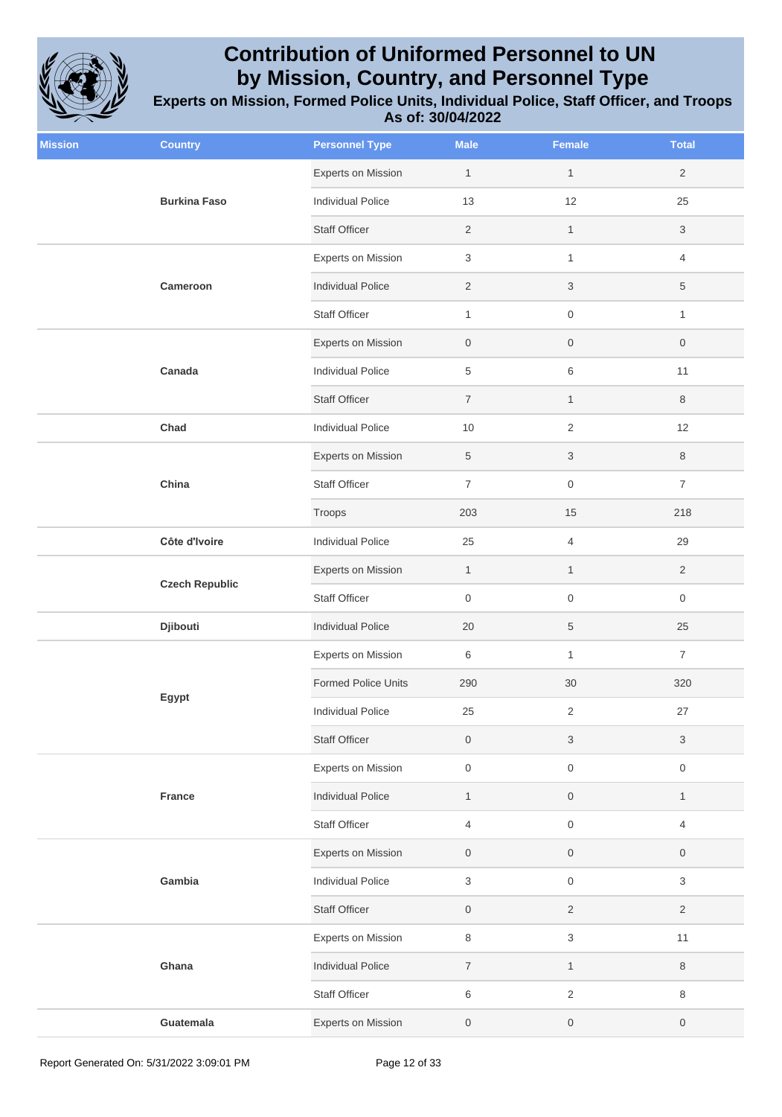

| <b>Mission</b> | <b>Country</b>        | <b>Personnel Type</b>      | <b>Male</b>         | <b>Female</b>             | <b>Total</b>     |
|----------------|-----------------------|----------------------------|---------------------|---------------------------|------------------|
|                |                       | <b>Experts on Mission</b>  | $\mathbf{1}$        | $\mathbf{1}$              | $\overline{2}$   |
|                | <b>Burkina Faso</b>   | <b>Individual Police</b>   | 13                  | 12                        | 25               |
|                |                       | <b>Staff Officer</b>       | 2                   | $\mathbf{1}$              | 3                |
|                |                       | <b>Experts on Mission</b>  | 3                   | $\mathbf{1}$              | 4                |
|                | Cameroon              | <b>Individual Police</b>   | $\sqrt{2}$          | $\ensuremath{\mathsf{3}}$ | 5                |
|                |                       | <b>Staff Officer</b>       | $\mathbf{1}$        | $\mathsf{O}\xspace$       | $\mathbf{1}$     |
|                |                       | Experts on Mission         | $\mathbf 0$         | $\boldsymbol{0}$          | 0                |
|                | Canada                | <b>Individual Police</b>   | $\,$ 5 $\,$         | $\,6\,$                   | 11               |
|                |                       | <b>Staff Officer</b>       | $\overline{7}$      | $\mathbf{1}$              | 8                |
|                | Chad                  | <b>Individual Police</b>   | $10$                | $\overline{2}$            | 12               |
|                |                       | <b>Experts on Mission</b>  | $\sqrt{5}$          | $\ensuremath{\mathsf{3}}$ | 8                |
|                | China                 | <b>Staff Officer</b>       | $\overline{7}$      | $\mathsf{O}\xspace$       | $\overline{7}$   |
|                |                       | Troops                     | 203                 | 15                        | 218              |
|                | Côte d'Ivoire         | <b>Individual Police</b>   | 25                  | $\overline{4}$            | 29               |
|                | <b>Czech Republic</b> | Experts on Mission         | $\mathbf{1}$        | $\mathbf{1}$              | $\overline{2}$   |
|                |                       | <b>Staff Officer</b>       | $\mathsf{O}\xspace$ | $\,0\,$                   | 0                |
|                | Djibouti              | <b>Individual Police</b>   | 20                  | $\,$ 5 $\,$               | 25               |
|                |                       | Experts on Mission         | 6                   | $\mathbf{1}$              | $\overline{7}$   |
|                |                       | <b>Formed Police Units</b> | 290                 | 30                        | 320              |
|                | Egypt                 | <b>Individual Police</b>   | 25                  | $\sqrt{2}$                | 27               |
|                |                       | <b>Staff Officer</b>       | $\boldsymbol{0}$    | $\sqrt{3}$                | 3                |
|                |                       | Experts on Mission         | $\boldsymbol{0}$    | $\mathsf{O}\xspace$       | $\mathsf 0$      |
|                | France                | <b>Individual Police</b>   | $\mathbf{1}$        | $\mathsf{O}\xspace$       | $\mathbf{1}$     |
|                |                       | <b>Staff Officer</b>       | $\overline{4}$      | $\mathsf{O}\xspace$       | 4                |
|                |                       | <b>Experts on Mission</b>  | $\mathbf 0$         | $\mathsf{O}\xspace$       | $\boldsymbol{0}$ |
|                | Gambia                | <b>Individual Police</b>   | $\sqrt{3}$          | $\mathsf{O}\xspace$       | 3                |
|                |                       | <b>Staff Officer</b>       | $\mathsf{O}\xspace$ | $\sqrt{2}$                | $\overline{2}$   |
|                |                       | Experts on Mission         | $\,8\,$             | 3                         | 11               |
|                | Ghana                 | <b>Individual Police</b>   | $\overline{7}$      | $\mathbf{1}$              | 8                |
|                |                       | <b>Staff Officer</b>       | 6                   | $\mathbf{2}$              | 8                |
|                | Guatemala             | Experts on Mission         | $\boldsymbol{0}$    | $\,0\,$                   | 0                |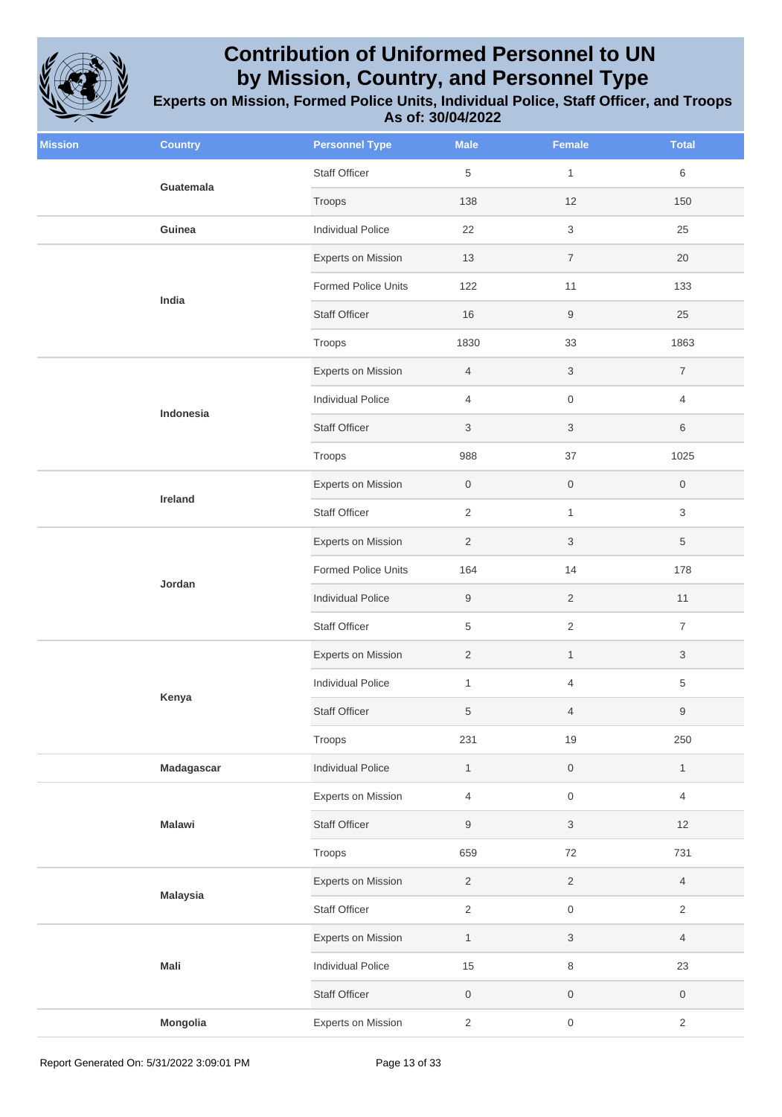

| <b>Mission</b> | <b>Country</b>  | <b>Personnel Type</b>      | <b>Male</b>      | <b>Female</b>       | <b>Total</b>        |
|----------------|-----------------|----------------------------|------------------|---------------------|---------------------|
|                | Guatemala       | <b>Staff Officer</b>       | $\,$ 5 $\,$      | $\mathbf{1}$        | 6                   |
|                |                 | Troops                     | 138              | 12                  | 150                 |
|                | Guinea          | <b>Individual Police</b>   | 22               | $\sqrt{3}$          | 25                  |
|                |                 | Experts on Mission         | 13               | $\overline{7}$      | 20                  |
|                | India           | <b>Formed Police Units</b> | 122              | 11                  | 133                 |
|                |                 | <b>Staff Officer</b>       | 16               | $\boldsymbol{9}$    | 25                  |
|                |                 | Troops                     | 1830             | 33                  | 1863                |
|                |                 | Experts on Mission         | $\overline{4}$   | $\sqrt{3}$          | $\overline{7}$      |
|                | Indonesia       | <b>Individual Police</b>   | $\overline{4}$   | $\mathsf{O}\xspace$ | 4                   |
|                |                 | <b>Staff Officer</b>       | $\mathfrak{S}$   | $\sqrt{3}$          | 6                   |
|                |                 | Troops                     | 988              | 37                  | 1025                |
|                | Ireland         | Experts on Mission         | $\boldsymbol{0}$ | $\mathsf{O}\xspace$ | $\boldsymbol{0}$    |
|                |                 | <b>Staff Officer</b>       | $\overline{2}$   | $\mathbf{1}$        | 3                   |
|                |                 | Experts on Mission         | $\overline{2}$   | $\sqrt{3}$          | 5                   |
|                |                 | Formed Police Units        | 164              | 14                  | 178                 |
|                | Jordan          | <b>Individual Police</b>   | $\boldsymbol{9}$ | $\overline{2}$      | 11                  |
|                |                 | <b>Staff Officer</b>       | $\,$ 5 $\,$      | $\sqrt{2}$          | $\overline{7}$      |
|                |                 | Experts on Mission         | $\overline{2}$   | $\mathbf{1}$        | 3                   |
|                | Kenya           | <b>Individual Police</b>   | $\mathbf{1}$     | $\overline{4}$      | 5                   |
|                |                 | <b>Staff Officer</b>       | $\sqrt{5}$       | $\overline{4}$      | 9                   |
|                |                 | Troops                     | 231              | 19                  | 250                 |
|                | Madagascar      | <b>Individual Police</b>   | $\mathbf{1}$     | $\mathsf{O}\xspace$ | $\mathbf{1}$        |
|                |                 | Experts on Mission         | $\overline{4}$   | $\mathsf{O}\xspace$ | 4                   |
|                | <b>Malawi</b>   | Staff Officer              | $\boldsymbol{9}$ | $\sqrt{3}$          | 12                  |
|                |                 | Troops                     | 659              | 72                  | 731                 |
|                |                 | Experts on Mission         | $\overline{c}$   | $\sqrt{2}$          | $\overline{4}$      |
|                | <b>Malaysia</b> | Staff Officer              | $\overline{2}$   | $\mathsf{O}\xspace$ | $\mathbf{2}$        |
|                |                 | Experts on Mission         | $\mathbf{1}$     | $\sqrt{3}$          | 4                   |
|                | Mali            | <b>Individual Police</b>   | 15               | $\,8\,$             | 23                  |
|                |                 | <b>Staff Officer</b>       | $\boldsymbol{0}$ | $\mathsf{O}\xspace$ | $\mathsf{O}\xspace$ |
|                | Mongolia        | Experts on Mission         | 2                | $\mathsf{O}\xspace$ | $\overline{2}$      |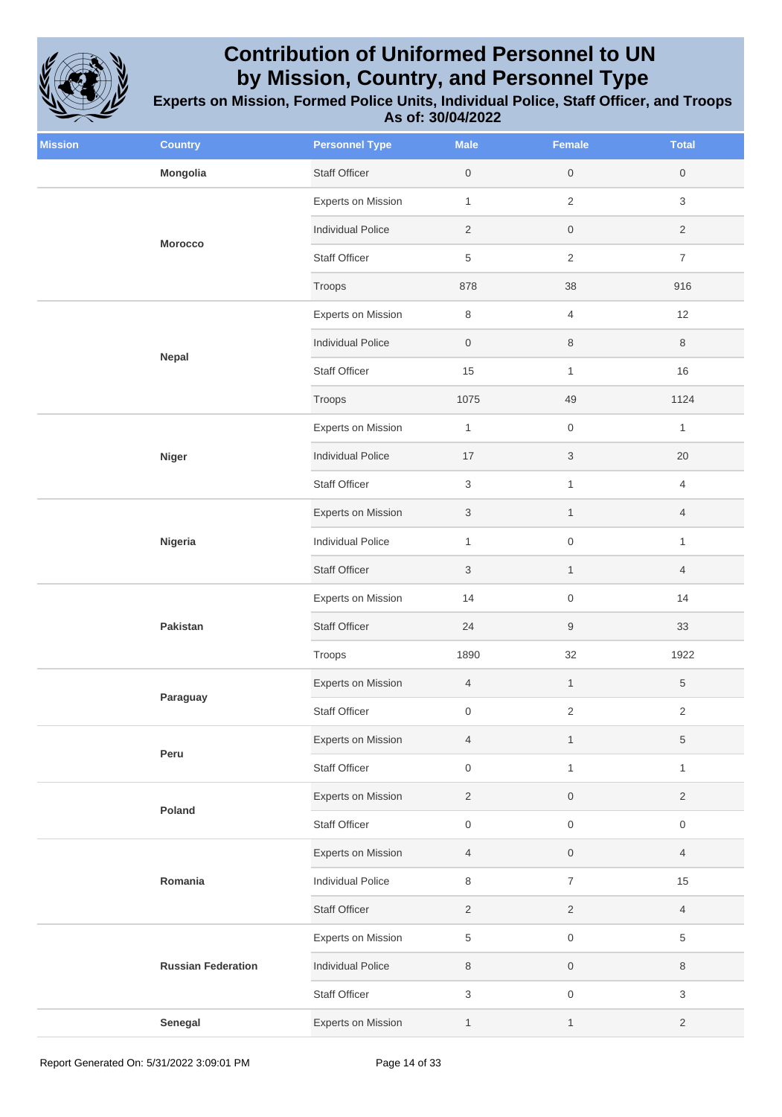

| <b>Mission</b> | <b>Country</b>            | <b>Personnel Type</b>     | <b>Male</b>               | Female                    | <b>Total</b>        |
|----------------|---------------------------|---------------------------|---------------------------|---------------------------|---------------------|
|                | Mongolia                  | <b>Staff Officer</b>      | $\mathsf{O}\xspace$       | $\,0\,$                   | $\boldsymbol{0}$    |
|                | <b>Morocco</b>            | Experts on Mission        | $\mathbf{1}$              | $\sqrt{2}$                | 3                   |
|                |                           | <b>Individual Police</b>  | $\sqrt{2}$                | $\mathsf{O}\xspace$       | $\overline{2}$      |
|                |                           | <b>Staff Officer</b>      | $\,$ 5 $\,$               | $\sqrt{2}$                | $\boldsymbol{7}$    |
|                |                           | Troops                    | 878                       | 38                        | 916                 |
|                |                           | <b>Experts on Mission</b> | 8                         | $\overline{4}$            | 12                  |
|                | Nepal                     | <b>Individual Police</b>  | $\mathsf{O}\xspace$       | $\,8\,$                   | $\,8\,$             |
|                |                           | <b>Staff Officer</b>      | 15                        | $\mathbf{1}$              | 16                  |
|                |                           | Troops                    | 1075                      | 49                        | 1124                |
|                |                           | <b>Experts on Mission</b> | $\mathbf{1}$              | $\,0\,$                   | $\mathbf{1}$        |
|                | <b>Niger</b>              | <b>Individual Police</b>  | 17                        | $\ensuremath{\mathsf{3}}$ | 20                  |
|                |                           | Staff Officer             | 3                         | $\mathbf{1}$              | 4                   |
|                | Nigeria                   | Experts on Mission        | $\ensuremath{\mathsf{3}}$ | $\mathbf{1}$              | $\overline{4}$      |
|                |                           | <b>Individual Police</b>  | $\mathbf{1}$              | $\,0\,$                   | $\mathbf{1}$        |
|                |                           | <b>Staff Officer</b>      | $\sqrt{3}$                | $\mathbf{1}$              | $\overline{4}$      |
|                |                           | <b>Experts on Mission</b> | 14                        | $\,0\,$                   | 14                  |
|                | Pakistan                  | <b>Staff Officer</b>      | 24                        | $\boldsymbol{9}$          | 33                  |
|                |                           | Troops                    | 1890                      | $32\,$                    | 1922                |
|                | Paraguay                  | Experts on Mission        | $\overline{4}$            | $\mathbf{1}$              | 5                   |
|                |                           | Staff Officer             | $\mathsf{O}\xspace$       | $\sqrt{2}$                | $\overline{2}$      |
|                | Peru                      | Experts on Mission        | $\overline{4}$            | $\mathbf{1}$              | 5                   |
|                |                           | Staff Officer             | $\mathsf{O}\xspace$       | $\mathbf{1}$              | $\mathbf{1}$        |
|                | Poland                    | Experts on Mission        | $\sqrt{2}$                | $\mathsf{O}\xspace$       | $\overline{2}$      |
|                |                           | Staff Officer             | $\boldsymbol{0}$          | $\,0\,$                   | $\mathsf{O}\xspace$ |
|                |                           | Experts on Mission        | $\overline{4}$            | $\,0\,$                   | $\overline{4}$      |
|                | Romania                   | <b>Individual Police</b>  | 8                         | $\overline{\mathcal{I}}$  | 15                  |
|                |                           | <b>Staff Officer</b>      | $\overline{2}$            | $\overline{2}$            | $\overline{4}$      |
|                |                           | <b>Experts on Mission</b> | $\,$ 5 $\,$               | $\mathsf{O}\xspace$       | 5                   |
|                | <b>Russian Federation</b> | <b>Individual Police</b>  | $\,8\,$                   | $\mathsf{O}\xspace$       | 8                   |
|                |                           | <b>Staff Officer</b>      | $\sqrt{3}$                | $\,0\,$                   | 3                   |
|                | Senegal                   | Experts on Mission        | $\mathbf{1}$              | $\mathbf{1}$              | $\overline{2}$      |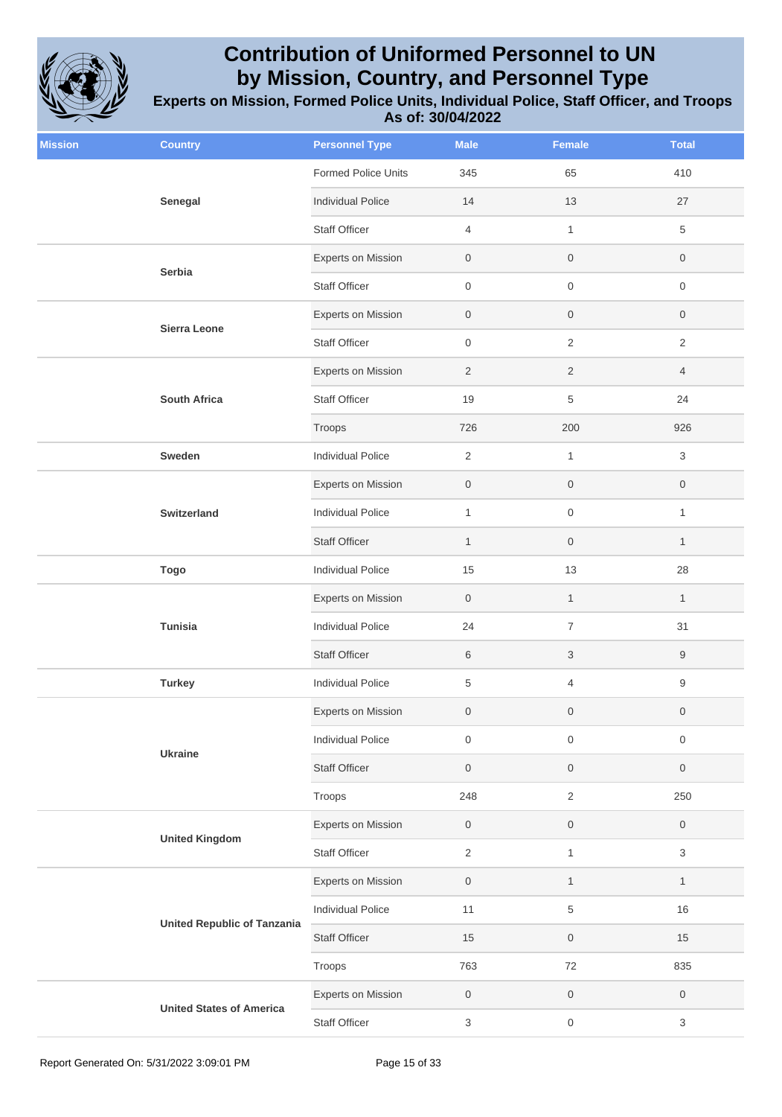

| <b>Mission</b> | <b>Country</b>                     | <b>Personnel Type</b>      | <b>Male</b>               | <b>Female</b>       | <b>Total</b>              |
|----------------|------------------------------------|----------------------------|---------------------------|---------------------|---------------------------|
|                |                                    | <b>Formed Police Units</b> | 345                       | 65                  | 410                       |
|                | Senegal                            | <b>Individual Police</b>   | 14                        | 13                  | 27                        |
|                |                                    | <b>Staff Officer</b>       | $\overline{4}$            | $\mathbf{1}$        | $\,$ 5 $\,$               |
|                | Serbia                             | Experts on Mission         | $\boldsymbol{0}$          | $\boldsymbol{0}$    | $\boldsymbol{0}$          |
|                |                                    | <b>Staff Officer</b>       | $\boldsymbol{0}$          | $\mathbf 0$         | $\mathbf 0$               |
|                | Sierra Leone                       | Experts on Mission         | $\boldsymbol{0}$          | $\mathbf 0$         | 0                         |
|                |                                    | <b>Staff Officer</b>       | $\boldsymbol{0}$          | $\sqrt{2}$          | $\sqrt{2}$                |
|                |                                    | Experts on Mission         | $\overline{2}$            | $\overline{2}$      | $\overline{4}$            |
|                | <b>South Africa</b>                | <b>Staff Officer</b>       | 19                        | $\,$ 5 $\,$         | 24                        |
|                |                                    | Troops                     | 726                       | 200                 | 926                       |
|                | Sweden                             | Individual Police          | $\overline{2}$            | $\mathbf{1}$        | 3                         |
|                |                                    | <b>Experts on Mission</b>  | $\mathsf{O}\xspace$       | $\mathsf{O}\xspace$ | $\mathsf{O}\xspace$       |
|                | Switzerland                        | <b>Individual Police</b>   | $\mathbf{1}$              | $\mathsf{O}\xspace$ | $\mathbf{1}$              |
|                |                                    | <b>Staff Officer</b>       | $\mathbf{1}$              | $\mathsf{O}$        | $\mathbf{1}$              |
|                | <b>Togo</b>                        | Individual Police          | 15                        | 13                  | 28                        |
|                | Tunisia                            | Experts on Mission         | $\boldsymbol{0}$          | $\mathbf{1}$        | $\mathbf{1}$              |
|                |                                    | <b>Individual Police</b>   | 24                        | $\overline{7}$      | 31                        |
|                |                                    | <b>Staff Officer</b>       | 6                         | $\sqrt{3}$          | 9                         |
|                | <b>Turkey</b>                      | <b>Individual Police</b>   | 5                         | $\overline{4}$      | $\boldsymbol{9}$          |
|                |                                    | Experts on Mission         | $\boldsymbol{0}$          | $\boldsymbol{0}$    | $\boldsymbol{0}$          |
|                | <b>Ukraine</b>                     | <b>Individual Police</b>   | $\boldsymbol{0}$          | $\mathsf{O}\xspace$ | $\mathsf{O}\xspace$       |
|                |                                    | <b>Staff Officer</b>       | $\boldsymbol{0}$          | $\mathsf{O}\xspace$ | $\mathsf{O}\xspace$       |
|                |                                    | Troops                     | 248                       | $\overline{2}$      | 250                       |
|                | <b>United Kingdom</b>              | Experts on Mission         | $\boldsymbol{0}$          | $\,0\,$             | $\boldsymbol{0}$          |
|                |                                    | Staff Officer              | $\overline{2}$            | $\mathbf{1}$        | $\sqrt{3}$                |
|                |                                    | Experts on Mission         | $\boldsymbol{0}$          | $\mathbf{1}$        | $\mathbf{1}$              |
|                | <b>United Republic of Tanzania</b> | <b>Individual Police</b>   | 11                        | $\,$ 5 $\,$         | 16                        |
|                |                                    | <b>Staff Officer</b>       | 15                        | $\mathsf{O}\xspace$ | 15                        |
|                |                                    | Troops                     | 763                       | 72                  | 835                       |
|                |                                    | Experts on Mission         | $\boldsymbol{0}$          | $\mathsf{O}\xspace$ | $\mathsf{O}\xspace$       |
|                | <b>United States of America</b>    | <b>Staff Officer</b>       | $\ensuremath{\mathsf{3}}$ | $\,0\,$             | $\ensuremath{\mathsf{3}}$ |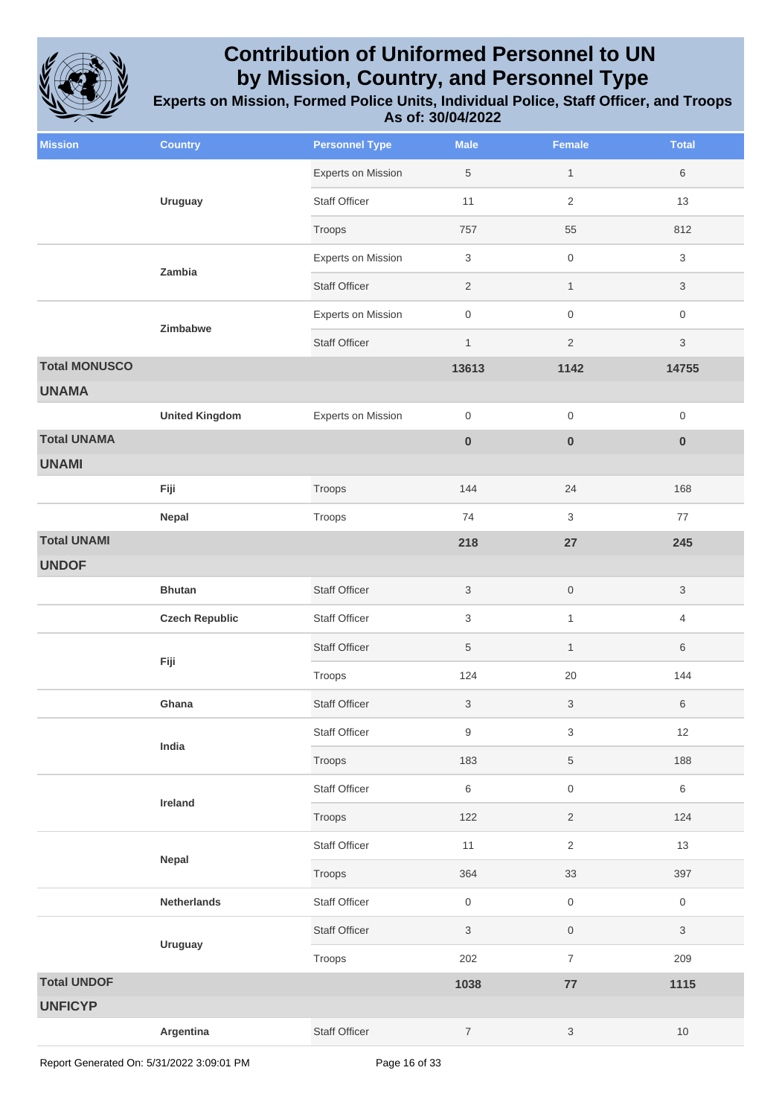

| <b>Mission</b>                     | <b>Country</b>        | <b>Personnel Type</b>     | <b>Male</b>               | <b>Female</b>             | <b>Total</b>        |
|------------------------------------|-----------------------|---------------------------|---------------------------|---------------------------|---------------------|
|                                    | <b>Uruguay</b>        | <b>Experts on Mission</b> | 5                         | $\mathbf{1}$              | 6                   |
|                                    |                       | <b>Staff Officer</b>      | 11                        | $\sqrt{2}$                | 13                  |
|                                    |                       | Troops                    | 757                       | 55                        | 812                 |
|                                    | Zambia                | <b>Experts on Mission</b> | 3                         | $\mathsf{O}\xspace$       | 3                   |
|                                    |                       | <b>Staff Officer</b>      | $\overline{2}$            | $\mathbf{1}$              | 3                   |
|                                    |                       | <b>Experts on Mission</b> | $\mathsf{O}\xspace$       | $\mathsf{O}\xspace$       | 0                   |
|                                    | Zimbabwe              | <b>Staff Officer</b>      | $\mathbf{1}$              | $\overline{2}$            | 3                   |
| <b>Total MONUSCO</b>               |                       |                           | 13613                     | 1142                      | 14755               |
| <b>UNAMA</b>                       |                       |                           |                           |                           |                     |
|                                    | <b>United Kingdom</b> | <b>Experts on Mission</b> | $\,0\,$                   | $\mathsf{O}\xspace$       | 0                   |
| <b>Total UNAMA</b><br><b>UNAMI</b> |                       |                           | $\pmb{0}$                 | $\pmb{0}$                 | $\pmb{0}$           |
|                                    | Fiji                  | Troops                    | 144                       | 24                        | 168                 |
|                                    | Nepal                 | Troops                    | 74                        | 3                         | 77                  |
| <b>Total UNAMI</b>                 |                       |                           | 218                       | 27                        | 245                 |
| <b>UNDOF</b>                       |                       |                           |                           |                           |                     |
|                                    | <b>Bhutan</b>         | <b>Staff Officer</b>      | $\mathbf{3}$              | $\,0\,$                   | 3                   |
|                                    | <b>Czech Republic</b> | <b>Staff Officer</b>      | 3                         | $\mathbf{1}$              | 4                   |
|                                    |                       | <b>Staff Officer</b>      | 5                         | $\mathbf{1}$              | 6                   |
|                                    | Fiji                  | Troops                    | 124                       | 20                        | 144                 |
|                                    | Ghana                 | <b>Staff Officer</b>      | $\ensuremath{\mathsf{3}}$ | $\sqrt{3}$                | 6                   |
|                                    | India                 | <b>Staff Officer</b>      | $\boldsymbol{9}$          | $\sqrt{3}$                | 12                  |
|                                    |                       | Troops                    | 183                       | $\,$ 5 $\,$               | 188                 |
|                                    | Ireland               | <b>Staff Officer</b>      | $\,6\,$                   | $\mathsf{O}\xspace$       | 6                   |
|                                    |                       | Troops                    | 122                       | $\sqrt{2}$                | 124                 |
|                                    | Nepal                 | <b>Staff Officer</b>      | 11                        | $\mathbf{2}$              | 13                  |
|                                    |                       | Troops                    | 364                       | 33                        | 397                 |
|                                    | <b>Netherlands</b>    | Staff Officer             | $\,0\,$                   | $\,0\,$                   | $\mathsf{O}\xspace$ |
|                                    | <b>Uruguay</b>        | <b>Staff Officer</b>      | $\sqrt{3}$                | $\mathsf{O}\xspace$       | 3                   |
|                                    |                       | Troops                    | 202                       | $\boldsymbol{7}$          | 209                 |
| <b>Total UNDOF</b>                 |                       |                           | 1038                      | ${\bf 77}$                | 1115                |
| <b>UNFICYP</b>                     |                       |                           |                           |                           |                     |
|                                    | Argentina             | Staff Officer             | $\boldsymbol{7}$          | $\ensuremath{\mathsf{3}}$ | $10$                |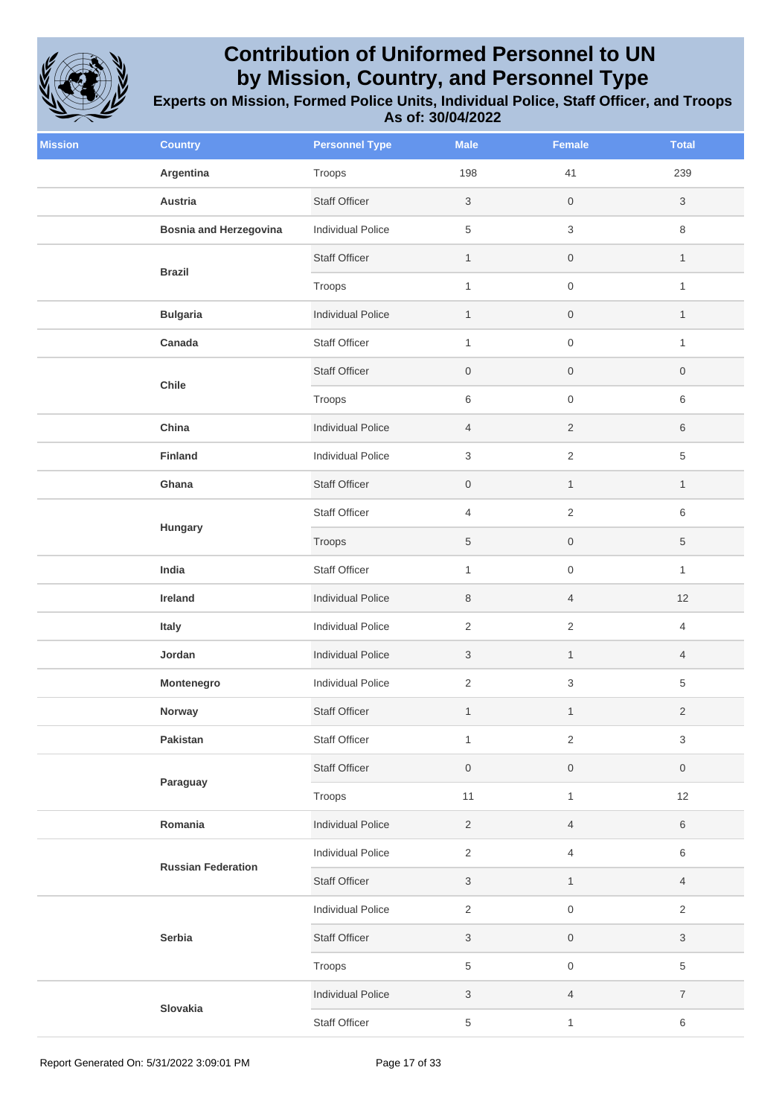

| <b>Mission</b> | <b>Country</b>                | <b>Personnel Type</b>    | <b>Male</b>               | Female                    | <b>Total</b>     |
|----------------|-------------------------------|--------------------------|---------------------------|---------------------------|------------------|
|                | Argentina                     | Troops                   | 198                       | 41                        | 239              |
|                | Austria                       | <b>Staff Officer</b>     | $\sqrt{3}$                | $\mathsf{O}\xspace$       | $\mathfrak{S}$   |
|                | <b>Bosnia and Herzegovina</b> | Individual Police        | $\,$ 5 $\,$               | $\ensuremath{\mathsf{3}}$ | 8                |
|                |                               | <b>Staff Officer</b>     | $\mathbf{1}$              | $\boldsymbol{0}$          | $\mathbf{1}$     |
|                | <b>Brazil</b>                 | Troops                   | $\mathbf{1}$              | $\mathsf{O}\xspace$       | $\mathbf{1}$     |
|                | <b>Bulgaria</b>               | <b>Individual Police</b> | $\mathbf{1}$              | $\boldsymbol{0}$          | 1                |
|                | Canada                        | <b>Staff Officer</b>     | $\mathbf{1}$              | $\mathsf{O}\xspace$       | $\mathbf{1}$     |
|                |                               | <b>Staff Officer</b>     | $\mathsf{O}\xspace$       | $\mathsf{O}\xspace$       | $\boldsymbol{0}$ |
|                | Chile                         | Troops                   | $\,6\,$                   | $\mathsf{O}\xspace$       | $\,6\,$          |
|                | China                         | <b>Individual Police</b> | $\overline{4}$            | $\sqrt{2}$                | 6                |
|                | <b>Finland</b>                | Individual Police        | 3                         | $\sqrt{2}$                | 5                |
|                | Ghana                         | <b>Staff Officer</b>     | $\,0\,$                   | $\mathbf{1}$              | $\mathbf{1}$     |
|                | Hungary                       | <b>Staff Officer</b>     | $\overline{4}$            | $\sqrt{2}$                | $\,6\,$          |
|                |                               | Troops                   | 5                         | $\mathsf{O}\xspace$       | 5                |
|                | India                         | <b>Staff Officer</b>     | $\mathbf{1}$              | $\mathsf{O}\xspace$       | $\mathbf{1}$     |
|                | Ireland                       | <b>Individual Police</b> | 8                         | $\overline{4}$            | 12               |
|                | Italy                         | Individual Police        | $\overline{2}$            | $\sqrt{2}$                | 4                |
|                | Jordan                        | <b>Individual Police</b> | $\sqrt{3}$                | $\mathbf{1}$              | 4                |
|                | Montenegro                    | <b>Individual Police</b> | $\sqrt{2}$                | $\ensuremath{\mathsf{3}}$ | 5                |
|                | Norway                        | <b>Staff Officer</b>     | $\mathbf{1}$              | $\mathbf{1}$              | $\overline{2}$   |
|                | Pakistan                      | <b>Staff Officer</b>     | $\mathbf{1}$              | $\sqrt{2}$                | 3                |
|                | Paraguay                      | Staff Officer            | $\mathsf{O}\xspace$       | $\mathsf{O}\xspace$       | $\,0\,$          |
|                |                               | Troops                   | 11                        | $\mathbf{1}$              | 12               |
|                | Romania                       | <b>Individual Police</b> | $\overline{2}$            | $\overline{4}$            | $\,6\,$          |
|                | <b>Russian Federation</b>     | Individual Police        | $\overline{2}$            | $\overline{4}$            | $\,6\,$          |
|                |                               | <b>Staff Officer</b>     | $\sqrt{3}$                | $\mathbf{1}$              | $\overline{4}$   |
|                |                               | Individual Police        | $\overline{2}$            | $\mathsf{O}\xspace$       | $\sqrt{2}$       |
|                | Serbia                        | Staff Officer            | 3                         | $\boldsymbol{0}$          | 3                |
|                |                               | Troops                   | $\,$ 5 $\,$               | $\mathsf{O}\xspace$       | 5                |
|                |                               | <b>Individual Police</b> | $\ensuremath{\mathsf{3}}$ | $\overline{4}$            | $\overline{7}$   |
|                | Slovakia                      | <b>Staff Officer</b>     | 5                         | $\mathbf{1}$              | $\,6\,$          |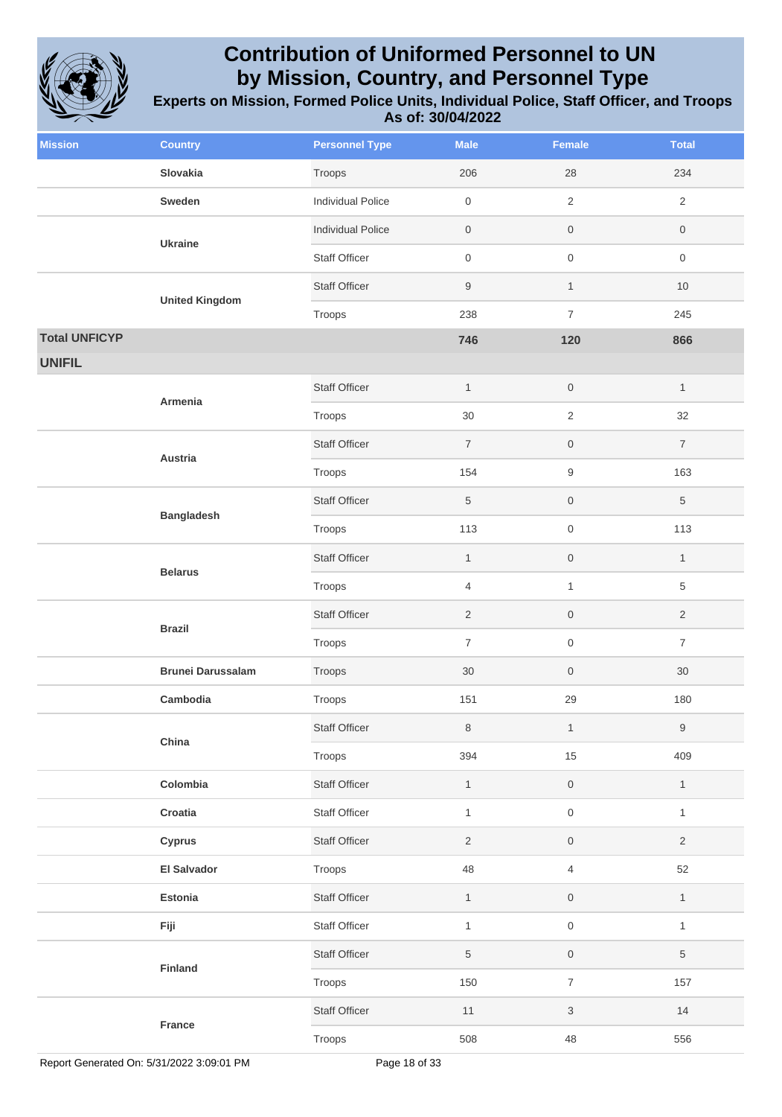

| <b>Mission</b>       | <b>Country</b>           | <b>Personnel Type</b>    | <b>Male</b>         | <b>Female</b>       | <b>Total</b>        |
|----------------------|--------------------------|--------------------------|---------------------|---------------------|---------------------|
|                      | Slovakia                 | Troops                   | 206                 | 28                  | 234                 |
|                      | Sweden                   | <b>Individual Police</b> | $\mathsf{O}\xspace$ | $\overline{2}$      | $\overline{2}$      |
|                      | <b>Ukraine</b>           | <b>Individual Police</b> | $\mathsf{O}\xspace$ | $\mathsf{O}\xspace$ | $\boldsymbol{0}$    |
|                      |                          | <b>Staff Officer</b>     | $\mathsf{O}\xspace$ | $\,0\,$             | $\mathsf{O}\xspace$ |
|                      |                          | <b>Staff Officer</b>     | $\boldsymbol{9}$    | $\mathbf{1}$        | $10$                |
|                      | <b>United Kingdom</b>    | Troops                   | 238                 | $\overline{7}$      | 245                 |
| <b>Total UNFICYP</b> |                          |                          | 746                 | 120                 | 866                 |
| <b>UNIFIL</b>        |                          |                          |                     |                     |                     |
|                      | Armenia                  | <b>Staff Officer</b>     | $\mathbf{1}$        | $\mathsf{O}\xspace$ | $\mathbf{1}$        |
|                      |                          | Troops                   | 30                  | $\sqrt{2}$          | 32                  |
|                      | Austria                  | <b>Staff Officer</b>     | $\overline{7}$      | $\mathbf 0$         | $\overline{7}$      |
|                      |                          | Troops                   | 154                 | $\boldsymbol{9}$    | 163                 |
|                      | <b>Bangladesh</b>        | <b>Staff Officer</b>     | $\,$ 5 $\,$         | $\,0\,$             | $\,$ 5 $\,$         |
|                      |                          | Troops                   | 113                 | $\mathsf{O}\xspace$ | 113                 |
|                      | <b>Belarus</b>           | <b>Staff Officer</b>     | $\mathbf{1}$        | $\mathsf{O}$        | $\mathbf{1}$        |
|                      |                          | Troops                   | $\overline{4}$      | $\mathbf{1}$        | $\sqrt{5}$          |
|                      | <b>Brazil</b>            | <b>Staff Officer</b>     | $\sqrt{2}$          | $\,0\,$             | $\overline{c}$      |
|                      |                          | Troops                   | $\overline{7}$      | $\,0\,$             | $\overline{7}$      |
|                      | <b>Brunei Darussalam</b> | Troops                   | 30                  | $\,0\,$             | 30                  |
|                      | Cambodia                 | Troops                   | 151                 | 29                  | 180                 |
|                      | China                    | <b>Staff Officer</b>     | 8                   | $\mathbf{1}$        | $\boldsymbol{9}$    |
|                      |                          | Troops                   | 394                 | $15\,$              | 409                 |
|                      | Colombia                 | <b>Staff Officer</b>     | $\mathbf{1}$        | $\mathsf{O}\xspace$ | $\mathbf{1}$        |
|                      | Croatia                  | Staff Officer            | $\mathbf{1}$        | $\mathsf{O}\xspace$ | $\mathbf{1}$        |
|                      | Cyprus                   | <b>Staff Officer</b>     | $\overline{2}$      | $\mathsf{O}\xspace$ | $\overline{2}$      |
|                      | <b>El Salvador</b>       | Troops                   | 48                  | $\overline{4}$      | 52                  |
|                      | Estonia                  | <b>Staff Officer</b>     | $\mathbf{1}$        | $\mathsf{O}\xspace$ | $\mathbf{1}$        |
|                      | Fiji                     | Staff Officer            | $\mathbf{1}$        | $\mathsf{O}\xspace$ | $\mathbf{1}$        |
|                      |                          | <b>Staff Officer</b>     | $\,$ 5 $\,$         | $\mathsf{O}\xspace$ | 5                   |
|                      | Finland                  | Troops                   | 150                 | $\boldsymbol{7}$    | 157                 |
|                      |                          | <b>Staff Officer</b>     | $11$                | $\sqrt{3}$          | 14                  |
|                      | France                   | Troops                   | 508                 | 48                  | 556                 |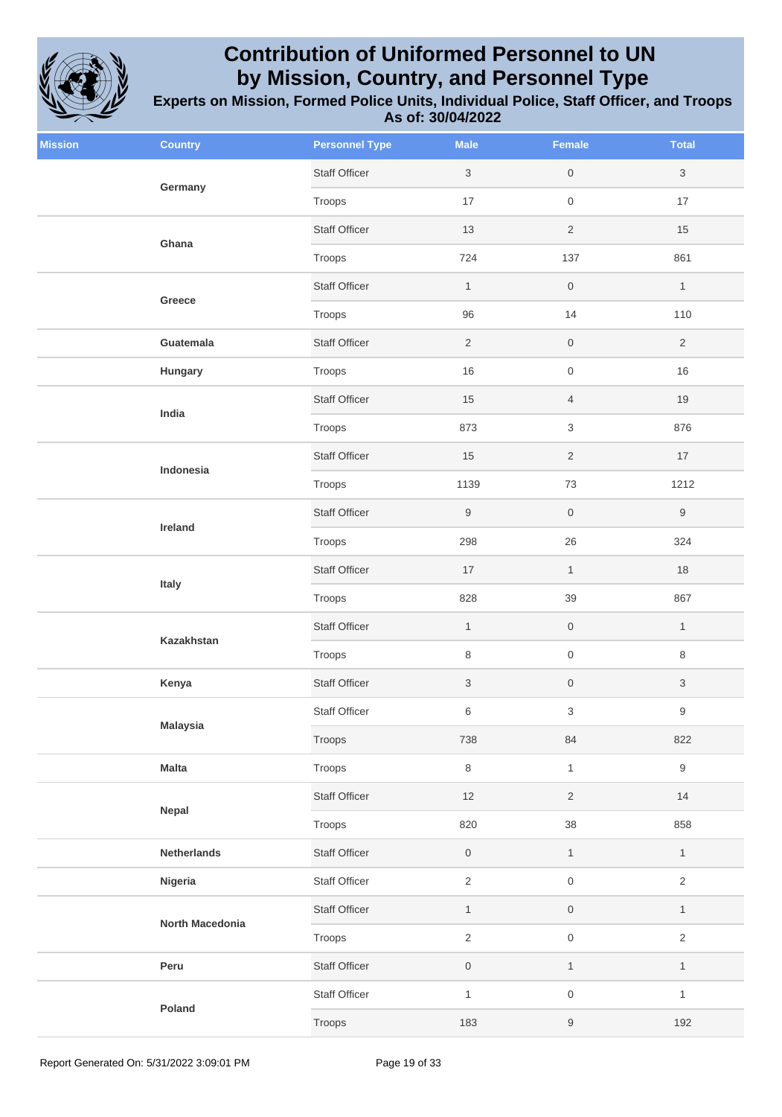

| <b>Mission</b> | <b>Country</b>      | <b>Personnel Type</b> | <b>Male</b>               | Female                    | <b>Total</b>     |
|----------------|---------------------|-----------------------|---------------------------|---------------------------|------------------|
|                | Germany             | <b>Staff Officer</b>  | $\sqrt{3}$                | $\mathsf{O}\xspace$       | 3                |
|                |                     | Troops                | 17                        | $\,0\,$                   | 17               |
|                | Ghana               | <b>Staff Officer</b>  | 13                        | $\overline{2}$            | 15               |
|                |                     | Troops                | 724                       | 137                       | 861              |
|                | Greece<br>Guatemala | <b>Staff Officer</b>  | $\mathbf{1}$              | $\mathsf{O}\xspace$       | $\mathbf{1}$     |
|                |                     | Troops                | 96                        | 14                        | 110              |
|                |                     | <b>Staff Officer</b>  | $\sqrt{2}$                | $\,0\,$                   | $\overline{2}$   |
|                | Hungary             | Troops                | 16                        | $\mathsf{O}\xspace$       | 16               |
|                | India               | <b>Staff Officer</b>  | 15                        | $\overline{4}$            | 19               |
|                |                     | Troops                | 873                       | $\mathfrak{S}$            | 876              |
|                |                     | <b>Staff Officer</b>  | 15                        | $\overline{c}$            | 17               |
|                | Indonesia           | Troops                | 1139                      | 73                        | 1212             |
|                |                     | <b>Staff Officer</b>  | $\boldsymbol{9}$          | $\mathsf{O}\xspace$       | $\boldsymbol{9}$ |
|                | Ireland             | Troops                | 298                       | 26                        | 324              |
|                | Italy<br>Kazakhstan | <b>Staff Officer</b>  | 17                        | $\mathbf{1}$              | 18               |
|                |                     | Troops                | 828                       | 39                        | 867              |
|                |                     | <b>Staff Officer</b>  | $\mathbf{1}$              | $\,0\,$                   | $\mathbf{1}$     |
|                |                     | Troops                | 8                         | $\mathsf{O}\xspace$       | 8                |
|                | Kenya               | Staff Officer         | $\ensuremath{\mathsf{3}}$ | $\,0\,$                   | 3                |
|                | <b>Malaysia</b>     | <b>Staff Officer</b>  | 6                         | $\ensuremath{\mathsf{3}}$ | 9                |
|                |                     | Troops                | 738                       | 84                        | 822              |
|                | <b>Malta</b>        | Troops                | $\,8\,$                   | $\mathbf{1}$              | $\boldsymbol{9}$ |
|                | Nepal               | <b>Staff Officer</b>  | 12                        | $\overline{c}$            | 14               |
|                |                     | Troops                | 820                       | 38                        | 858              |
|                | <b>Netherlands</b>  | <b>Staff Officer</b>  | $\mathsf{O}\xspace$       | $\mathbf{1}$              | $\mathbf{1}$     |
|                | Nigeria             | Staff Officer         | $\sqrt{2}$                | $\mathsf{O}\xspace$       | $\overline{2}$   |
|                | North Macedonia     | <b>Staff Officer</b>  | $\mathbf{1}$              | $\mathsf{O}\xspace$       | $\mathbf{1}$     |
|                |                     | Troops                | $\overline{2}$            | $\mathsf{O}\xspace$       | $\overline{2}$   |
|                | Peru                | Staff Officer         | $\mathsf{O}\xspace$       | $\mathbf{1}$              | $\mathbf{1}$     |
|                |                     | <b>Staff Officer</b>  | $\mathbf{1}$              | $\mathsf{O}\xspace$       | $\mathbf{1}$     |
| Poland         |                     | Troops                | 183                       | $\boldsymbol{9}$          | 192              |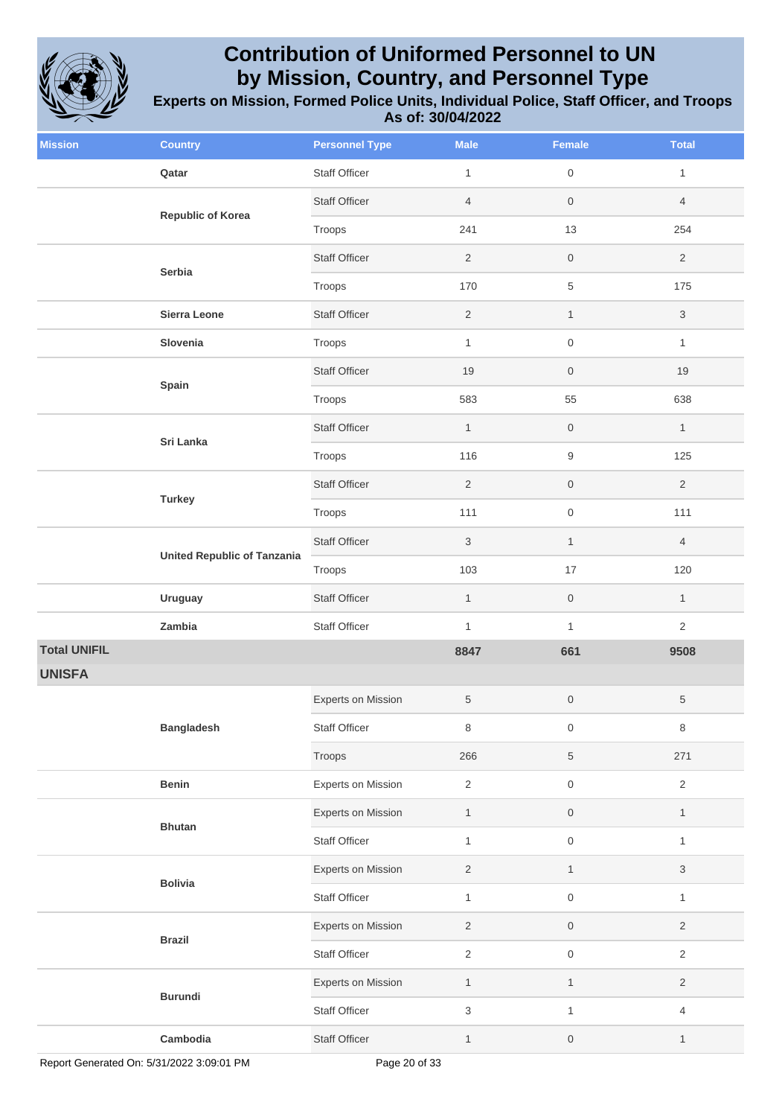

| <b>Mission</b>      | <b>Country</b>                                      | <b>Personnel Type</b>     | <b>Male</b>    | <b>Female</b>       | <b>Total</b>   |
|---------------------|-----------------------------------------------------|---------------------------|----------------|---------------------|----------------|
|                     | Qatar                                               | <b>Staff Officer</b>      | $\mathbf{1}$   | $\mathsf{O}\xspace$ | $\mathbf{1}$   |
|                     | <b>Republic of Korea</b><br>Serbia<br>Sierra Leone  | <b>Staff Officer</b>      | $\overline{4}$ | $\boldsymbol{0}$    | $\overline{4}$ |
|                     |                                                     | Troops                    | 241            | 13                  | 254            |
|                     |                                                     | <b>Staff Officer</b>      | $\overline{2}$ | 0                   | $\overline{2}$ |
|                     |                                                     | Troops                    | 170            | 5                   | 175            |
|                     |                                                     | <b>Staff Officer</b>      | $\overline{2}$ | $\mathbf{1}$        | $\mathsf 3$    |
|                     | Slovenia                                            | Troops                    | $\mathbf{1}$   | $\mathsf{O}\xspace$ | $\mathbf{1}$   |
|                     | Spain                                               | <b>Staff Officer</b>      | 19             | $\boldsymbol{0}$    | 19             |
|                     |                                                     | Troops                    | 583            | 55                  | 638            |
|                     |                                                     | <b>Staff Officer</b>      | $\mathbf{1}$   | $\mathsf{O}\xspace$ | $\mathbf{1}$   |
|                     | Sri Lanka                                           | Troops                    | 116            | 9                   | 125            |
|                     | <b>Turkey</b><br><b>United Republic of Tanzania</b> | <b>Staff Officer</b>      | 2              | $\mathsf{O}\xspace$ | 2              |
|                     |                                                     | Troops                    | 111            | 0                   | 111            |
|                     |                                                     | <b>Staff Officer</b>      | 3              | $\mathbf{1}$        | $\overline{4}$ |
|                     |                                                     | Troops                    | 103            | 17                  | 120            |
|                     | <b>Uruguay</b>                                      | <b>Staff Officer</b>      | $\mathbf{1}$   | $\mathsf{O}\xspace$ | $\mathbf{1}$   |
|                     | Zambia                                              | <b>Staff Officer</b>      | $\mathbf{1}$   | $\mathbf{1}$        | $\overline{2}$ |
| <b>Total UNIFIL</b> |                                                     |                           | 8847           | 661                 | 9508           |
| <b>UNISFA</b>       |                                                     |                           |                |                     |                |
|                     |                                                     | Experts on Mission        | 5              | 0                   | $\,$ 5 $\,$    |
|                     | <b>Bangladesh</b>                                   | Staff Officer             | 8              | 0                   | $\,8\,$        |
|                     |                                                     | Troops                    | 266            | 5                   | 271            |
|                     | <b>Benin</b>                                        | Experts on Mission        | $\overline{2}$ | $\mathsf{O}\xspace$ | $\overline{2}$ |
|                     | <b>Bhutan</b>                                       | <b>Experts on Mission</b> | $\mathbf{1}$   | 0                   | $\mathbf{1}$   |
|                     |                                                     | <b>Staff Officer</b>      | $\mathbf{1}$   | $\mathsf{O}\xspace$ | $\mathbf{1}$   |
|                     | <b>Bolivia</b>                                      | Experts on Mission        | $\overline{2}$ | $\mathbf{1}$        | $\sqrt{3}$     |
|                     |                                                     | <b>Staff Officer</b>      | $\mathbf{1}$   | $\mathsf{O}\xspace$ | $\mathbf{1}$   |
|                     | <b>Brazil</b>                                       | Experts on Mission        | $\overline{2}$ | $\mathsf{O}\xspace$ | $\overline{2}$ |
|                     |                                                     | Staff Officer             | $\overline{2}$ | $\mathsf{O}\xspace$ | $\overline{2}$ |
|                     |                                                     | <b>Experts on Mission</b> | $\mathbf{1}$   | $\mathbf{1}$        | $\overline{2}$ |
|                     | <b>Burundi</b>                                      | <b>Staff Officer</b>      | $\mathbf{3}$   | $\mathbf{1}$        | $\overline{4}$ |
|                     | Cambodia                                            | Staff Officer             | $\mathbf{1}$   | 0                   | $\mathbf{1}$   |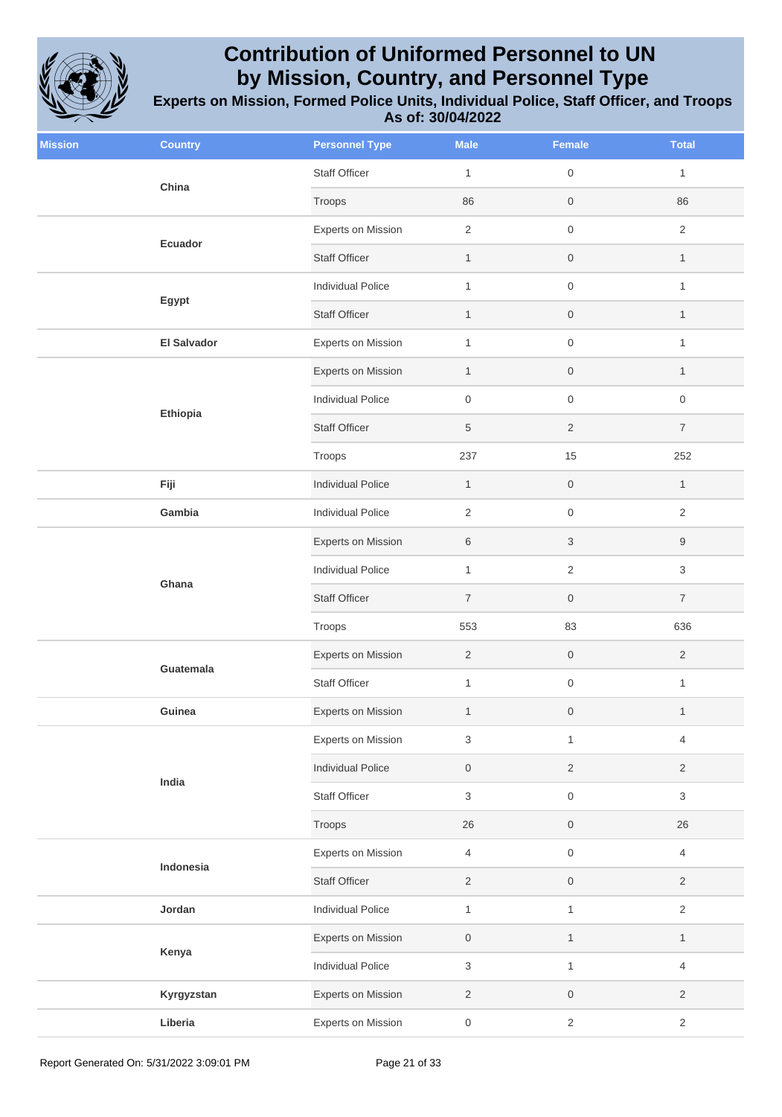

| <b>Mission</b> | <b>Country</b>              | <b>Personnel Type</b>     | <b>Male</b>         | <b>Female</b>             | <b>Total</b>        |
|----------------|-----------------------------|---------------------------|---------------------|---------------------------|---------------------|
|                | China                       | Staff Officer             | $\mathbf{1}$        | $\,0\,$                   | $\mathbf{1}$        |
|                |                             | Troops                    | 86                  | $\,0\,$                   | 86                  |
|                | Ecuador                     | Experts on Mission        | $\sqrt{2}$          | $\mathsf{O}\xspace$       | $\overline{2}$      |
|                |                             | <b>Staff Officer</b>      | $\mathbf{1}$        | $\boldsymbol{0}$          | $\mathbf{1}$        |
|                | Egypt<br><b>El Salvador</b> | <b>Individual Police</b>  | $\mathbf{1}$        | $\mathsf{O}\xspace$       | $\mathbf{1}$        |
|                |                             | <b>Staff Officer</b>      | $\mathbf{1}$        | $\,0\,$                   | $\mathbf{1}$        |
|                |                             | <b>Experts on Mission</b> | $\mathbf{1}$        | $\mathsf{O}\xspace$       | $\mathbf{1}$        |
|                |                             | Experts on Mission        | $\mathbf{1}$        | $\mathsf{O}\xspace$       | $\mathbf{1}$        |
|                |                             | <b>Individual Police</b>  | $\mathsf{O}\xspace$ | $\,0\,$                   | $\mathsf{O}\xspace$ |
|                | Ethiopia                    | <b>Staff Officer</b>      | $\,$ 5 $\,$         | $\overline{2}$            | $\overline{7}$      |
|                |                             | Troops                    | 237                 | 15                        | 252                 |
|                | Fiji                        | <b>Individual Police</b>  | $\mathbf{1}$        | $\mathsf{O}\xspace$       | $\mathbf{1}$        |
|                | Gambia                      | <b>Individual Police</b>  | $\overline{2}$      | $\mathsf{O}\xspace$       | $\overline{2}$      |
|                |                             | Experts on Mission        | 6                   | $\ensuremath{\mathsf{3}}$ | 9                   |
|                | Ghana                       | <b>Individual Police</b>  | $\mathbf{1}$        | $\sqrt{2}$                | 3                   |
|                |                             | <b>Staff Officer</b>      | $\overline{7}$      | $\mathsf{O}\xspace$       | $\overline{7}$      |
|                |                             | Troops                    | 553                 | 83                        | 636                 |
|                | Guatemala                   | Experts on Mission        | $\overline{2}$      | $\mathsf{O}\xspace$       | $\overline{2}$      |
|                |                             | Staff Officer             | $\mathbf{1}$        | $\,0\,$                   | $\mathbf{1}$        |
|                | Guinea                      | Experts on Mission        | $\mathbf{1}$        | $\boldsymbol{0}$          | $\mathbf{1}$        |
|                |                             | <b>Experts on Mission</b> | 3                   | $\mathbf{1}$              | $\overline{4}$      |
|                | India                       | <b>Individual Police</b>  | $\boldsymbol{0}$    | $\overline{2}$            | $\overline{2}$      |
|                |                             | Staff Officer             | $\sqrt{3}$          | $\mathsf{O}\xspace$       | 3                   |
|                |                             | Troops                    | 26                  | $\,0\,$                   | 26                  |
|                | Indonesia                   | <b>Experts on Mission</b> | $\overline{4}$      | $\,0\,$                   | $\overline{4}$      |
|                |                             | <b>Staff Officer</b>      | $\sqrt{2}$          | $\,0\,$                   | $\overline{2}$      |
|                | Jordan                      | <b>Individual Police</b>  | $\mathbf{1}$        | $\mathbf{1}$              | $\overline{2}$      |
|                |                             | Experts on Mission        | $\mathsf{O}\xspace$ | $\mathbf{1}$              | $\mathbf{1}$        |
|                | Kenya                       | <b>Individual Police</b>  | $\,$ 3 $\,$         | $\mathbf{1}$              | $\overline{4}$      |
|                | Kyrgyzstan                  | Experts on Mission        | $\overline{2}$      | $\,0\,$                   | $\overline{2}$      |
|                | Liberia                     | <b>Experts on Mission</b> | $\boldsymbol{0}$    | $\sqrt{2}$                | $\overline{2}$      |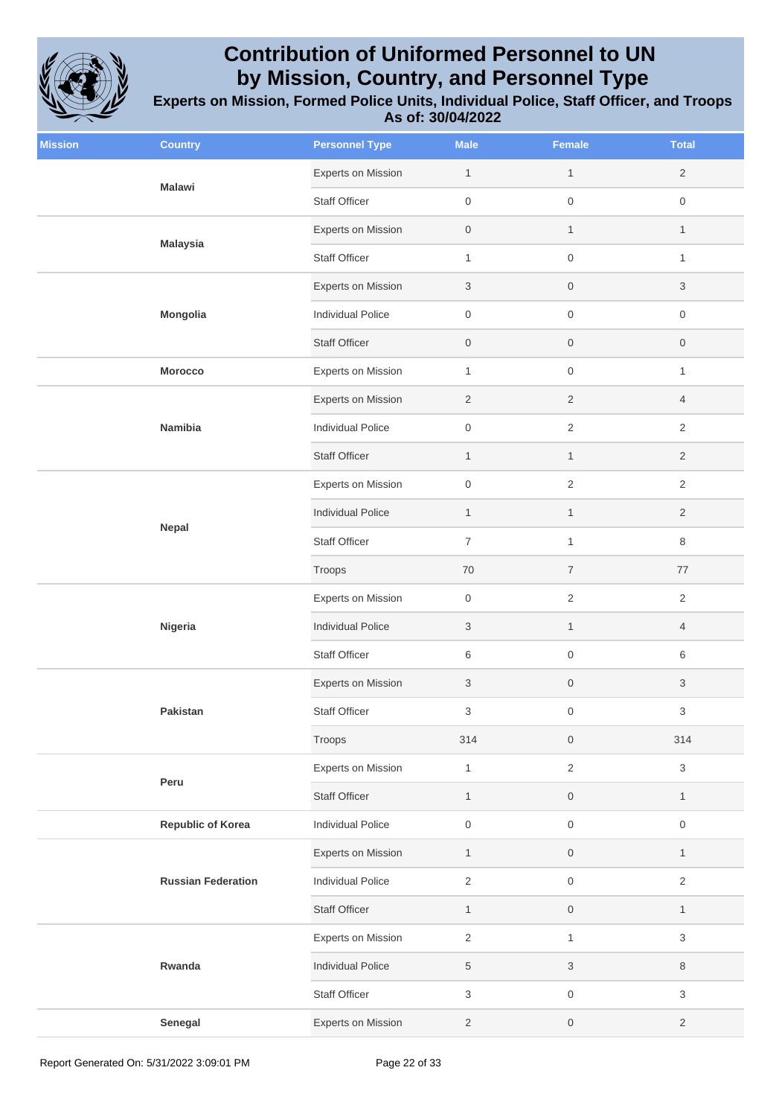

| <b>Mission</b> | <b>Country</b>            | <b>Personnel Type</b>     | <b>Male</b>         | <b>Female</b>       | <b>Total</b>        |
|----------------|---------------------------|---------------------------|---------------------|---------------------|---------------------|
|                | <b>Malawi</b>             | Experts on Mission        | $\mathbf{1}$        | $\mathbf{1}$        | $\overline{2}$      |
|                |                           | Staff Officer             | $\mathsf{O}\xspace$ | $\mathsf{O}\xspace$ | $\mathsf{O}\xspace$ |
|                | <b>Malaysia</b>           | Experts on Mission        | $\boldsymbol{0}$    | $\mathbf{1}$        | $\mathbf{1}$        |
|                |                           | <b>Staff Officer</b>      | $\mathbf{1}$        | $\mathsf{O}\xspace$ | $\mathbf{1}$        |
|                |                           | Experts on Mission        | 3                   | $\mathsf{O}\xspace$ | 3                   |
|                | Mongolia                  | <b>Individual Police</b>  | $\boldsymbol{0}$    | $\mathsf{O}\xspace$ | 0                   |
|                |                           | <b>Staff Officer</b>      | $\mathsf{O}\xspace$ | $\mathsf{O}\xspace$ | $\boldsymbol{0}$    |
|                | <b>Morocco</b>            | <b>Experts on Mission</b> | $\mathbf{1}$        | $\mathsf{O}\xspace$ | $\mathbf{1}$        |
|                |                           | <b>Experts on Mission</b> | $\overline{2}$      | $\sqrt{2}$          | $\overline{4}$      |
|                | Namibia                   | <b>Individual Police</b>  | $\boldsymbol{0}$    | $\sqrt{2}$          | $\overline{2}$      |
|                |                           | <b>Staff Officer</b>      | $\mathbf{1}$        | $\mathbf{1}$        | $\overline{2}$      |
|                |                           | Experts on Mission        | $\mathsf{O}\xspace$ | $\sqrt{2}$          | $\overline{2}$      |
|                |                           | <b>Individual Police</b>  | $\mathbf{1}$        | $\mathbf{1}$        | $\overline{2}$      |
|                | Nepal                     | <b>Staff Officer</b>      | $\overline{7}$      | $\mathbf{1}$        | 8                   |
|                |                           | Troops                    | $70\,$              | $\overline{7}$      | 77                  |
|                |                           | Experts on Mission        | $\boldsymbol{0}$    | $\sqrt{2}$          | $\overline{c}$      |
|                | Nigeria                   | <b>Individual Police</b>  | 3                   | $\mathbf{1}$        | $\overline{4}$      |
|                |                           | <b>Staff Officer</b>      | 6                   | $\mathsf{O}\xspace$ | 6                   |
|                |                           | <b>Experts on Mission</b> | 3                   | $\,0\,$             | 3                   |
|                | Pakistan                  | Staff Officer             | 3                   | $\mathsf{O}\xspace$ | 3                   |
|                |                           | Troops                    | 314                 | $\,0\,$             | 314                 |
|                | Peru                      | <b>Experts on Mission</b> | $\mathbf{1}$        | $\sqrt{2}$          | 3                   |
|                |                           | <b>Staff Officer</b>      | $\mathbf{1}$        | $\mathsf{O}\xspace$ | $\mathbf{1}$        |
|                | <b>Republic of Korea</b>  | <b>Individual Police</b>  | $\boldsymbol{0}$    | $\,0\,$             | $\boldsymbol{0}$    |
|                |                           | Experts on Mission        | $\mathbf{1}$        | $\,0\,$             | $\mathbf{1}$        |
|                | <b>Russian Federation</b> | <b>Individual Police</b>  | $\overline{2}$      | $\mathsf{O}\xspace$ | $\overline{2}$      |
|                |                           | <b>Staff Officer</b>      | $\mathbf{1}$        | $\mathsf{O}$        | $\mathbf{1}$        |
|                |                           | <b>Experts on Mission</b> | $\overline{2}$      | $\mathbf{1}$        | 3                   |
|                | Rwanda                    | <b>Individual Police</b>  | $\,$ 5 $\,$         | $\sqrt{3}$          | 8                   |
|                |                           | <b>Staff Officer</b>      | 3                   | $\mathsf{O}\xspace$ | 3                   |
|                | Senegal                   | Experts on Mission        | $\overline{c}$      | $\boldsymbol{0}$    | $\overline{c}$      |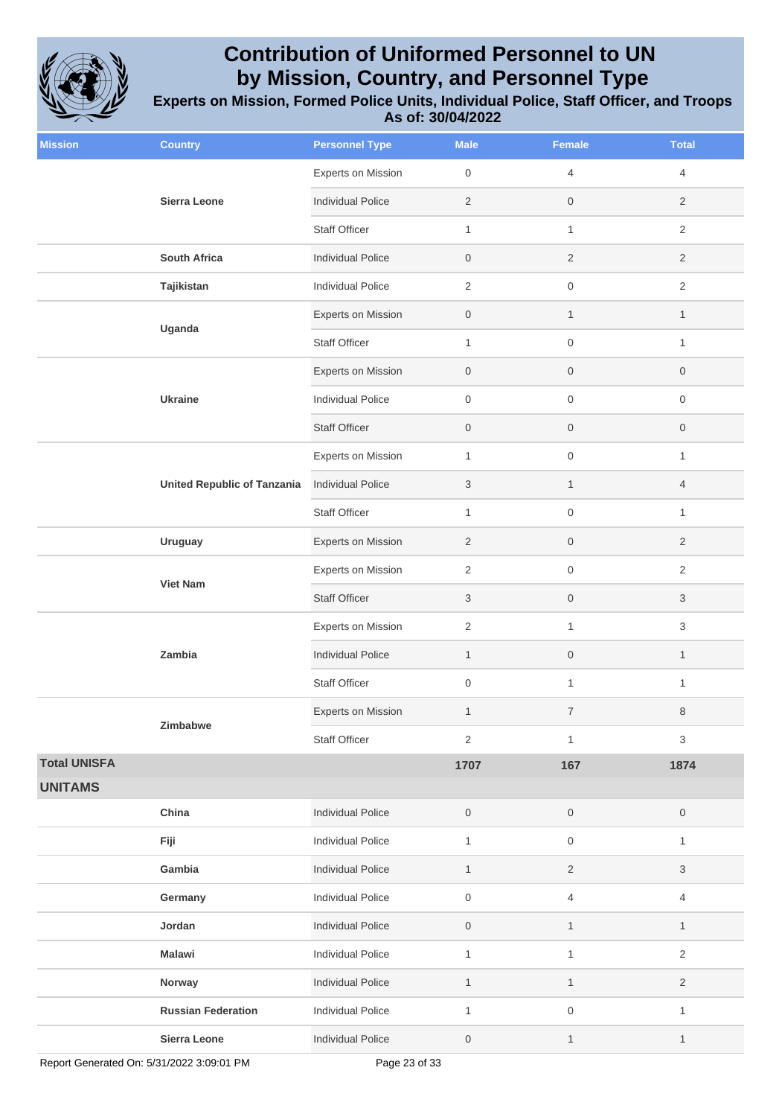

| <b>Mission</b>      | <b>Country</b>                     | <b>Personnel Type</b>     | <b>Male</b>         | Female              | <b>Total</b>        |
|---------------------|------------------------------------|---------------------------|---------------------|---------------------|---------------------|
|                     |                                    | <b>Experts on Mission</b> | $\mathbf 0$         | $\overline{4}$      | $\overline{4}$      |
|                     | Sierra Leone                       | <b>Individual Police</b>  | 2                   | $\mathsf{O}$        | 2                   |
|                     |                                    | <b>Staff Officer</b>      | $\mathbf{1}$        | $\mathbf{1}$        | $\overline{2}$      |
|                     | <b>South Africa</b>                | <b>Individual Police</b>  | $\boldsymbol{0}$    | $\overline{c}$      | $\overline{2}$      |
|                     | Tajikistan                         | <b>Individual Police</b>  | 2                   | $\mathsf{O}\xspace$ | $\overline{2}$      |
|                     |                                    | Experts on Mission        | $\mathbf 0$         | $\mathbf{1}$        | $\mathbf{1}$        |
|                     | Uganda                             | <b>Staff Officer</b>      | $\mathbf{1}$        | $\mathsf{O}\xspace$ | $\mathbf{1}$        |
|                     |                                    | Experts on Mission        | $\mathsf{O}$        | $\mathsf{O}$        | $\boldsymbol{0}$    |
|                     | <b>Ukraine</b>                     | <b>Individual Police</b>  | $\boldsymbol{0}$    | $\mathsf{O}\xspace$ | $\mathsf{O}\xspace$ |
|                     |                                    | <b>Staff Officer</b>      | $\mathbf 0$         | $\mathsf{O}$        | $\mathbf 0$         |
|                     |                                    | <b>Experts on Mission</b> | $\mathbf{1}$        | 0                   | $\mathbf{1}$        |
|                     | <b>United Republic of Tanzania</b> | <b>Individual Police</b>  | 3                   | $\mathbf{1}$        | $\overline{4}$      |
|                     |                                    | <b>Staff Officer</b>      | $\mathbf{1}$        | $\mathsf 0$         | $\mathbf{1}$        |
|                     | <b>Uruguay</b>                     | <b>Experts on Mission</b> | $\overline{2}$      | $\mathsf{O}$        | $\overline{2}$      |
|                     |                                    | <b>Experts on Mission</b> | 2                   | $\mathsf{O}\xspace$ | $\overline{2}$      |
|                     | <b>Viet Nam</b>                    | <b>Staff Officer</b>      | 3                   | $\mathsf{O}\xspace$ | 3                   |
|                     |                                    | Experts on Mission        | 2                   | $\mathbf{1}$        | 3                   |
|                     | Zambia                             | <b>Individual Police</b>  | $\mathbf{1}$        | $\mathsf{O}$        | $\mathbf{1}$        |
|                     |                                    | <b>Staff Officer</b>      | $\mathbf 0$         | $\mathbf{1}$        | $\mathbf{1}$        |
|                     |                                    | <b>Experts on Mission</b> | $\mathbf{1}$        | $\boldsymbol{7}$    | 8                   |
|                     | Zimbabwe                           | <b>Staff Officer</b>      | $\overline{2}$      | $\mathbf{1}$        | 3                   |
| <b>Total UNISFA</b> |                                    |                           | 1707                | 167                 | 1874                |
| <b>UNITAMS</b>      |                                    |                           |                     |                     |                     |
|                     | China                              | <b>Individual Police</b>  | $\mathsf{O}\xspace$ | $\,0\,$             | $\boldsymbol{0}$    |
|                     | Fiji                               | <b>Individual Police</b>  | $\mathbf{1}$        | $\boldsymbol{0}$    | $\mathbf{1}$        |
|                     | Gambia                             | <b>Individual Police</b>  | $\mathbf{1}$        | $\sqrt{2}$          | 3                   |
|                     | Germany                            | <b>Individual Police</b>  | $\mathsf{O}\xspace$ | 4                   | $\overline{4}$      |
|                     | Jordan                             | <b>Individual Police</b>  | $\,0\,$             | $\mathbf{1}$        | $\mathbf{1}$        |
|                     | <b>Malawi</b>                      | Individual Police         | $\mathbf{1}$        | $\mathbf{1}$        | $\overline{2}$      |
|                     | Norway                             | <b>Individual Police</b>  | $\mathbf{1}$        | $\mathbf{1}$        | $\overline{c}$      |
|                     | <b>Russian Federation</b>          | <b>Individual Police</b>  | $\mathbf{1}$        | $\,0\,$             | $\mathbf{1}$        |
|                     | Sierra Leone                       | <b>Individual Police</b>  | $\boldsymbol{0}$    | $\mathbf{1}$        | $\mathbf{1}$        |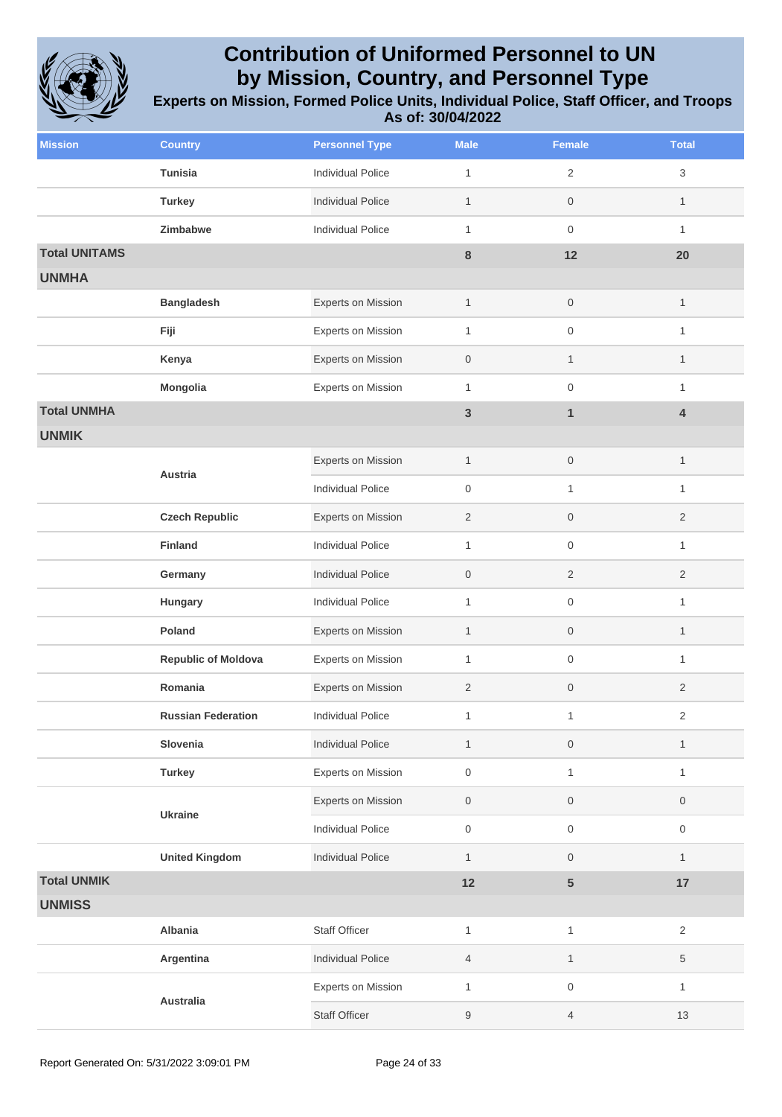

| <b>Mission</b>       | <b>Country</b>             | <b>Personnel Type</b>     | <b>Male</b>      | Female              | <b>Total</b>   |
|----------------------|----------------------------|---------------------------|------------------|---------------------|----------------|
|                      | <b>Tunisia</b>             | <b>Individual Police</b>  | $\mathbf{1}$     | $\overline{2}$      | 3              |
|                      | <b>Turkey</b>              | <b>Individual Police</b>  | $\mathbf{1}$     | $\mathbf 0$         | $\mathbf{1}$   |
|                      | Zimbabwe                   | <b>Individual Police</b>  | $\mathbf{1}$     | $\mathsf{O}\xspace$ | $\mathbf{1}$   |
| <b>Total UNITAMS</b> |                            |                           | $\bf 8$          | 12                  | 20             |
| <b>UNMHA</b>         |                            |                           |                  |                     |                |
|                      | <b>Bangladesh</b>          | Experts on Mission        | $\mathbf{1}$     | $\mathbf 0$         | $\mathbf{1}$   |
|                      | Fiji                       | <b>Experts on Mission</b> | $\mathbf{1}$     | $\mathsf{O}\xspace$ | $\mathbf{1}$   |
|                      | Kenya                      | Experts on Mission        | $\mathbf 0$      | $\mathbf{1}$        | $\mathbf{1}$   |
|                      | Mongolia                   | Experts on Mission        | $\mathbf{1}$     | $\mathsf{O}\xspace$ | 1              |
| <b>Total UNMHA</b>   |                            |                           | $\mathbf{3}$     | $\mathbf{1}$        | 4              |
| <b>UNMIK</b>         |                            |                           |                  |                     |                |
|                      | Austria                    | <b>Experts on Mission</b> | $\mathbf{1}$     | $\,0\,$             | $\mathbf{1}$   |
|                      |                            | <b>Individual Police</b>  | $\mathbf 0$      | $\mathbf{1}$        | $\mathbf{1}$   |
|                      | <b>Czech Republic</b>      | Experts on Mission        | $\overline{2}$   | $\mathbf 0$         | $\overline{2}$ |
|                      | <b>Finland</b>             | <b>Individual Police</b>  | $\mathbf{1}$     | $\mathsf{O}\xspace$ | $\mathbf{1}$   |
|                      | Germany                    | <b>Individual Police</b>  | $\mathbf 0$      | $\overline{2}$      | $\overline{2}$ |
|                      | Hungary                    | <b>Individual Police</b>  | $\mathbf{1}$     | $\mathsf{O}\xspace$ | $\mathbf{1}$   |
|                      | Poland                     | Experts on Mission        | $\mathbf{1}$     | $\mathsf{O}\xspace$ | $\mathbf{1}$   |
|                      | <b>Republic of Moldova</b> | <b>Experts on Mission</b> | $\mathbf{1}$     | $\mathsf{O}\xspace$ | 1              |
|                      | Romania                    | Experts on Mission        | 2                | $\mathbf 0$         | 2              |
|                      | <b>Russian Federation</b>  | <b>Individual Police</b>  | 1                | 1                   | $\overline{2}$ |
|                      | Slovenia                   | <b>Individual Police</b>  | $\mathbf{1}$     | $\mathbf 0$         | $\mathbf{1}$   |
|                      | <b>Turkey</b>              | Experts on Mission        | $\boldsymbol{0}$ | $\mathbf{1}$        | $\mathbf{1}$   |
|                      | <b>Ukraine</b>             | Experts on Mission        | $\boldsymbol{0}$ | $\,0\,$             | 0              |
|                      |                            | <b>Individual Police</b>  | $\mathbf 0$      | $\mathsf{O}\xspace$ | 0              |
|                      | <b>United Kingdom</b>      | <b>Individual Police</b>  | $\mathbf{1}$     | $\mathbf 0$         | $\mathbf{1}$   |
| <b>Total UNMIK</b>   |                            |                           | 12               | ${\bf 5}$           | 17             |
| <b>UNMISS</b>        |                            |                           |                  |                     |                |
|                      | Albania                    | <b>Staff Officer</b>      | $\mathbf{1}$     | $\mathbf{1}$        | $\overline{2}$ |
|                      | Argentina                  | <b>Individual Police</b>  | $\overline{4}$   | $\mathbf{1}$        | 5              |
|                      | Australia                  | <b>Experts on Mission</b> | $\mathbf{1}$     | $\mathsf{O}\xspace$ | $\mathbf{1}$   |
|                      |                            | <b>Staff Officer</b>      | $9\,$            | 4                   | 13             |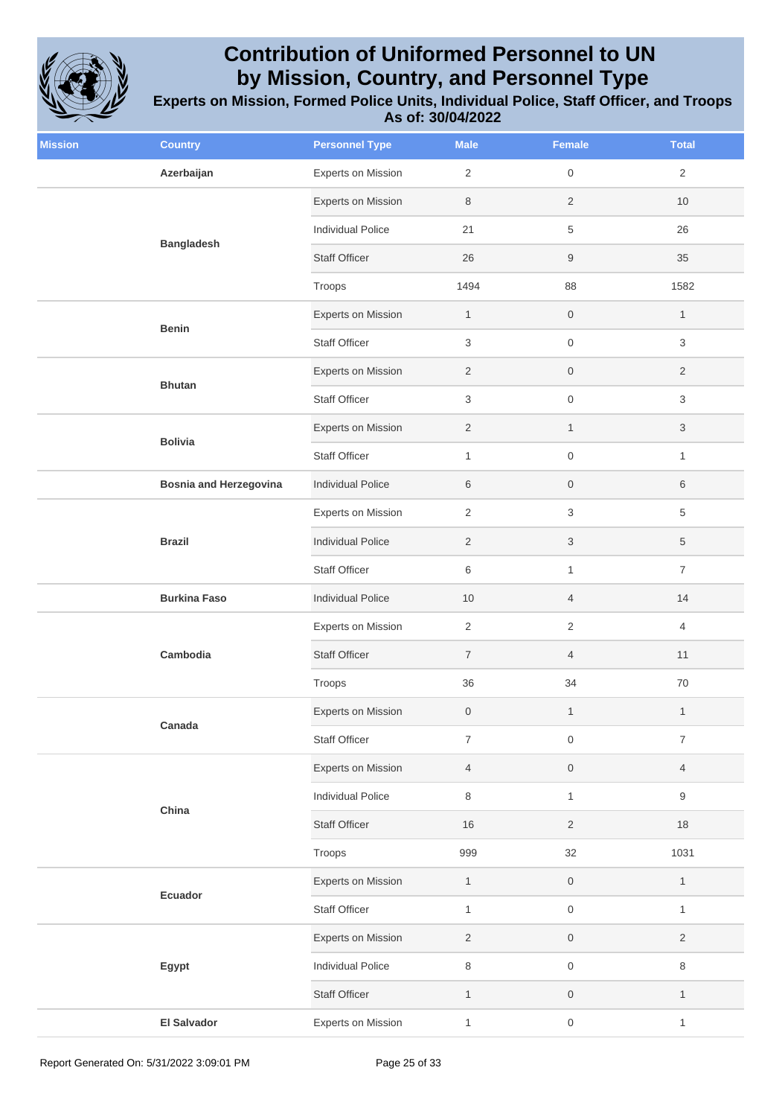

| <b>Mission</b> | <b>Country</b>                | <b>Personnel Type</b>     | <b>Male</b>      | <b>Female</b>       | <b>Total</b>   |
|----------------|-------------------------------|---------------------------|------------------|---------------------|----------------|
|                | Azerbaijan                    | Experts on Mission        | 2                | $\mathsf{O}\xspace$ | $\overline{2}$ |
|                |                               | Experts on Mission        | 8                | $\overline{2}$      | 10             |
|                | <b>Bangladesh</b>             | <b>Individual Police</b>  | 21               | 5                   | 26             |
|                |                               | <b>Staff Officer</b>      | 26               | $\boldsymbol{9}$    | 35             |
|                |                               | Troops                    | 1494             | 88                  | 1582           |
|                | <b>Benin</b>                  | Experts on Mission        | $\mathbf{1}$     | $\mathsf{O}\xspace$ | $\mathbf{1}$   |
|                |                               | <b>Staff Officer</b>      | $\,$ 3 $\,$      | $\mathsf{O}\xspace$ | 3              |
|                | <b>Bhutan</b>                 | Experts on Mission        | $\overline{2}$   | $\mathsf{O}\xspace$ | $\overline{2}$ |
|                |                               | Staff Officer             | 3                | $\mathsf{O}\xspace$ | 3              |
|                |                               | Experts on Mission        | $\overline{2}$   | $\mathbf{1}$        | 3              |
|                | <b>Bolivia</b>                | <b>Staff Officer</b>      | $\mathbf{1}$     | $\mathsf{O}\xspace$ | $\mathbf{1}$   |
|                | <b>Bosnia and Herzegovina</b> | <b>Individual Police</b>  | 6                | $\mathsf{O}\xspace$ | 6              |
|                | <b>Brazil</b>                 | <b>Experts on Mission</b> | 2                | $\sqrt{3}$          | 5              |
|                |                               | <b>Individual Police</b>  | $\overline{2}$   | $\sqrt{3}$          | 5              |
|                |                               | <b>Staff Officer</b>      | 6                | $\mathbf{1}$        | $\overline{7}$ |
|                | <b>Burkina Faso</b>           | <b>Individual Police</b>  | 10               | $\overline{4}$      | 14             |
|                | Cambodia                      | Experts on Mission        | $\overline{2}$   | $\overline{2}$      | $\overline{4}$ |
|                |                               | <b>Staff Officer</b>      | $\overline{7}$   | $\overline{4}$      | 11             |
|                |                               | Troops                    | 36               | 34                  | $70\,$         |
|                |                               | <b>Experts on Mission</b> | $\boldsymbol{0}$ | $\mathbf{1}$        | $\mathbf{1}$   |
|                | Canada                        | Staff Officer             | $\overline{7}$   | $\mathsf{O}\xspace$ | $\overline{7}$ |
|                |                               | Experts on Mission        | $\overline{4}$   | $\mathsf{O}\xspace$ | $\overline{4}$ |
|                | China                         | <b>Individual Police</b>  | 8                | $\mathbf{1}$        | 9              |
|                |                               | <b>Staff Officer</b>      | 16               | $\sqrt{2}$          | $18$           |
|                |                               | Troops                    | 999              | 32                  | 1031           |
|                |                               | Experts on Mission        | $\mathbf{1}$     | $\mathsf{O}\xspace$ | $\mathbf{1}$   |
|                | Ecuador                       | Staff Officer             | $\mathbf{1}$     | $\mathsf{O}\xspace$ | $\mathbf{1}$   |
|                |                               | Experts on Mission        | $\overline{2}$   | $\mathsf{O}\xspace$ | $\overline{c}$ |
|                | Egypt                         | <b>Individual Police</b>  | 8                | $\mathsf{O}\xspace$ | 8              |
|                |                               | <b>Staff Officer</b>      | $\mathbf{1}$     | $\mathsf{O}\xspace$ | $\mathbf{1}$   |
|                | <b>El Salvador</b>            | Experts on Mission        | $\mathbf{1}$     | $\mathsf{O}\xspace$ | $\mathbf{1}$   |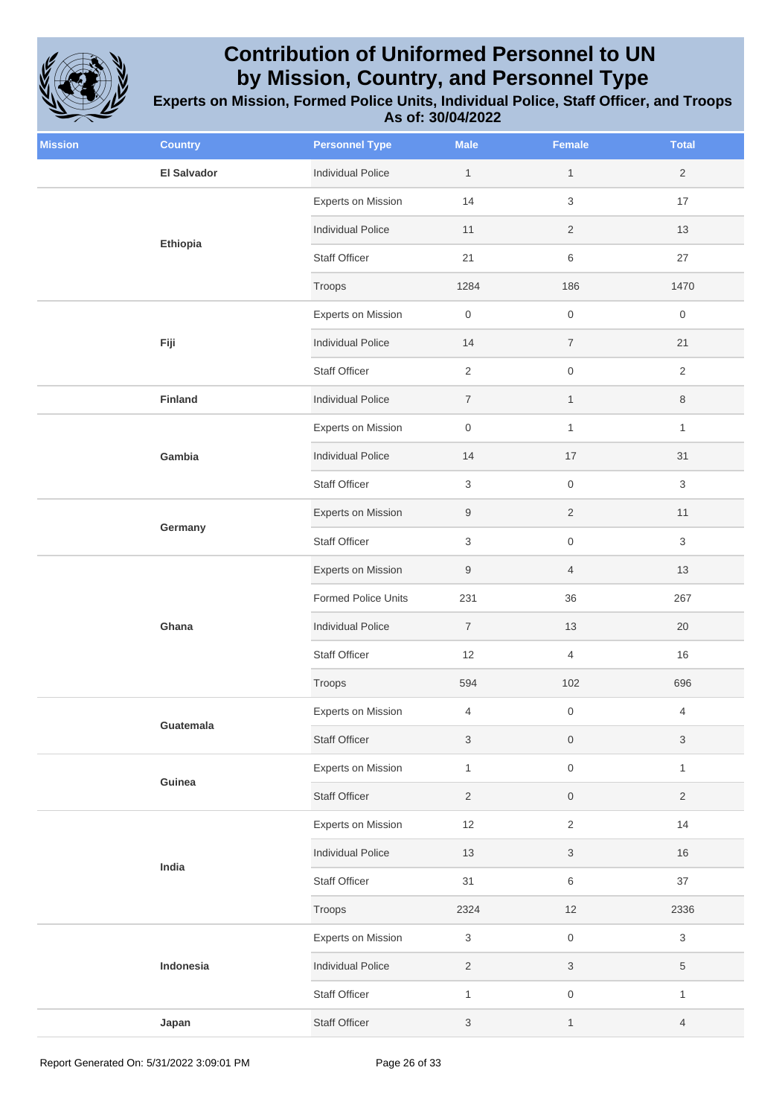

| <b>Mission</b> | <b>Country</b>     | <b>Personnel Type</b>      | <b>Male</b>         | <b>Female</b>             | <b>Total</b>              |
|----------------|--------------------|----------------------------|---------------------|---------------------------|---------------------------|
|                | <b>El Salvador</b> | <b>Individual Police</b>   | $\mathbf{1}$        | $\mathbf{1}$              | $\overline{2}$            |
|                | Ethiopia           | Experts on Mission         | 14                  | $\mathsf 3$               | 17                        |
|                |                    | <b>Individual Police</b>   | 11                  | $\overline{c}$            | 13                        |
|                |                    | <b>Staff Officer</b>       | 21                  | $\,$ 6 $\,$               | 27                        |
|                |                    | Troops                     | 1284                | 186                       | 1470                      |
|                |                    | Experts on Mission         | $\mathsf{O}\xspace$ | $\mathsf{O}\xspace$       | $\boldsymbol{0}$          |
|                | Fiji               | <b>Individual Police</b>   | 14                  | $\overline{7}$            | 21                        |
|                |                    | <b>Staff Officer</b>       | $\overline{2}$      | $\mathsf{O}\xspace$       | $\overline{2}$            |
|                | Finland            | <b>Individual Police</b>   | $\boldsymbol{7}$    | $\mathbf{1}$              | 8                         |
|                |                    | <b>Experts on Mission</b>  | $\mathsf{O}\xspace$ | $\mathbf{1}$              | $\mathbf{1}$              |
|                | Gambia             | <b>Individual Police</b>   | 14                  | 17                        | 31                        |
|                |                    | Staff Officer              | 3                   | $\mathsf{O}\xspace$       | 3                         |
|                |                    | Experts on Mission         | $\boldsymbol{9}$    | $\overline{2}$            | 11                        |
|                | Germany            | <b>Staff Officer</b>       | 3                   | $\,0\,$                   | 3                         |
|                |                    | Experts on Mission         | $\boldsymbol{9}$    | $\overline{4}$            | 13                        |
|                |                    | <b>Formed Police Units</b> | 231                 | 36                        | 267                       |
|                | Ghana              | <b>Individual Police</b>   | $\overline{7}$      | $13$                      | 20                        |
|                |                    | Staff Officer              | 12                  | $\overline{4}$            | 16                        |
|                |                    | Troops                     | 594                 | 102                       | 696                       |
|                |                    | Experts on Mission         | $\overline{4}$      | $\mathsf{O}\xspace$       | 4                         |
|                | Guatemala          | <b>Staff Officer</b>       | 3                   | $\,0\,$                   | $\ensuremath{\mathsf{3}}$ |
|                | Guinea             | Experts on Mission         | $\mathbf{1}$        | $\,0\,$                   | $\mathbf{1}$              |
|                |                    | <b>Staff Officer</b>       | $\sqrt{2}$          | $\mathsf{O}\xspace$       | $\overline{2}$            |
|                |                    | Experts on Mission         | 12                  | $\sqrt{2}$                | 14                        |
|                | India              | <b>Individual Police</b>   | $13$                | $\ensuremath{\mathsf{3}}$ | 16                        |
|                |                    | Staff Officer              | 31                  | 6                         | 37                        |
|                |                    | Troops                     | 2324                | 12                        | 2336                      |
|                |                    | Experts on Mission         | 3                   | $\,0\,$                   | 3                         |
|                | Indonesia          | <b>Individual Police</b>   | $\sqrt{2}$          | $\ensuremath{\mathsf{3}}$ | $\,$ 5 $\,$               |
|                |                    | Staff Officer              | $\mathbf{1}$        | $\mathsf{O}\xspace$       | $\mathbf{1}$              |
|                | Japan              | <b>Staff Officer</b>       | 3                   | $\mathbf{1}$              | $\overline{4}$            |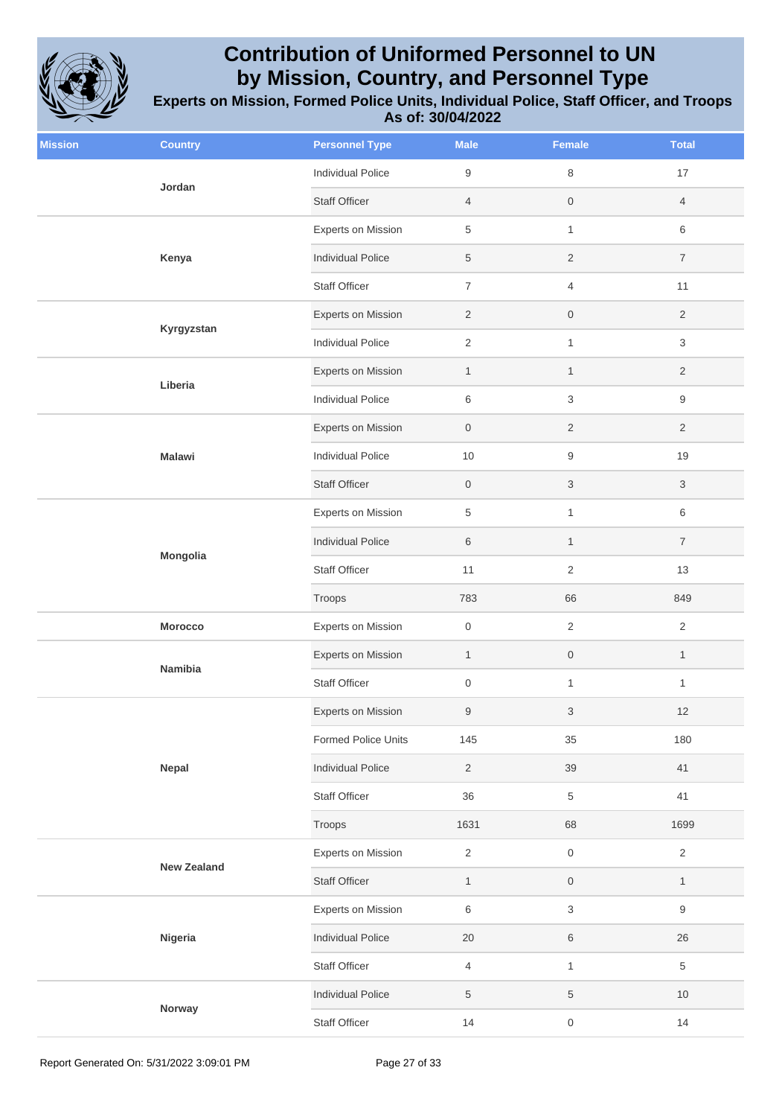

| <b>Mission</b> | <b>Country</b>     | <b>Personnel Type</b>      | <b>Male</b>      | Female              | <b>Total</b>   |
|----------------|--------------------|----------------------------|------------------|---------------------|----------------|
|                | Jordan             | <b>Individual Police</b>   | $\boldsymbol{9}$ | $\,8\,$             | 17             |
|                |                    | <b>Staff Officer</b>       | $\overline{4}$   | $\,0\,$             | $\overline{4}$ |
|                | Kenya              | <b>Experts on Mission</b>  | $\,$ 5 $\,$      | $\mathbf{1}$        | 6              |
|                |                    | <b>Individual Police</b>   | $\,$ 5 $\,$      | $\sqrt{2}$          | $\overline{7}$ |
|                |                    | <b>Staff Officer</b>       | $\overline{7}$   | $\overline{4}$      | 11             |
|                | Kyrgyzstan         | Experts on Mission         | $\overline{2}$   | $\boldsymbol{0}$    | $\overline{2}$ |
|                |                    | <b>Individual Police</b>   | $\overline{2}$   | $\mathbf{1}$        | 3              |
|                | Liberia            | <b>Experts on Mission</b>  | $\mathbf{1}$     | $\mathbf{1}$        | $\overline{2}$ |
|                |                    | <b>Individual Police</b>   | $\,6$            | $\sqrt{3}$          | 9              |
|                |                    | Experts on Mission         | $\mathbf 0$      | $\overline{2}$      | $\overline{2}$ |
|                | <b>Malawi</b>      | <b>Individual Police</b>   | $10$             | $\boldsymbol{9}$    | 19             |
|                |                    | <b>Staff Officer</b>       | $\mathbf 0$      | $\sqrt{3}$          | 3              |
|                | Mongolia           | <b>Experts on Mission</b>  | 5                | $\mathbf{1}$        | 6              |
|                |                    | <b>Individual Police</b>   | 6                | $\mathbf{1}$        | $\overline{7}$ |
|                |                    | <b>Staff Officer</b>       | 11               | $\sqrt{2}$          | 13             |
|                |                    | Troops                     | 783              | 66                  | 849            |
|                | <b>Morocco</b>     | <b>Experts on Mission</b>  | $\boldsymbol{0}$ | $\sqrt{2}$          | $\overline{2}$ |
|                | Namibia            | Experts on Mission         | $\mathbf{1}$     | $\,0\,$             | $\mathbf{1}$   |
|                |                    | <b>Staff Officer</b>       | $\boldsymbol{0}$ | $\mathbf{1}$        | $\mathbf{1}$   |
|                |                    | <b>Experts on Mission</b>  | $9\,$            | 3                   | 12             |
|                |                    | <b>Formed Police Units</b> | 145              | $35\,$              | 180            |
|                | Nepal              | <b>Individual Police</b>   | $\overline{2}$   | 39                  | 41             |
|                |                    | Staff Officer              | 36               | $\,$ 5 $\,$         | 41             |
|                |                    | Troops                     | 1631             | 68                  | 1699           |
|                | <b>New Zealand</b> | <b>Experts on Mission</b>  | $\sqrt{2}$       | $\mathsf{O}\xspace$ | $\overline{2}$ |
|                |                    | Staff Officer              | $\mathbf{1}$     | $\,0\,$             | $\mathbf{1}$   |
|                |                    | <b>Experts on Mission</b>  | $\,6\,$          | $\sqrt{3}$          | 9              |
|                | Nigeria            | <b>Individual Police</b>   | $20\,$           | $\,6$               | $26\,$         |
|                |                    | Staff Officer              | $\overline{4}$   | $\mathbf{1}$        | 5              |
|                | Norway             | <b>Individual Police</b>   | $\,$ 5 $\,$      | $\,$ 5 $\,$         | 10             |
|                | Staff Officer      | 14                         | $\,0\,$          | 14                  |                |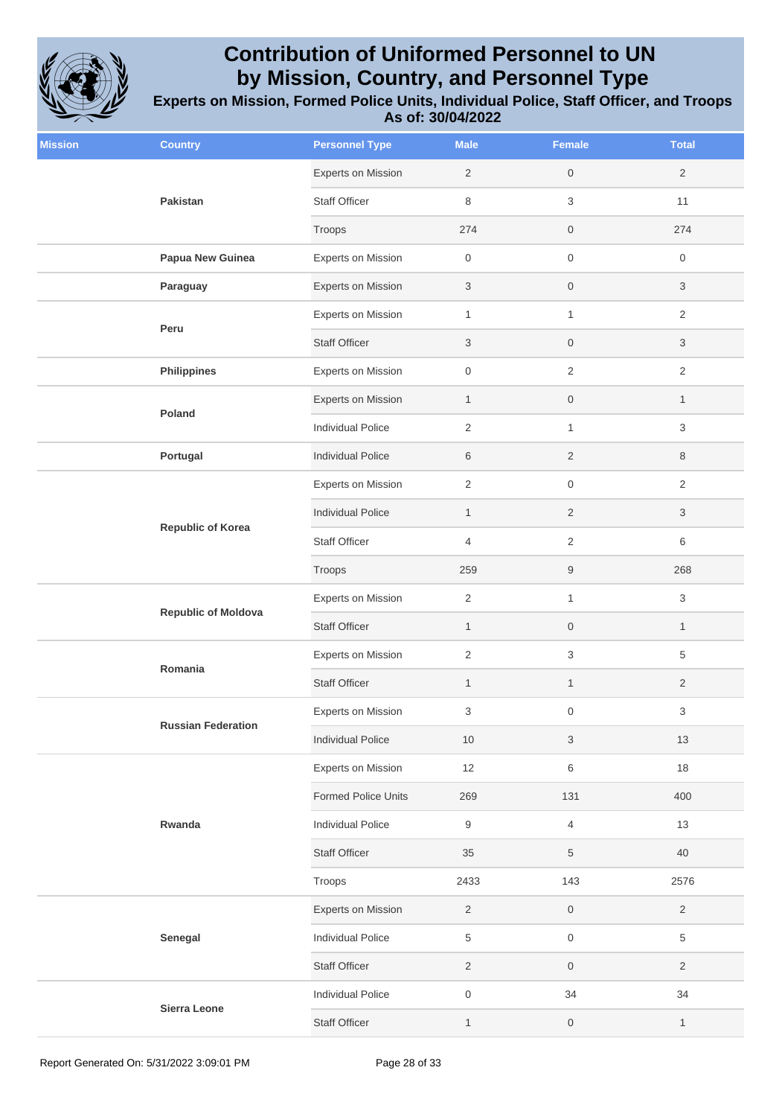

| <b>Mission</b> | <b>Country</b>             | <b>Personnel Type</b>     | <b>Male</b>      | <b>Female</b>             | <b>Total</b>   |
|----------------|----------------------------|---------------------------|------------------|---------------------------|----------------|
|                | Pakistan                   | Experts on Mission        | $\overline{2}$   | $\mathsf{O}\xspace$       | $\overline{2}$ |
|                |                            | <b>Staff Officer</b>      | 8                | 3                         | 11             |
|                |                            | Troops                    | 274              | $\mathsf{O}$              | 274            |
|                | Papua New Guinea           | <b>Experts on Mission</b> | $\mathbf 0$      | $\mathsf{O}\xspace$       | 0              |
|                | Paraguay                   | Experts on Mission        | 3                | $\mathsf{O}$              | 3              |
|                | Peru                       | <b>Experts on Mission</b> | $\mathbf{1}$     | $\mathbf{1}$              | $\overline{2}$ |
|                |                            | <b>Staff Officer</b>      | $\mathbf{3}$     | $\mathsf{O}$              | 3              |
|                | <b>Philippines</b>         | Experts on Mission        | $\mathsf{O}$     | $\sqrt{2}$                | $\overline{2}$ |
|                |                            | Experts on Mission        | $\mathbf{1}$     | $\,0\,$                   | $\mathbf{1}$   |
|                | Poland                     | Individual Police         | $\sqrt{2}$       | 1                         | 3              |
|                | Portugal                   | <b>Individual Police</b>  | 6                | $\overline{2}$            | 8              |
|                |                            | <b>Experts on Mission</b> | $\overline{2}$   | $\mathsf{O}\xspace$       | $\overline{2}$ |
|                |                            | <b>Individual Police</b>  | $\mathbf{1}$     | $\overline{2}$            | 3              |
|                | <b>Republic of Korea</b>   | <b>Staff Officer</b>      | 4                | $\sqrt{2}$                | 6              |
|                |                            | Troops                    | 259              | 9                         | 268            |
|                | <b>Republic of Moldova</b> | Experts on Mission        | $\sqrt{2}$       | 1                         | 3              |
|                |                            | <b>Staff Officer</b>      | $\mathbf{1}$     | $\mathsf{O}\xspace$       | $\mathbf{1}$   |
|                | Romania                    | Experts on Mission        | 2                | 3                         | 5              |
|                |                            | <b>Staff Officer</b>      | $\mathbf{1}$     | $\mathbf{1}$              | $\overline{2}$ |
|                | <b>Russian Federation</b>  | <b>Experts on Mission</b> | 3                | $\boldsymbol{0}$          | 3              |
|                |                            | <b>Individual Police</b>  | 10               | $\ensuremath{\mathsf{3}}$ | $13$           |
|                |                            | Experts on Mission        | 12               | $\,6\,$                   | 18             |
|                |                            | Formed Police Units       | 269              | 131                       | 400            |
|                | Rwanda                     | <b>Individual Police</b>  | $\boldsymbol{9}$ | $\overline{4}$            | 13             |
|                |                            | <b>Staff Officer</b>      | 35               | $\sqrt{5}$                | 40             |
|                |                            | Troops                    | 2433             | 143                       | 2576           |
|                |                            | Experts on Mission        | $\overline{2}$   | $\mathsf{O}\xspace$       | $\overline{2}$ |
|                | Senegal                    | Individual Police         | $\sqrt{5}$       | $\,0\,$                   | 5              |
|                |                            | <b>Staff Officer</b>      | $\overline{2}$   | $\,0\,$                   | $\overline{2}$ |
|                |                            | <b>Individual Police</b>  | $\,0\,$          | 34                        | 34             |
|                | Sierra Leone               | <b>Staff Officer</b>      | $\mathbf{1}$     | $\,0\,$                   | $\mathbf{1}$   |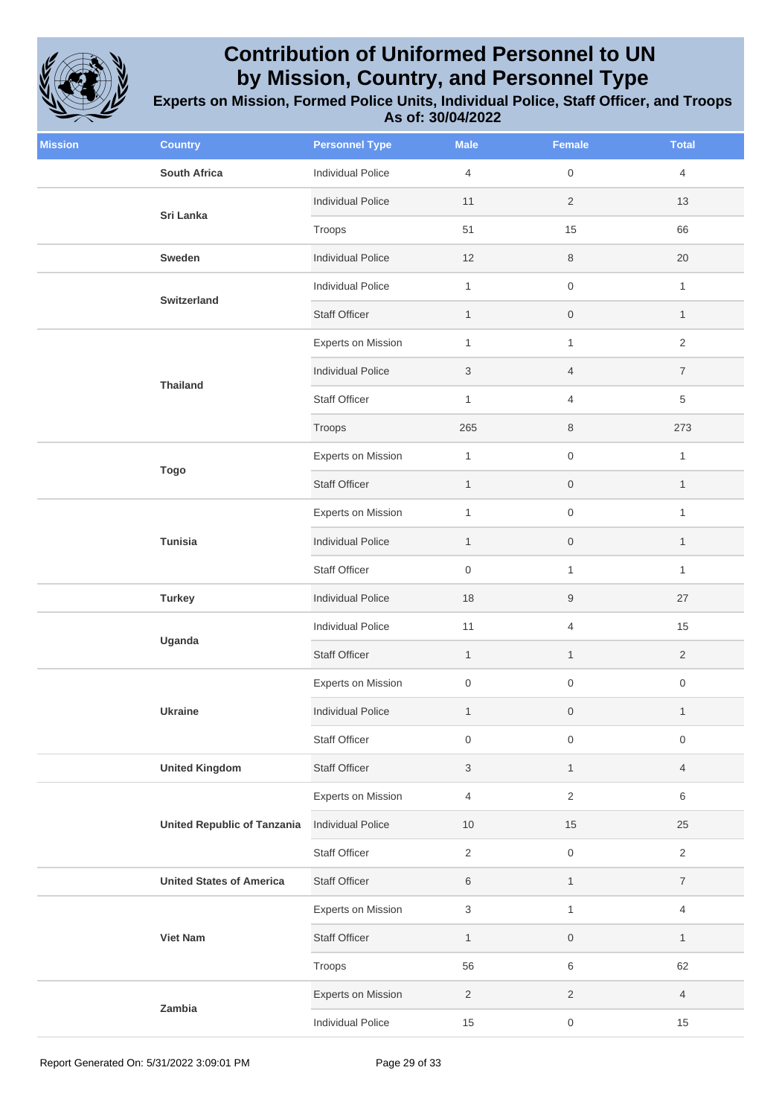

| <b>Mission</b> | <b>Country</b>                     | <b>Personnel Type</b>    | <b>Male</b>         | <b>Female</b>       | <b>Total</b>     |
|----------------|------------------------------------|--------------------------|---------------------|---------------------|------------------|
|                | <b>South Africa</b>                | <b>Individual Police</b> | $\overline{4}$      | $\mathsf{O}\xspace$ | 4                |
|                | Sri Lanka                          | <b>Individual Police</b> | 11                  | $\sqrt{2}$          | 13               |
|                |                                    | Troops                   | 51                  | 15                  | 66               |
|                | Sweden                             | <b>Individual Police</b> | 12                  | 8                   | 20               |
|                | <b>Switzerland</b>                 | <b>Individual Police</b> | $\mathbf{1}$        | $\mathsf{O}\xspace$ | $\mathbf{1}$     |
|                |                                    | <b>Staff Officer</b>     | $\mathbf{1}$        | $\mathsf{O}\xspace$ | $\mathbf{1}$     |
|                |                                    | Experts on Mission       | $\mathbf{1}$        | $\mathbf{1}$        | $\overline{2}$   |
|                |                                    | <b>Individual Police</b> | 3                   | $\overline{4}$      | $\overline{7}$   |
|                | <b>Thailand</b>                    | Staff Officer            | $\mathbf{1}$        | $\overline{4}$      | 5                |
|                |                                    | Troops                   | 265                 | 8                   | 273              |
|                | <b>Togo</b>                        | Experts on Mission       | $\mathbf{1}$        | $\mathsf{O}\xspace$ | $\mathbf{1}$     |
|                |                                    | <b>Staff Officer</b>     | $\mathbf{1}$        | $\mathsf{O}\xspace$ | $\mathbf{1}$     |
|                | Tunisia                            | Experts on Mission       | $\mathbf{1}$        | $\mathsf{O}\xspace$ | $\mathbf{1}$     |
|                |                                    | <b>Individual Police</b> | $\mathbf{1}$        | $\,0\,$             | $\mathbf{1}$     |
|                |                                    | <b>Staff Officer</b>     | $\mathsf{O}\xspace$ | $\mathbf{1}$        | $\mathbf{1}$     |
|                | <b>Turkey</b>                      | <b>Individual Police</b> | 18                  | $\boldsymbol{9}$    | 27               |
|                | Uganda                             | <b>Individual Police</b> | 11                  | $\overline{4}$      | 15               |
|                |                                    | <b>Staff Officer</b>     | $\mathbf{1}$        | $\mathbf{1}$        | $\overline{2}$   |
|                |                                    | Experts on Mission       | $\mathsf{O}\xspace$ | $\mathsf{O}\xspace$ | $\boldsymbol{0}$ |
|                | Ukraine                            | <b>Individual Police</b> | $\mathbf{1}$        | $\boldsymbol{0}$    | $\mathbf{1}$     |
|                |                                    | Staff Officer            | $\boldsymbol{0}$    | $\mathsf{O}\xspace$ | $\boldsymbol{0}$ |
|                | <b>United Kingdom</b>              | <b>Staff Officer</b>     | $\mathsf 3$         | $\mathbf{1}$        | $\overline{4}$   |
|                |                                    | Experts on Mission       | $\overline{4}$      | $\sqrt{2}$          | 6                |
|                | <b>United Republic of Tanzania</b> | <b>Individual Police</b> | 10                  | 15                  | 25               |
|                |                                    | <b>Staff Officer</b>     | $\overline{2}$      | $\mathsf{O}\xspace$ | $\overline{2}$   |
|                | <b>United States of America</b>    | <b>Staff Officer</b>     | 6                   | $\mathbf{1}$        | $\overline{7}$   |
|                |                                    | Experts on Mission       | $\sqrt{3}$          | $\mathbf{1}$        | 4                |
|                | <b>Viet Nam</b>                    | <b>Staff Officer</b>     | $\mathbf{1}$        | $\mathsf{O}\xspace$ | $\mathbf{1}$     |
|                |                                    | Troops                   | 56                  | $\,6\,$             | 62               |
|                |                                    | Experts on Mission       | $\overline{2}$      | $\overline{2}$      | $\overline{4}$   |
|                | Zambia                             | <b>Individual Police</b> | 15                  | $\mathsf{O}\xspace$ | 15               |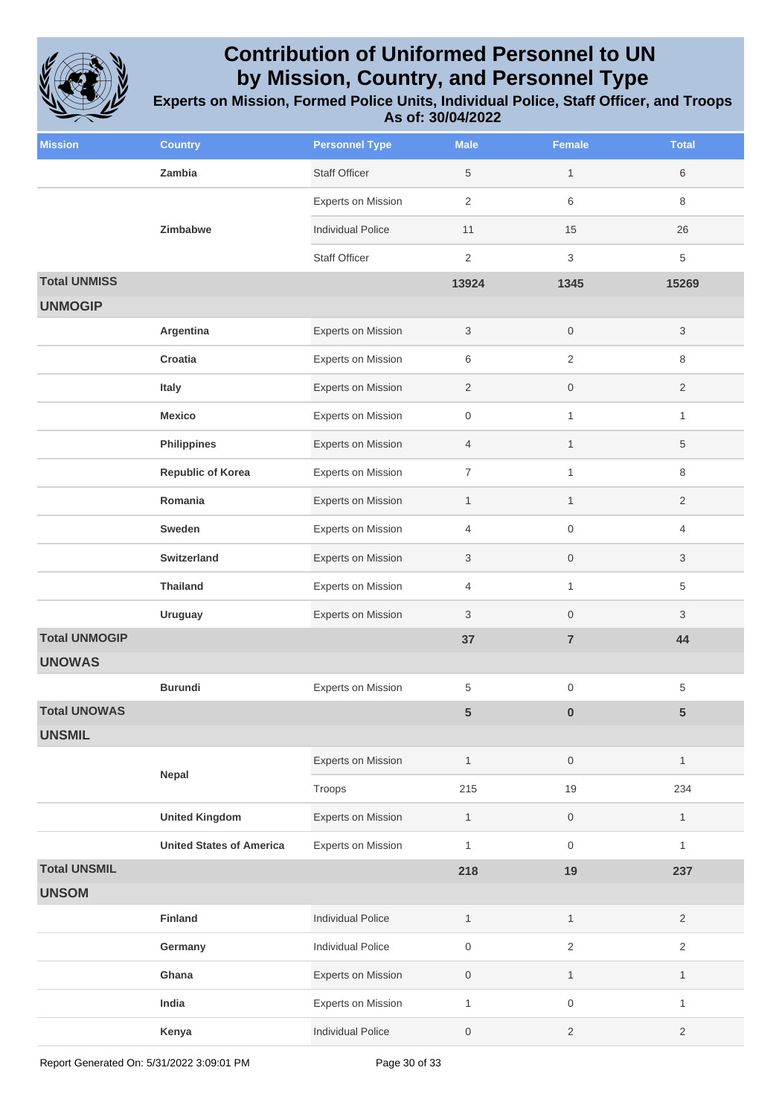

| <b>Mission</b>       | <b>Country</b>                  | <b>Personnel Type</b>     | <b>Male</b>      | Female              | <b>Total</b>   |
|----------------------|---------------------------------|---------------------------|------------------|---------------------|----------------|
|                      | Zambia                          | <b>Staff Officer</b>      | 5                | $\mathbf{1}$        | 6              |
|                      |                                 | <b>Experts on Mission</b> | $\overline{2}$   | 6                   | 8              |
|                      | <b>Zimbabwe</b>                 | <b>Individual Police</b>  | 11               | 15                  | 26             |
|                      |                                 | <b>Staff Officer</b>      | $\overline{2}$   | 3                   | 5              |
| <b>Total UNMISS</b>  |                                 |                           | 13924            | 1345                | 15269          |
| <b>UNMOGIP</b>       |                                 |                           |                  |                     |                |
|                      | Argentina                       | Experts on Mission        | $\mathbf{3}$     | $\mathsf{O}\xspace$ | 3              |
|                      | Croatia                         | Experts on Mission        | 6                | $\overline{2}$      | 8              |
|                      | Italy                           | Experts on Mission        | $\overline{2}$   | $\mathsf{O}\xspace$ | $\overline{2}$ |
|                      | <b>Mexico</b>                   | Experts on Mission        | $\mathsf{O}$     | $\mathbf{1}$        | $\mathbf{1}$   |
|                      | <b>Philippines</b>              | Experts on Mission        | $\overline{4}$   | $\mathbf{1}$        | 5              |
|                      | <b>Republic of Korea</b>        | Experts on Mission        | $\overline{7}$   | $\mathbf{1}$        | 8              |
|                      | Romania                         | <b>Experts on Mission</b> | $\mathbf{1}$     | 1                   | 2              |
|                      | Sweden                          | <b>Experts on Mission</b> | $\overline{4}$   | $\mathbf 0$         | 4              |
|                      | <b>Switzerland</b>              | Experts on Mission        | 3                | $\mathsf{O}\xspace$ | 3              |
|                      | <b>Thailand</b>                 | Experts on Mission        | 4                | 1                   | 5              |
|                      | <b>Uruguay</b>                  | <b>Experts on Mission</b> | 3                | $\mathbf 0$         | 3              |
| <b>Total UNMOGIP</b> |                                 |                           | 37               | $\overline{7}$      | 44             |
| <b>UNOWAS</b>        |                                 |                           |                  |                     |                |
|                      | <b>Burundi</b>                  | <b>Experts on Mission</b> | 5                | $\mathsf{O}\xspace$ | 5              |
| <b>Total UNOWAS</b>  |                                 |                           | 5                | $\bf{0}$            | 5              |
| <b>UNSMIL</b>        |                                 |                           |                  |                     |                |
|                      | Nepal                           | Experts on Mission        | $\mathbf{1}$     | $\mathsf{O}\xspace$ | $\mathbf{1}$   |
|                      |                                 | Troops                    | 215              | 19                  | 234            |
|                      | <b>United Kingdom</b>           | Experts on Mission        | $\mathbf{1}$     | $\mathsf{O}\xspace$ | $\mathbf{1}$   |
|                      | <b>United States of America</b> | Experts on Mission        | $\mathbf{1}$     | $\mathsf{O}\xspace$ | $\mathbf{1}$   |
| <b>Total UNSMIL</b>  |                                 |                           | 218              | 19                  | 237            |
| <b>UNSOM</b>         |                                 |                           |                  |                     |                |
|                      | Finland                         | <b>Individual Police</b>  | $\mathbf{1}$     | $\mathbf{1}$        | $\overline{2}$ |
|                      | Germany                         | <b>Individual Police</b>  | $\mathbf 0$      | $\overline{2}$      | $\overline{2}$ |
|                      | Ghana                           | <b>Experts on Mission</b> | $\boldsymbol{0}$ | $\mathbf{1}$        | $\mathbf{1}$   |
|                      | India                           | Experts on Mission        | $\mathbf{1}$     | $\mathsf{O}\xspace$ | $\mathbf{1}$   |
|                      | Kenya                           | <b>Individual Police</b>  | $\boldsymbol{0}$ | $\overline{2}$      | $\overline{2}$ |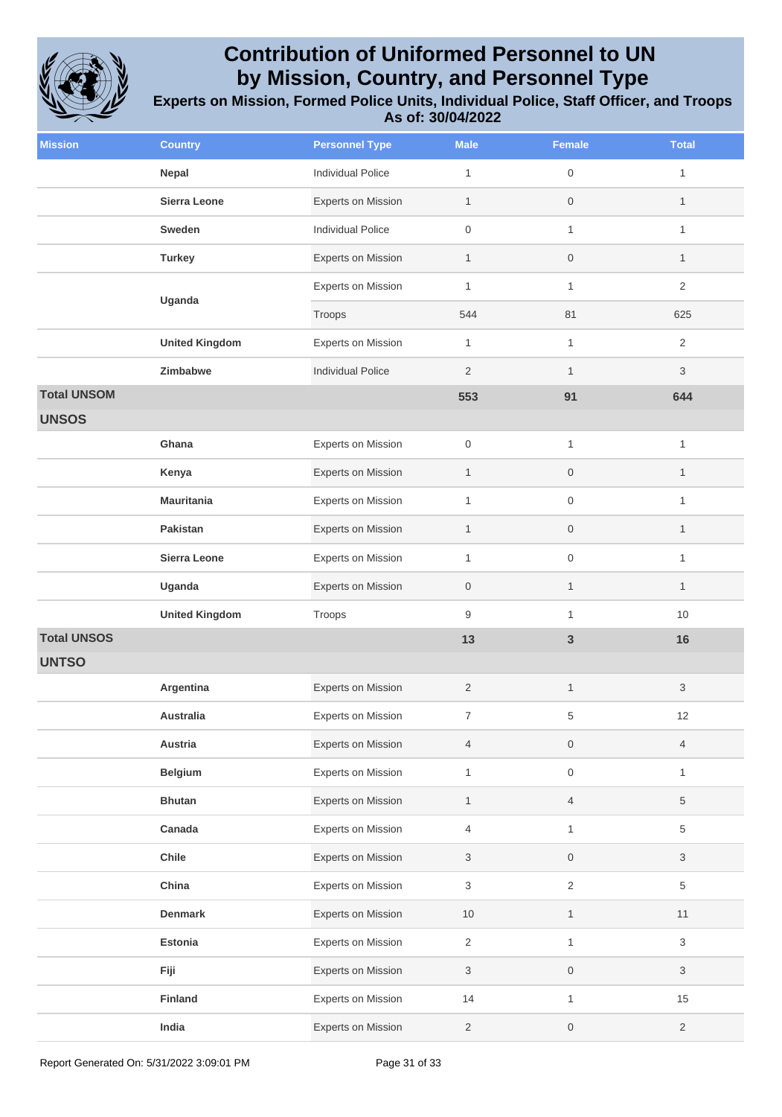

| <b>Mission</b>     | <b>Country</b>        | <b>Personnel Type</b>     | <b>Male</b>      | <b>Female</b>       | <b>Total</b>   |
|--------------------|-----------------------|---------------------------|------------------|---------------------|----------------|
|                    | Nepal                 | <b>Individual Police</b>  | $\mathbf{1}$     | $\mathbf 0$         | 1              |
|                    | Sierra Leone          | Experts on Mission        | $\mathbf{1}$     | $\mathsf{O}\xspace$ | $\mathbf{1}$   |
|                    | Sweden                | <b>Individual Police</b>  | $\boldsymbol{0}$ | $\mathbf{1}$        | 1              |
|                    | <b>Turkey</b>         | Experts on Mission        | $\mathbf{1}$     | $\mathsf{O}\xspace$ | $\mathbf{1}$   |
|                    | Uganda                | <b>Experts on Mission</b> | $\mathbf{1}$     | $\mathbf{1}$        | $\overline{2}$ |
|                    |                       | Troops                    | 544              | 81                  | 625            |
|                    | <b>United Kingdom</b> | Experts on Mission        | $\mathbf{1}$     | $\mathbf{1}$        | $\overline{2}$ |
|                    | Zimbabwe              | <b>Individual Police</b>  | $\overline{2}$   | $\mathbf{1}$        | 3              |
| <b>Total UNSOM</b> |                       |                           | 553              | 91                  | 644            |
| <b>UNSOS</b>       |                       |                           |                  |                     |                |
|                    | Ghana                 | <b>Experts on Mission</b> | $\boldsymbol{0}$ | $\mathbf{1}$        | 1              |
|                    | Kenya                 | Experts on Mission        | $\mathbf{1}$     | $\mathsf{O}\xspace$ | $\mathbf{1}$   |
|                    | <b>Mauritania</b>     | <b>Experts on Mission</b> | $\mathbf{1}$     | $\mathsf{O}\xspace$ | 1              |
|                    | Pakistan              | <b>Experts on Mission</b> | $\mathbf{1}$     | $\mathsf{O}\xspace$ | $\mathbf{1}$   |
|                    | Sierra Leone          | Experts on Mission        | $\mathbf{1}$     | $\mathsf{O}\xspace$ | 1              |
|                    | Uganda                | Experts on Mission        | $\mathbf 0$      | $\mathbf{1}$        | $\mathbf{1}$   |
|                    | <b>United Kingdom</b> | Troops                    | 9                | $\mathbf{1}$        | 10             |
| <b>Total UNSOS</b> |                       |                           | 13               | $\mathsf 3$         | 16             |
| <b>UNTSO</b>       |                       |                           |                  |                     |                |
|                    | Argentina             | <b>Experts on Mission</b> | 2                | $\mathbf{1}$        | 3              |
|                    | Australia             | Experts on Mission        | $\boldsymbol{7}$ | 5                   | 12             |
|                    | Austria               | Experts on Mission        | $\overline{4}$   | $\mathsf{O}\xspace$ | 4              |
|                    | <b>Belgium</b>        | Experts on Mission        | $\mathbf{1}$     | $\mathsf{O}\xspace$ | 1              |
|                    | <b>Bhutan</b>         | Experts on Mission        | $\mathbf{1}$     | $\overline{4}$      | 5              |
|                    | Canada                | Experts on Mission        | $\overline{4}$   | $\mathbf{1}$        | 5              |
|                    | Chile                 | Experts on Mission        | 3                | $\boldsymbol{0}$    | 3              |
|                    | China                 | Experts on Mission        | $\mathfrak{S}$   | $\overline{2}$      | 5              |
|                    | <b>Denmark</b>        | Experts on Mission        | 10               | $\mathbf{1}$        | 11             |
|                    | Estonia               | Experts on Mission        | $\overline{2}$   | $\mathbf{1}$        | 3              |
|                    | Fiji                  | Experts on Mission        | $\mathfrak{S}$   | $\mathsf{O}\xspace$ | 3              |
|                    | Finland               | Experts on Mission        | 14               | $\mathbf{1}$        | 15             |
|                    | India                 | Experts on Mission        | $\overline{2}$   | $\mathsf{O}\xspace$ | $\overline{2}$ |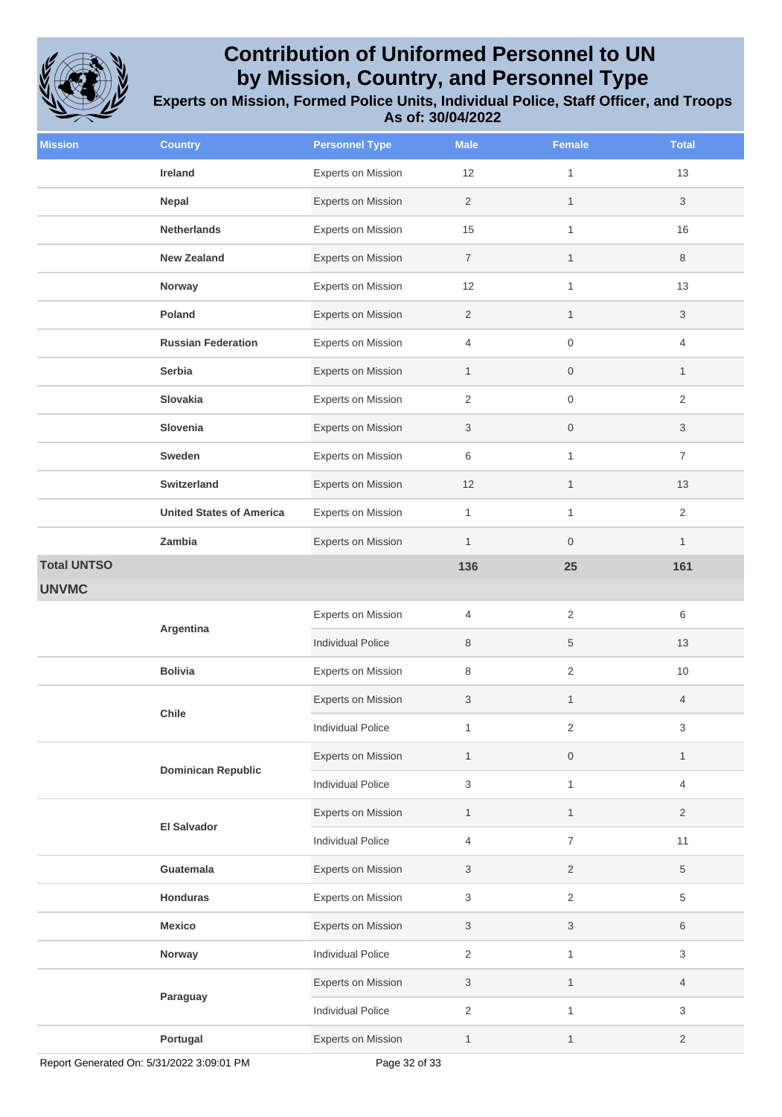

| <b>Mission</b>     | <b>Country</b>                  | <b>Personnel Type</b>     | <b>Male</b>    | Female              | <b>Total</b>   |
|--------------------|---------------------------------|---------------------------|----------------|---------------------|----------------|
|                    | Ireland                         | <b>Experts on Mission</b> | 12             | $\mathbf{1}$        | 13             |
|                    | Nepal                           | <b>Experts on Mission</b> | $\sqrt{2}$     | $\mathbf{1}$        | 3              |
|                    | <b>Netherlands</b>              | <b>Experts on Mission</b> | 15             | $\mathbf{1}$        | 16             |
|                    | <b>New Zealand</b>              | Experts on Mission        | $\overline{7}$ | $\mathbf{1}$        | 8              |
|                    | Norway                          | Experts on Mission        | 12             | $\mathbf{1}$        | 13             |
|                    | Poland                          | <b>Experts on Mission</b> | $\overline{2}$ | $\mathbf{1}$        | 3              |
|                    | <b>Russian Federation</b>       | Experts on Mission        | $\overline{4}$ | $\mathsf{O}\xspace$ | 4              |
|                    | Serbia                          | <b>Experts on Mission</b> | $\mathbf{1}$   | $\boldsymbol{0}$    | $\mathbf{1}$   |
|                    | Slovakia                        | Experts on Mission        | 2              | $\mathbf 0$         | $\overline{2}$ |
|                    | Slovenia                        | <b>Experts on Mission</b> | 3              | $\mathsf{O}\xspace$ | 3              |
|                    | Sweden                          | <b>Experts on Mission</b> | 6              | $\mathbf{1}$        | $\overline{7}$ |
|                    | <b>Switzerland</b>              | <b>Experts on Mission</b> | 12             | $\mathbf{1}$        | 13             |
|                    | <b>United States of America</b> | <b>Experts on Mission</b> | $\mathbf{1}$   | $\mathbf{1}$        | $\overline{2}$ |
|                    | Zambia                          | Experts on Mission        | $\mathbf{1}$   | $\boldsymbol{0}$    | $\mathbf{1}$   |
| <b>Total UNTSO</b> |                                 |                           | 136            | 25                  | 161            |
| <b>UNVMC</b>       |                                 |                           |                |                     |                |
|                    | Argentina                       | <b>Experts on Mission</b> | 4              | 2                   | 6              |
|                    |                                 | <b>Individual Police</b>  | 8              | 5                   | 13             |
|                    | <b>Bolivia</b>                  | Experts on Mission        | 8              | $\overline{2}$      | 10             |
|                    | Chile                           | Experts on Mission        | 3              | $\mathbf{1}$        | 4              |
|                    |                                 | Individual Police         | $\mathbf{1}$   | $\overline{2}$      | 3              |
|                    | <b>Dominican Republic</b>       | Experts on Mission        | $\mathbf{1}$   | $\boldsymbol{0}$    | $\mathbf{1}$   |
|                    |                                 | <b>Individual Police</b>  | 3              | $\mathbf{1}$        | 4              |
|                    | <b>El Salvador</b>              | Experts on Mission        | $\mathbf{1}$   | $\mathbf{1}$        | $\overline{2}$ |
|                    |                                 | <b>Individual Police</b>  | 4              | $\overline{7}$      | 11             |
|                    | Guatemala                       | Experts on Mission        | 3              | $\overline{2}$      | 5              |
|                    | <b>Honduras</b>                 | Experts on Mission        | 3              | $\overline{c}$      | 5              |
|                    | <b>Mexico</b>                   | Experts on Mission        | 3              | 3                   | 6              |
|                    | Norway                          | <b>Individual Police</b>  | $\overline{2}$ | $\mathbf{1}$        | 3              |
|                    |                                 | Experts on Mission        | 3              | $\mathbf{1}$        | 4              |
|                    | Paraguay                        | <b>Individual Police</b>  | $\overline{2}$ | $\mathbf{1}$        | 3              |
|                    | Portugal                        | Experts on Mission        | 1              | $\mathbf{1}$        | 2              |